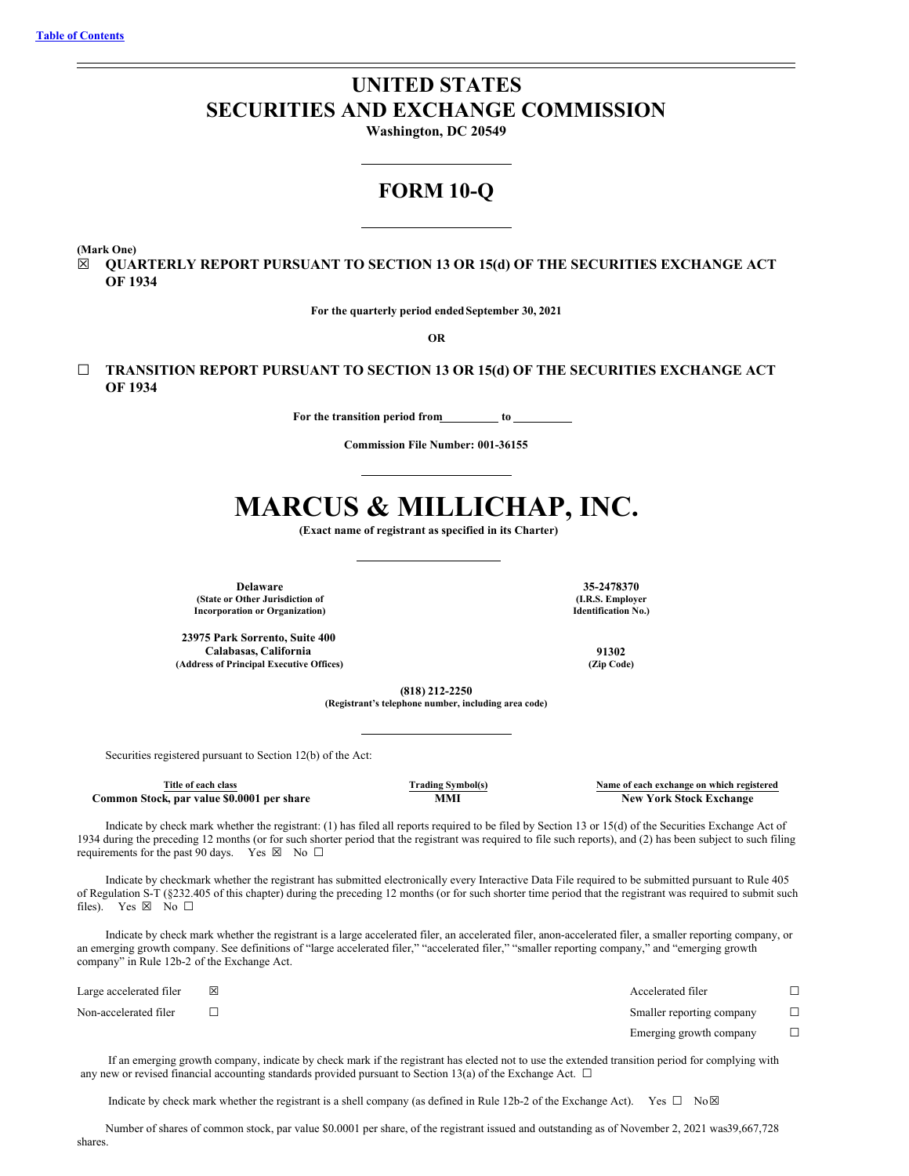## **UNITED STATES SECURITIES AND EXCHANGE COMMISSION**

**Washington, DC 20549**

## **FORM 10-Q**

**(Mark One)**

☒ **QUARTERLY REPORT PURSUANT TO SECTION 13 OR 15(d) OF THE SECURITIES EXCHANGE ACT OF 1934**

**For the quarterly period endedSeptember 30, 2021**

**OR**

☐ **TRANSITION REPORT PURSUANT TO SECTION 13 OR 15(d) OF THE SECURITIES EXCHANGE ACT OF 1934**

**For the transition period from to**

**Commission File Number: 001-36155**

# **MARCUS & MILLICHAP, INC.**

**(Exact name of registrant as specified in its Charter)**

**Delaware 35-2478370**<br> **1.R.S. Employer 1.R.S. Employer (State or Other Jurisdiction of (I.R.S. Employer Incorporation or Organization) Identification No.)**

**23975 Park Sorrento, Suite 400 Calabasas, California 91302 (Address of Principal Executive Offices) (Zip Code)**

**(818) 212-2250**

**(Registrant's telephone number, including area code)**

Securities registered pursuant to Section 12(b) of the Act:

**Common** Stock, par value \$0.0001 per share **MMI MMI MMI New York** Stock **Exchange** 

**Title of each class Trading Symbol(s) Name of each exchange on which registered**

Indicate by check mark whether the registrant: (1) has filed all reports required to be filed by Section 13 or 15(d) of the Securities Exchange Act of 1934 during the preceding 12 months (or for such shorter period that the registrant was required to file such reports), and (2) has been subject to such filing requirements for the past 90 days. Yes  $\boxtimes$  No  $\Box$ 

Indicate by checkmark whether the registrant has submitted electronically every Interactive Data File required to be submitted pursuant to Rule 405 of Regulation S-T (§232.405 of this chapter) during the preceding 12 months (or for such shorter time period that the registrant was required to submit such files). Yes  $\boxtimes$  No  $\square$ 

Indicate by check mark whether the registrant is a large accelerated filer, an accelerated filer, anon-accelerated filer, a smaller reporting company, or an emerging growth company. See definitions of "large accelerated filer," "accelerated filer," "smaller reporting company," and "emerging growth company" in Rule 12b-2 of the Exchange Act.

| Large accelerated filer | ⊠ | Accelerated filer         |  |
|-------------------------|---|---------------------------|--|
| Non-accelerated filer   |   | Smaller reporting company |  |
|                         |   | Emerging growth company   |  |

If an emerging growth company, indicate by check mark if the registrant has elected not to use the extended transition period for complying with any new or revised financial accounting standards provided pursuant to Section 13(a) of the Exchange Act.  $\Box$ 

Indicate by check mark whether the registrant is a shell company (as defined in Rule 12b-2 of the Exchange Act). Yes  $\Box$  No⊠

Number of shares of common stock, par value \$0.0001 per share, of the registrant issued and outstanding as of November 2, 2021 was39,667,728 shares.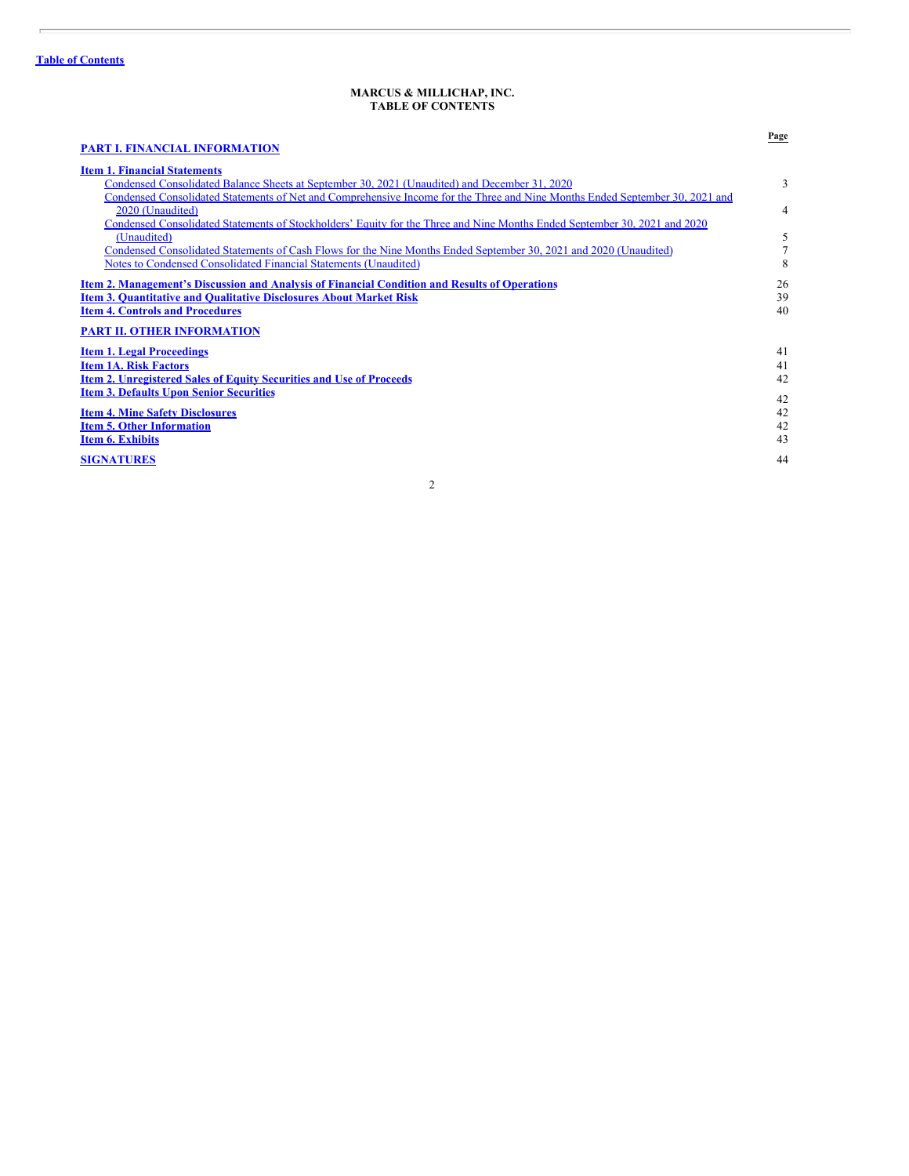#### **MARCUS & MILLICHAP, INC. TABLE OF CONTENTS**

## <span id="page-2-0"></span>**PART I. FINANCIAL [INFORMATION](#page-3-0)**

**Page**

| <b>Item 1. Financial Statements</b>                                                                                          |                |
|------------------------------------------------------------------------------------------------------------------------------|----------------|
| Condensed Consolidated Balance Sheets at September 30, 2021 (Unaudited) and December 31, 2020                                | 3              |
| Condensed Consolidated Statements of Net and Comprehensive Income for the Three and Nine Months Ended September 30, 2021 and |                |
| 2020 (Unaudited)                                                                                                             | $\overline{4}$ |
| Condensed Consolidated Statements of Stockholders' Equity for the Three and Nine Months Ended September 30, 2021 and 2020    |                |
|                                                                                                                              |                |
| (Unaudited)                                                                                                                  | 5              |
| Condensed Consolidated Statements of Cash Flows for the Nine Months Ended September 30, 2021 and 2020 (Unaudited)            | $\tau$         |
| Notes to Condensed Consolidated Financial Statements (Unaudited)                                                             | 8              |
| Item 2. Management's Discussion and Analysis of Financial Condition and Results of Operations                                | 26             |
|                                                                                                                              |                |
| <b>Item 3. Quantitative and Qualitative Disclosures About Market Risk</b>                                                    | 39             |
| <b>Item 4. Controls and Procedures</b>                                                                                       | 40             |
| <b>PART II. OTHER INFORMATION</b>                                                                                            |                |
| <b>Item 1. Legal Proceedings</b>                                                                                             | 41             |
| <b>Item 1A. Risk Factors</b>                                                                                                 | 41             |
| <b>Item 2. Unregistered Sales of Equity Securities and Use of Proceeds</b>                                                   | 42             |
|                                                                                                                              |                |
| <b>Item 3. Defaults Upon Senior Securities</b>                                                                               | 42             |
| <b>Item 4. Mine Safety Disclosures</b>                                                                                       | 42             |
| <b>Item 5. Other Information</b>                                                                                             | 42             |
|                                                                                                                              |                |
| <b>Item 6. Exhibits</b>                                                                                                      | 43             |
| <b>SIGNATURES</b>                                                                                                            | 44             |

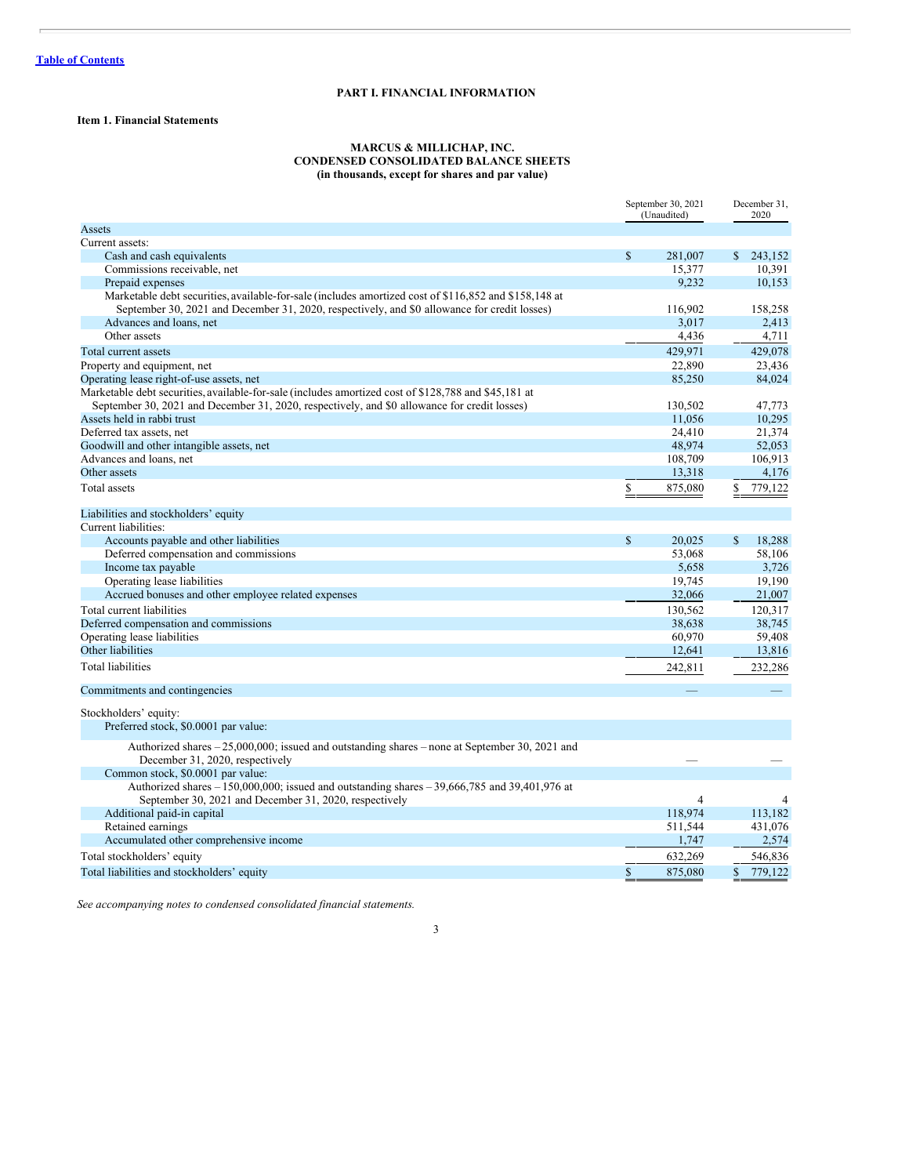## **PART I. FINANCIAL INFORMATION**

## <span id="page-3-2"></span><span id="page-3-1"></span><span id="page-3-0"></span>**Item 1. Financial Statements**

## **MARCUS & MILLICHAP, INC. CONDENSED CONSOLIDATED BALANCE SHEETS (in thousands, except for shares and par value)**

|                                                                                                                                   | September 30, 2021<br>(Unaudited) |                |              | December 31,<br>2020 |
|-----------------------------------------------------------------------------------------------------------------------------------|-----------------------------------|----------------|--------------|----------------------|
| Assets                                                                                                                            |                                   |                |              |                      |
| Current assets:                                                                                                                   |                                   |                |              |                      |
| Cash and cash equivalents                                                                                                         | $\mathbb{S}$                      | 281,007        | $\mathbb{S}$ | 243,152              |
| Commissions receivable, net                                                                                                       |                                   | 15,377         |              | 10,391               |
| Prepaid expenses                                                                                                                  |                                   | 9,232          |              | 10,153               |
| Marketable debt securities, available-for-sale (includes amortized cost of \$116,852 and \$158,148 at                             |                                   |                |              |                      |
| September 30, 2021 and December 31, 2020, respectively, and \$0 allowance for credit losses)                                      |                                   | 116,902        |              | 158,258              |
| Advances and loans, net                                                                                                           |                                   | 3,017          |              | 2,413                |
| Other assets                                                                                                                      |                                   | 4,436          |              | 4,711                |
| Total current assets                                                                                                              |                                   | 429,971        |              | 429,078              |
| Property and equipment, net                                                                                                       |                                   | 22,890         |              | 23,436               |
| Operating lease right-of-use assets, net                                                                                          |                                   | 85,250         |              | 84,024               |
| Marketable debt securities, available-for-sale (includes amortized cost of \$128,788 and \$45,181 at                              |                                   |                |              |                      |
| September 30, 2021 and December 31, 2020, respectively, and \$0 allowance for credit losses)                                      |                                   | 130,502        |              | 47.773               |
| Assets held in rabbi trust                                                                                                        |                                   | 11,056         |              | 10,295               |
| Deferred tax assets, net                                                                                                          |                                   | 24,410         |              | 21,374               |
| Goodwill and other intangible assets, net                                                                                         |                                   | 48,974         |              | 52,053               |
| Advances and loans, net                                                                                                           |                                   | 108,709        |              | 106,913              |
| Other assets                                                                                                                      |                                   | 13,318         |              | 4,176                |
| <b>Total assets</b>                                                                                                               | $\frac{1}{2}$                     | 875,080        | \$           | 779,122              |
|                                                                                                                                   |                                   |                |              |                      |
| Liabilities and stockholders' equity                                                                                              |                                   |                |              |                      |
| Current liabilities:                                                                                                              |                                   |                |              |                      |
| Accounts payable and other liabilities                                                                                            | \$                                | 20,025         | \$           | 18,288               |
| Deferred compensation and commissions                                                                                             |                                   | 53,068         |              | 58,106               |
| Income tax payable                                                                                                                |                                   | 5,658          |              | 3,726                |
| Operating lease liabilities                                                                                                       |                                   | 19,745         |              | 19,190               |
| Accrued bonuses and other employee related expenses                                                                               |                                   | 32,066         |              | 21,007               |
| Total current liabilities                                                                                                         |                                   | 130,562        |              | 120,317              |
| Deferred compensation and commissions                                                                                             |                                   | 38,638         |              | 38,745               |
| Operating lease liabilities                                                                                                       |                                   | 60,970         |              | 59,408               |
| Other liabilities                                                                                                                 |                                   | 12,641         |              | 13,816               |
|                                                                                                                                   |                                   |                |              |                      |
| <b>Total liabilities</b>                                                                                                          |                                   | 242,811        |              | 232,286              |
| Commitments and contingencies                                                                                                     |                                   |                |              |                      |
| Stockholders' equity:                                                                                                             |                                   |                |              |                      |
| Preferred stock, \$0.0001 par value:                                                                                              |                                   |                |              |                      |
| Authorized shares - 25,000,000; issued and outstanding shares - none at September 30, 2021 and<br>December 31, 2020, respectively |                                   |                |              |                      |
| Common stock, \$0.0001 par value:                                                                                                 |                                   |                |              |                      |
| Authorized shares $-150,000,000$ ; issued and outstanding shares $-39,666,785$ and $39,401,976$ at                                |                                   |                |              |                      |
| September 30, 2021 and December 31, 2020, respectively                                                                            |                                   | $\overline{4}$ |              | 4                    |
| Additional paid-in capital                                                                                                        |                                   | 118,974        |              | 113,182              |
| Retained earnings                                                                                                                 |                                   | 511,544        |              | 431,076              |
| Accumulated other comprehensive income                                                                                            |                                   | 1,747          |              | 2,574                |
| Total stockholders' equity                                                                                                        |                                   | 632,269        |              | 546,836              |
| Total liabilities and stockholders' equity                                                                                        | \$                                | 875,080        | \$           | 779,122              |
|                                                                                                                                   |                                   |                |              |                      |

*See accompanying notes to condensed consolidated financial statements.*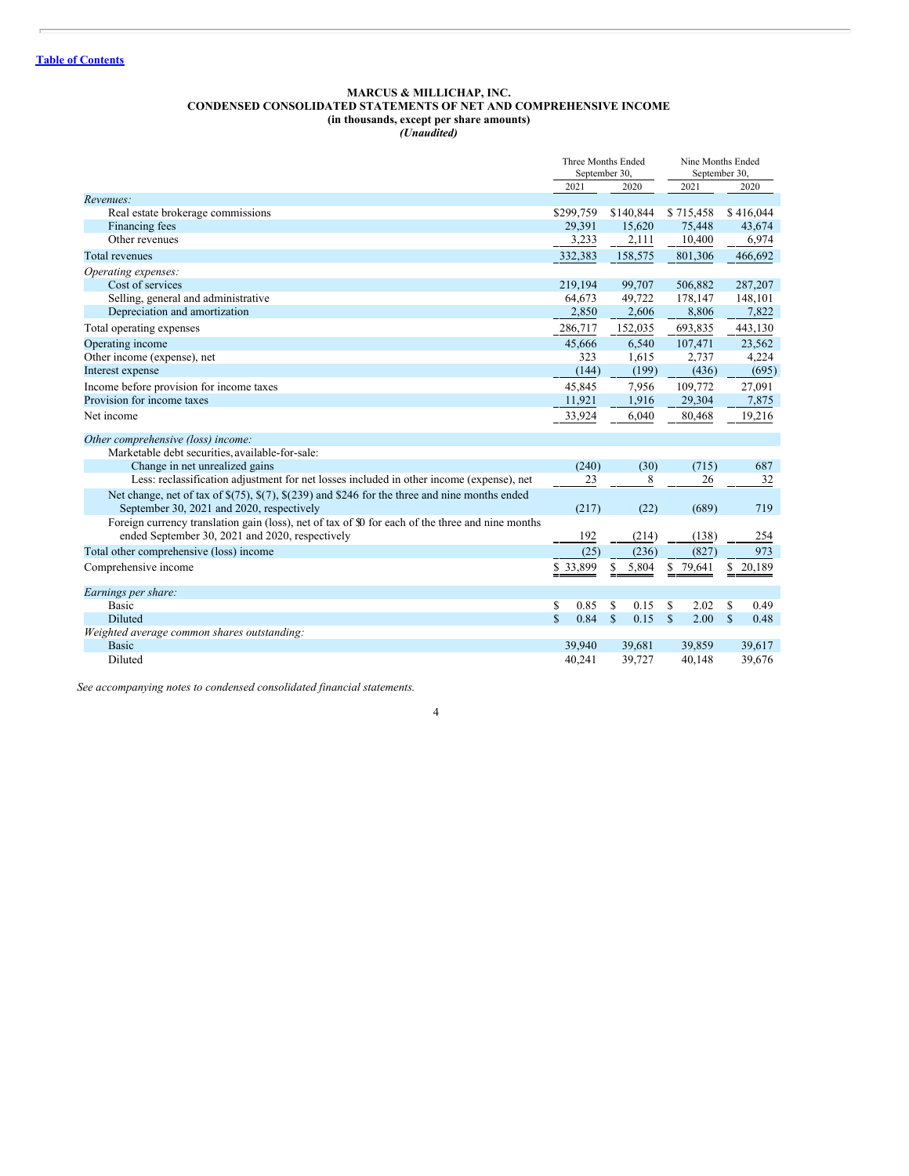## **MARCUS & MILLICHAP, INC. CONDENSED CONSOLIDATED STATEMENTS OF NET AND COMPREHENSIVE INCOME (in thousands, except per share amounts)** *(Unaudited)*

<span id="page-4-0"></span>

|                                                                                                          | Three Months Ended    |                     | Nine Months Ended          |                     |
|----------------------------------------------------------------------------------------------------------|-----------------------|---------------------|----------------------------|---------------------|
|                                                                                                          | September 30.         |                     | September 30.              |                     |
|                                                                                                          | 2021                  | 2020                | 2021                       | 2020                |
| Revenues:                                                                                                |                       |                     |                            |                     |
| Real estate brokerage commissions                                                                        | \$299,759             | \$140,844           | \$715,458                  | \$416,044           |
| Financing fees                                                                                           | 29,391                | 15,620              | 75,448                     | 43,674              |
| Other revenues                                                                                           | 3,233                 | 2,111               | 10,400                     | 6,974               |
| Total revenues                                                                                           | 332,383               | 158,575             | 801,306                    | 466,692             |
| Operating expenses:                                                                                      |                       |                     |                            |                     |
| Cost of services                                                                                         | 219,194               | 99,707              | 506,882                    | 287,207             |
| Selling, general and administrative                                                                      | 64,673                | 49,722              | 178,147                    | 148,101             |
| Depreciation and amortization                                                                            | 2,850                 | 2,606               | 8,806                      | 7,822               |
| Total operating expenses                                                                                 | 286,717               | 152,035             | 693,835                    | 443,130             |
| Operating income                                                                                         | 45,666                | 6,540               | 107,471                    | 23,562              |
| Other income (expense), net                                                                              | 323                   | 1,615               | 2,737                      | 4,224               |
| Interest expense                                                                                         | (144)                 | (199)               | (436)                      | (695)               |
| Income before provision for income taxes                                                                 | 45,845                | 7,956               | 109,772                    | 27,091              |
| Provision for income taxes                                                                               | 11,921                | 1,916               | 29,304                     | 7,875               |
| Net income                                                                                               | 33,924                | 6,040               | 80,468                     | 19,216              |
| Other comprehensive (loss) income:                                                                       |                       |                     |                            |                     |
| Marketable debt securities, available-for-sale:                                                          |                       |                     |                            |                     |
| Change in net unrealized gains                                                                           | (240)                 | (30)                | (715)                      | 687                 |
| Less: reclassification adjustment for net losses included in other income (expense), net                 | 23                    | 8                   | 26                         | 32                  |
| Net change, net of tax of $\S(75)$ , $\S(7)$ , $\S(239)$ and $\S246$ for the three and nine months ended |                       |                     |                            |                     |
| September 30, 2021 and 2020, respectively                                                                | (217)                 | (22)                | (689)                      | 719                 |
| Foreign currency translation gain (loss), net of tax of \$0 for each of the three and nine months        |                       |                     |                            |                     |
| ended September 30, 2021 and 2020, respectively                                                          | 192                   | (214)               | (138)                      | 254                 |
| Total other comprehensive (loss) income                                                                  | (25)                  | (236)               | (827)                      | 973                 |
| Comprehensive income                                                                                     | \$33,899              | 5,804<br>\$         | 79,641<br>\$               | 20,189<br>\$        |
| Earnings per share:                                                                                      |                       |                     |                            |                     |
| <b>Basic</b>                                                                                             | \$<br>0.85            | S<br>0.15           | S<br>2.02                  | \$<br>0.49          |
| <b>Diluted</b>                                                                                           | 0.84<br>$\mathcal{S}$ | $\mathbf S$<br>0.15 | $\mathbf{\hat{s}}$<br>2.00 | $\mathbf S$<br>0.48 |
| Weighted average common shares outstanding:                                                              |                       |                     |                            |                     |
| <b>Basic</b>                                                                                             | 39,940                | 39,681              | 39,859                     | 39,617              |
| <b>Diluted</b>                                                                                           | 40,241                | 39,727              | 40,148                     | 39,676              |

4

*See accompanying notes to condensed consolidated financial statements.*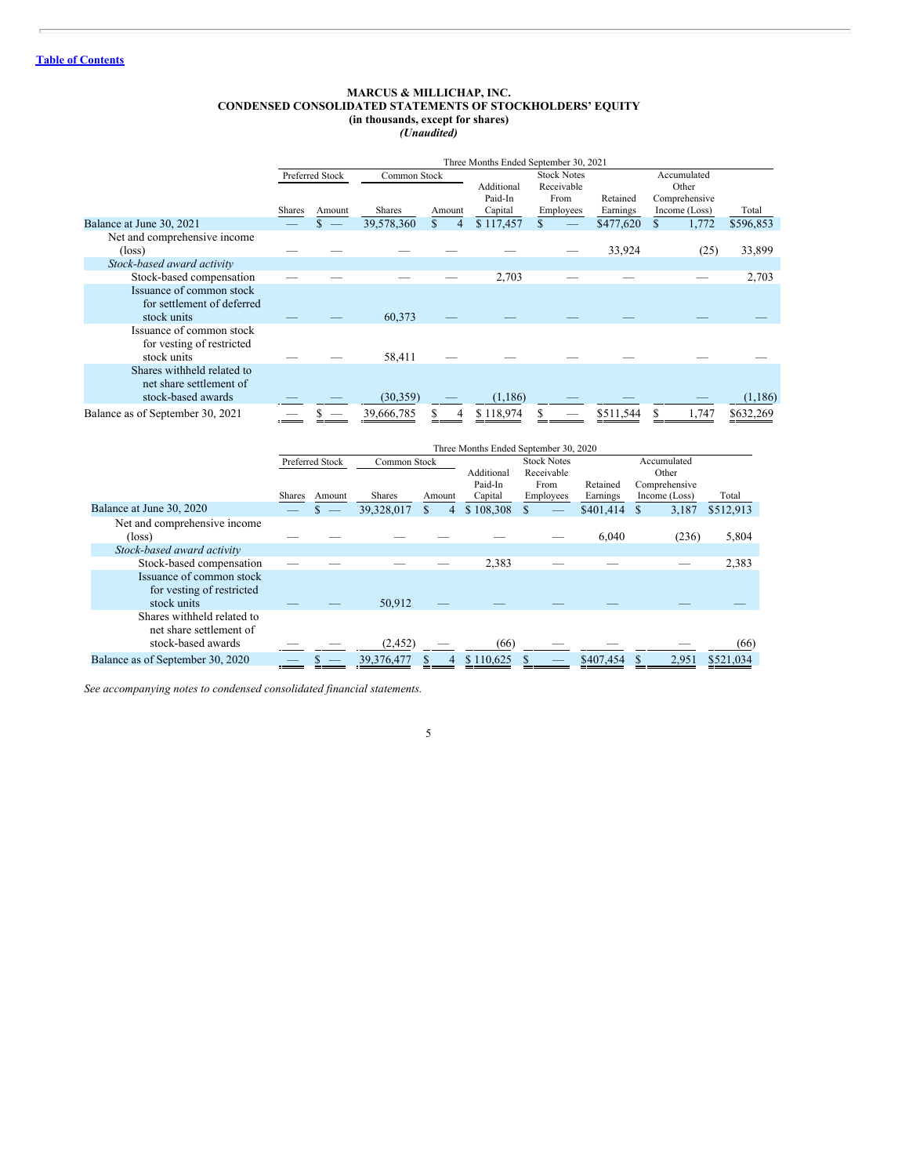#### **MARCUS & MILLICHAP, INC. CONDENSED CONSOLIDATED STATEMENTS OF STOCKHOLDERS' EQUITY (in thousands, except for shares)** *(Unaudited)*

<span id="page-5-0"></span>

|                                                                                                    |        |                 |              |                                | Three Months Ended September 30, 2021 |                                          |                      |                                         |                |
|----------------------------------------------------------------------------------------------------|--------|-----------------|--------------|--------------------------------|---------------------------------------|------------------------------------------|----------------------|-----------------------------------------|----------------|
|                                                                                                    |        | Preferred Stock | Common Stock |                                | Additional<br>Paid-In                 | <b>Stock Notes</b><br>Receivable<br>From | Retained             | Accumulated<br>Other<br>Comprehensive   |                |
|                                                                                                    | Shares | Amount          | Shares       | Amount                         | Capital                               | Employees                                | Earnings             | Income (Loss)                           | Total          |
| Balance at June 30, 2021                                                                           |        | $\mathbf{s}$    | 39,578,360   | $\mathbf{s}$<br>$\overline{4}$ | \$117,457                             | \$                                       | \$477,620            | $\mathbf S$<br>1,772                    | \$596,853      |
| Net and comprehensive income<br>$(\text{loss})$                                                    |        |                 |              |                                |                                       |                                          | 33,924               |                                         | 33,899<br>(25) |
| Stock-based award activity                                                                         |        |                 |              |                                |                                       |                                          |                      |                                         |                |
| Stock-based compensation                                                                           |        |                 |              |                                | 2,703                                 |                                          |                      |                                         | 2,703          |
| Issuance of common stock<br>for settlement of deferred<br>stock units                              |        |                 | 60,373       |                                |                                       |                                          |                      |                                         |                |
| Issuance of common stock<br>for vesting of restricted<br>stock units                               |        |                 | 58,411       |                                |                                       |                                          |                      |                                         |                |
| Shares withheld related to<br>net share settlement of<br>stock-based awards                        |        |                 | (30, 359)    |                                | (1, 186)                              |                                          |                      |                                         | (1,186)        |
| Balance as of September 30, 2021                                                                   |        | $s$ —           | 39,666,785   | 4<br>S.                        | \$118,974                             | \$                                       | \$511,544            | 1,747<br>\$                             | \$632,269      |
|                                                                                                    |        |                 |              |                                | Three Months Ended September 30, 2020 |                                          |                      |                                         |                |
|                                                                                                    |        | Preferred Stock | Common Stock |                                |                                       | <b>Stock Notes</b>                       |                      | Accumulated                             |                |
|                                                                                                    | Shares | Amount          | Shares       | Amount                         | Additional<br>Paid-In<br>Capital      | Receivable<br>From<br>Employees          | Retained<br>Earnings | Other<br>Comprehensive<br>Income (Loss) | Total          |
| Balance at June 30, 2020                                                                           |        | $\mathbf{s}$    | 39,328,017   | $\mathbf S$<br>$\overline{4}$  | \$108,308                             | $\mathbf S$                              | \$401,414            | $\mathbb{S}$<br>3,187                   | \$512,913      |
| Net and comprehensive income<br>$(\text{loss})$                                                    |        |                 |              |                                |                                       |                                          | 6,040                | (236)                                   | 5,804          |
| Stock-based award activity                                                                         |        |                 |              |                                |                                       |                                          |                      |                                         |                |
| Stock-based compensation                                                                           |        |                 |              |                                | 2,383                                 |                                          |                      |                                         | 2,383          |
| Issuance of common stock<br>for vesting of restricted<br>stock units<br>Shares withheld related to |        |                 | 50.912       |                                |                                       |                                          |                      |                                         |                |
| net share settlement of<br>stock-based awards                                                      |        |                 | (2, 452)     |                                | (66)                                  |                                          |                      |                                         | (66)           |
| Balance as of September 30, 2020                                                                   |        | \$.             | 39,376,477   | $\overline{4}$<br>\$           | \$110,625                             | <sup>\$</sup>                            | \$407.454            | $\mathbb{S}$<br>2,951                   | \$521,034      |

*See accompanying notes to condensed consolidated financial statements.*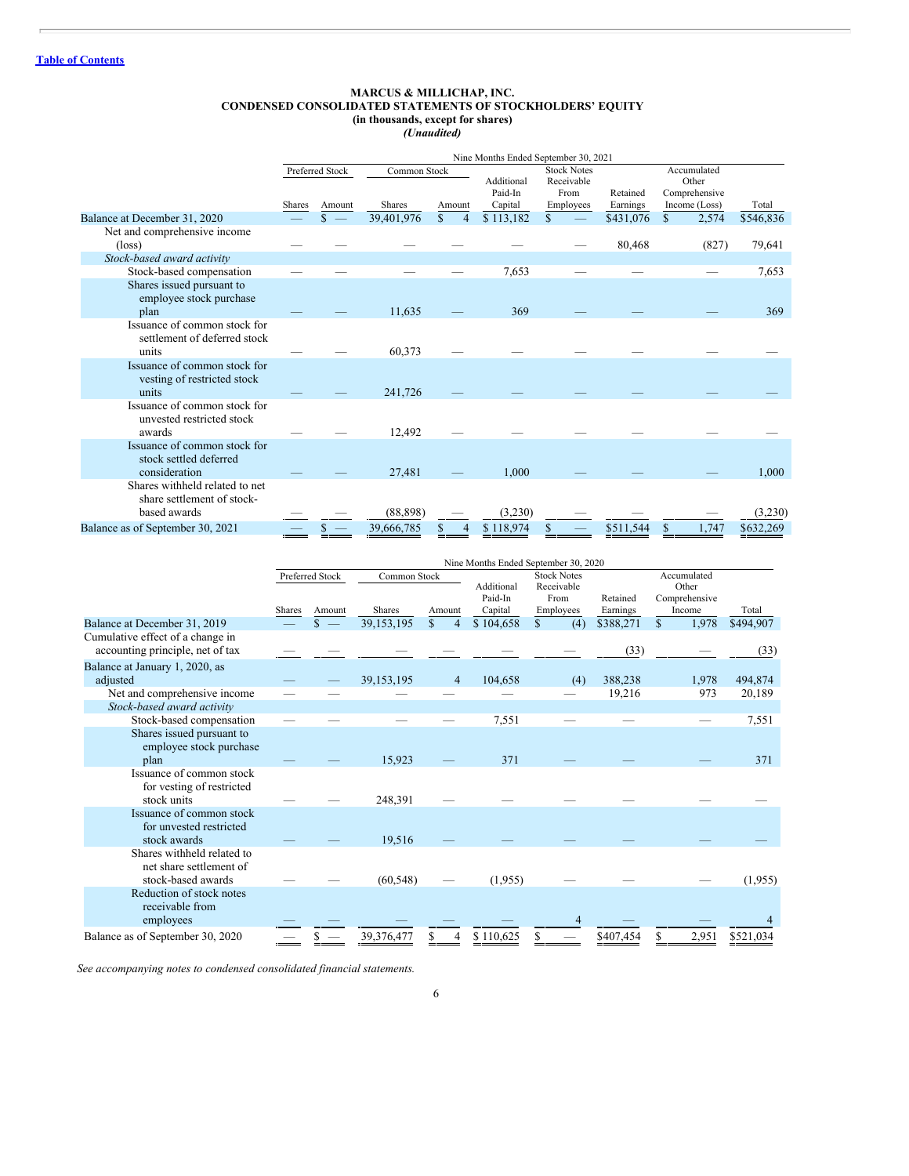## **MARCUS & MILLICHAP, INC. CONDENSED CONSOLIDATED STATEMENTS OF STOCKHOLDERS' EQUITY (in thousands, except for shares)**

*(Unaudited)*

|                                                                              |        |                 |               |                                 | Nine Months Ended September 30, 2021 |                                          |           |                                       |           |
|------------------------------------------------------------------------------|--------|-----------------|---------------|---------------------------------|--------------------------------------|------------------------------------------|-----------|---------------------------------------|-----------|
|                                                                              |        | Preferred Stock | Common Stock  |                                 | Additional<br>Paid-In                | <b>Stock Notes</b><br>Receivable<br>From | Retained  | Accumulated<br>Other<br>Comprehensive |           |
|                                                                              | Shares | Amount          | <b>Shares</b> | Amount                          | Capital                              | Employees                                | Earnings  | Income (Loss)                         | Total     |
| Balance at December 31, 2020                                                 |        | $\mathbf{s}$    | 39,401,976    | $\mathcal{S}$<br>$\overline{4}$ | \$113,182                            | $\mathbb{S}$                             | \$431,076 | $\mathbf S$<br>2,574                  | \$546,836 |
| Net and comprehensive income<br>$(\text{loss})$                              |        |                 |               |                                 |                                      |                                          | 80,468    | (827)                                 | 79,641    |
| Stock-based award activity                                                   |        |                 |               |                                 |                                      |                                          |           |                                       |           |
| Stock-based compensation                                                     |        |                 |               |                                 | 7,653                                |                                          |           |                                       | 7,653     |
| Shares issued pursuant to<br>employee stock purchase<br>plan                 |        |                 | 11,635        |                                 | 369                                  |                                          |           |                                       | 369       |
| Issuance of common stock for<br>settlement of deferred stock<br>units        |        |                 | 60,373        |                                 |                                      |                                          |           |                                       |           |
| Issuance of common stock for<br>vesting of restricted stock<br>units         |        |                 | 241,726       |                                 |                                      |                                          |           |                                       |           |
| Issuance of common stock for<br>unvested restricted stock<br>awards          |        |                 | 12,492        |                                 |                                      |                                          |           |                                       |           |
| Issuance of common stock for<br>stock settled deferred<br>consideration      |        |                 | 27,481        |                                 | 1.000                                |                                          |           |                                       | 1,000     |
| Shares withheld related to net<br>share settlement of stock-<br>based awards |        |                 | (88.898)      |                                 | (3,230)                              |                                          |           |                                       | (3,230)   |
| Balance as of September 30, 2021                                             |        | \$.             | 39,666,785    | 4                               | \$118,974                            | S                                        | \$511,544 | <sup>\$</sup><br>1,747                | \$632,269 |

|                                                                                | Nine Months Ended September 30, 2020 |                           |                               |                  |                                  |                                                       |                      |                                                 |           |
|--------------------------------------------------------------------------------|--------------------------------------|---------------------------|-------------------------------|------------------|----------------------------------|-------------------------------------------------------|----------------------|-------------------------------------------------|-----------|
|                                                                                | Shares                               | Preferred Stock<br>Amount | Common Stock<br><b>Shares</b> | Amount           | Additional<br>Paid-In<br>Capital | <b>Stock Notes</b><br>Receivable<br>From<br>Employees | Retained<br>Earnings | Accumulated<br>Other<br>Comprehensive<br>Income | Total     |
| Balance at December 31, 2019                                                   |                                      | $s -$                     | 39,153,195                    | $\mathbf S$<br>4 | \$104,658                        | $\mathbf{s}$<br>(4)                                   | \$388,271            | $\mathsf{\$}$<br>1,978                          | \$494,907 |
| Cumulative effect of a change in<br>accounting principle, net of tax           |                                      |                           |                               |                  |                                  |                                                       | (33)                 |                                                 | (33)      |
| Balance at January 1, 2020, as                                                 |                                      |                           |                               |                  |                                  |                                                       |                      |                                                 |           |
| adjusted                                                                       |                                      |                           | 39,153,195                    | 4                | 104,658                          | (4)                                                   | 388,238              | 1,978                                           | 494,874   |
| Net and comprehensive income                                                   |                                      |                           |                               |                  |                                  |                                                       | 19,216               | 973                                             | 20,189    |
| Stock-based award activity                                                     |                                      |                           |                               |                  |                                  |                                                       |                      |                                                 |           |
| Stock-based compensation                                                       |                                      |                           |                               |                  | 7,551                            |                                                       |                      |                                                 | 7,551     |
| Shares issued pursuant to<br>employee stock purchase                           |                                      |                           |                               |                  |                                  |                                                       |                      |                                                 |           |
| plan                                                                           |                                      |                           | 15,923                        |                  | 371                              |                                                       |                      |                                                 | 371       |
| Issuance of common stock<br>for vesting of restricted<br>stock units           |                                      |                           | 248,391                       |                  |                                  |                                                       |                      |                                                 |           |
| Issuance of common stock<br>for unvested restricted<br>stock awards            |                                      |                           | 19,516                        |                  |                                  |                                                       |                      |                                                 |           |
| Shares withheld related to<br>net share settlement of                          |                                      |                           |                               |                  |                                  |                                                       |                      |                                                 |           |
| stock-based awards<br>Reduction of stock notes<br>receivable from<br>employees |                                      |                           | (60, 548)                     |                  | (1,955)                          | 4                                                     |                      |                                                 | (1,955)   |
| Balance as of September 30, 2020                                               |                                      |                           | 39,376,477                    | 4<br>\$          | \$110,625                        |                                                       | \$407,454            | 2,951                                           | \$521,034 |

*See accompanying notes to condensed consolidated financial statements.*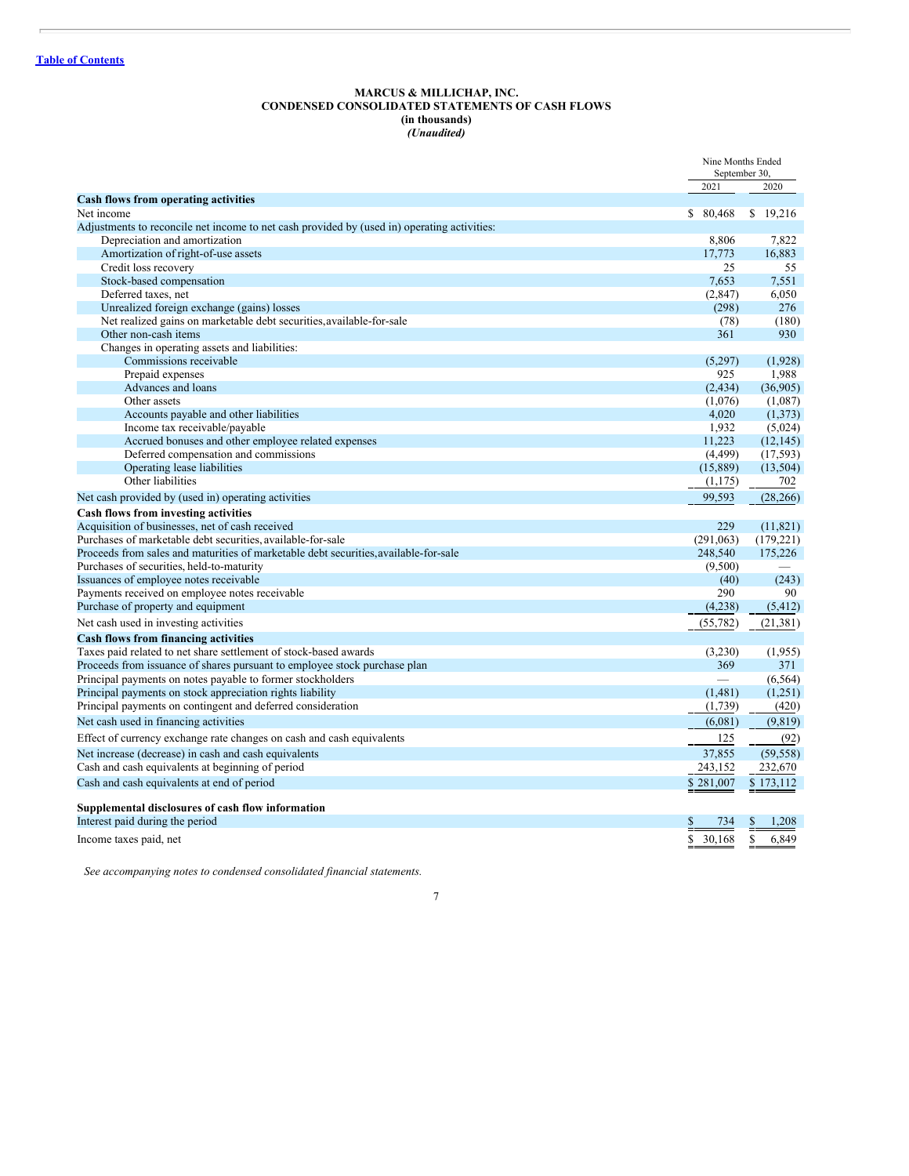#### **MARCUS & MILLICHAP, INC. CONDENSED CONSOLIDATED STATEMENTS OF CASH FLOWS (in thousands)** *(Unaudited)*

<span id="page-7-0"></span>

|                                                                                                                                               | Nine Months Ended<br>September 30, |       |           |                          |
|-----------------------------------------------------------------------------------------------------------------------------------------------|------------------------------------|-------|-----------|--------------------------|
|                                                                                                                                               | 2021                               |       | 2020      |                          |
| Cash flows from operating activities                                                                                                          |                                    |       |           |                          |
| Net income                                                                                                                                    | \$ 80,468                          |       | \$19,216  |                          |
| Adjustments to reconcile net income to net cash provided by (used in) operating activities:                                                   |                                    |       |           |                          |
| Depreciation and amortization                                                                                                                 | 8,806                              |       |           | 7,822                    |
| Amortization of right-of-use assets                                                                                                           | 17,773                             |       |           | 16,883                   |
| Credit loss recovery                                                                                                                          |                                    | 25    |           | 55                       |
| Stock-based compensation                                                                                                                      | 7,653                              |       |           | 7,551                    |
| Deferred taxes, net                                                                                                                           | (2, 847)                           |       |           | 6,050                    |
| Unrealized foreign exchange (gains) losses                                                                                                    |                                    | (298) |           | 276                      |
| Net realized gains on marketable debt securities, available-for-sale                                                                          |                                    | (78)  |           | (180)                    |
| Other non-cash items                                                                                                                          |                                    | 361   |           | 930                      |
| Changes in operating assets and liabilities:                                                                                                  |                                    |       |           |                          |
| Commissions receivable                                                                                                                        | (5,297)                            |       |           | (1,928)                  |
| Prepaid expenses                                                                                                                              |                                    | 925   |           | 1,988                    |
| Advances and loans                                                                                                                            | (2, 434)                           |       |           | (36,905)                 |
| Other assets                                                                                                                                  | (1,076)                            |       |           | (1,087)                  |
| Accounts payable and other liabilities                                                                                                        | 4,020                              |       |           | (1,373)                  |
| Income tax receivable/payable                                                                                                                 | 1,932                              |       |           | (5,024)                  |
| Accrued bonuses and other employee related expenses                                                                                           | 11,223                             |       |           | (12, 145)                |
| Deferred compensation and commissions                                                                                                         | (4, 499)                           |       |           | (17, 593)                |
| Operating lease liabilities                                                                                                                   | (15,889)                           |       |           | (13,504)                 |
| Other liabilities                                                                                                                             | (1, 175)                           |       |           | 702                      |
| Net cash provided by (used in) operating activities                                                                                           | 99,593                             |       |           | (28, 266)                |
| Cash flows from investing activities                                                                                                          |                                    |       |           |                          |
| Acquisition of businesses, net of cash received                                                                                               |                                    | 229   |           | (11, 821)                |
| Purchases of marketable debt securities, available-for-sale                                                                                   | (291,063)                          |       |           | (179, 221)               |
| Proceeds from sales and maturities of marketable debt securities, available-for-sale                                                          | 248,540                            |       |           | 175,226                  |
| Purchases of securities, held-to-maturity                                                                                                     | (9,500)                            |       |           | $\overline{\phantom{m}}$ |
| Issuances of employee notes receivable                                                                                                        |                                    | (40)  |           | (243)                    |
| Payments received on employee notes receivable                                                                                                |                                    | 290   |           | 90                       |
| Purchase of property and equipment                                                                                                            | (4,238)                            |       |           | (5, 412)                 |
| Net cash used in investing activities                                                                                                         | (55, 782)                          |       |           | (21, 381)                |
| <b>Cash flows from financing activities</b>                                                                                                   |                                    |       |           |                          |
|                                                                                                                                               |                                    |       |           |                          |
| Taxes paid related to net share settlement of stock-based awards<br>Proceeds from issuance of shares pursuant to employee stock purchase plan | (3,230)                            | 369   |           | (1,955)<br>371           |
|                                                                                                                                               | $\overline{\phantom{0}}$           |       |           |                          |
| Principal payments on notes payable to former stockholders                                                                                    | (1, 481)                           |       |           | (6, 564)                 |
| Principal payments on stock appreciation rights liability<br>Principal payments on contingent and deferred consideration                      | (1,739)                            |       |           | (1,251)<br>(420)         |
|                                                                                                                                               |                                    |       |           |                          |
| Net cash used in financing activities                                                                                                         | (6,081)                            |       |           | (9, 819)                 |
| Effect of currency exchange rate changes on cash and cash equivalents                                                                         |                                    | 125   |           | (92)                     |
| Net increase (decrease) in cash and cash equivalents                                                                                          | 37,855                             |       |           | (59, 558)                |
| Cash and cash equivalents at beginning of period                                                                                              | 243,152                            |       |           | 232,670                  |
| Cash and cash equivalents at end of period                                                                                                    | \$281,007                          |       | \$173,112 |                          |
|                                                                                                                                               |                                    |       |           |                          |
| Supplemental disclosures of cash flow information                                                                                             |                                    |       |           |                          |
| Interest paid during the period                                                                                                               |                                    | 734   | \$        | 1,208                    |
| Income taxes paid, net                                                                                                                        | \$ 30.168                          |       | \$        | 6.849                    |

*See accompanying notes to condensed consolidated financial statements.*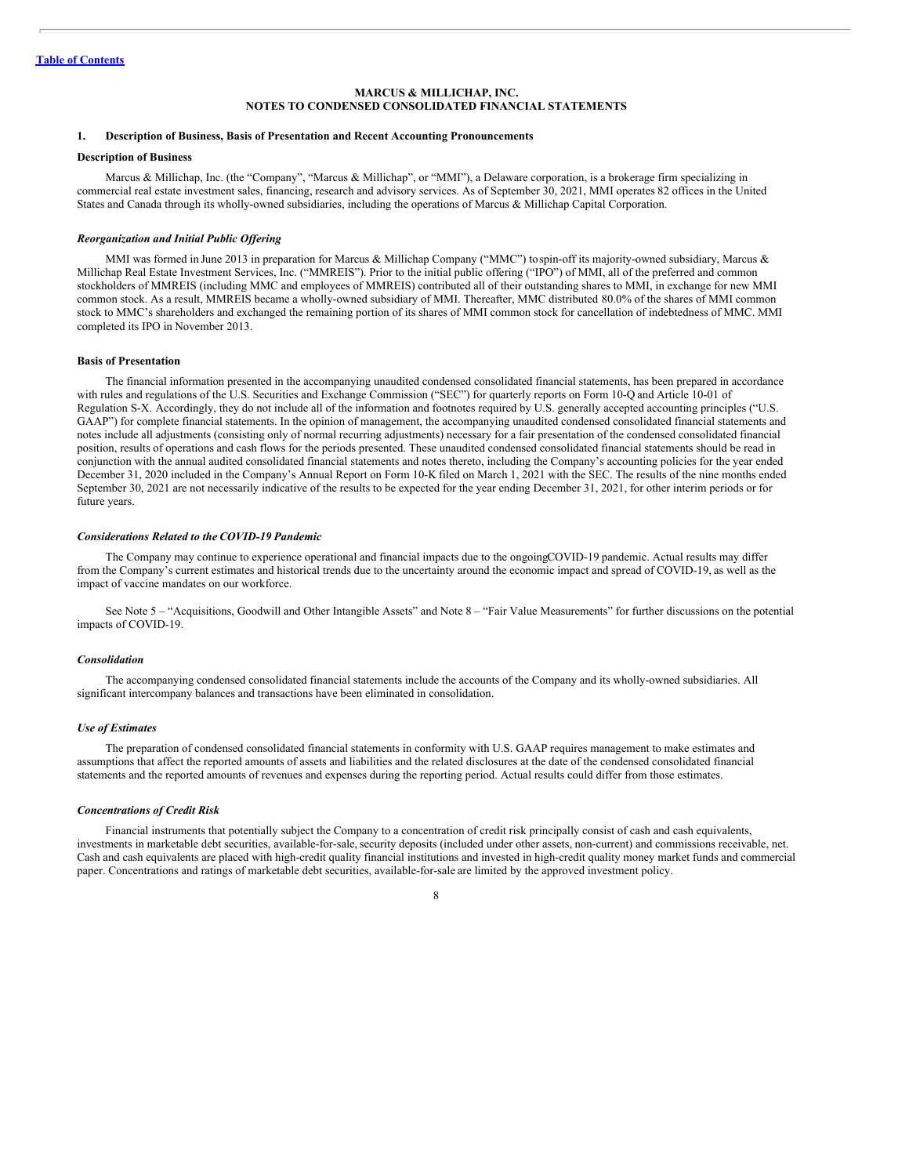## <span id="page-8-0"></span>**1. Description of Business, Basis of Presentation and Recent Accounting Pronouncements**

#### **Description of Business**

Marcus & Millichap, Inc. (the "Company", "Marcus & Millichap", or "MMI"), a Delaware corporation, is a brokerage firm specializing in commercial real estate investment sales, financing, research and advisory services. As of September 30, 2021, MMI operates 82 offices in the United States and Canada through its wholly-owned subsidiaries, including the operations of Marcus & Millichap Capital Corporation.

#### *Reorganization and Initial Public Of ering*

MMI was formed in June 2013 in preparation for Marcus & Millichap Company ("MMC") tospin-off its majority-owned subsidiary, Marcus & Millichap Real Estate Investment Services, Inc. ("MMREIS"). Prior to the initial public offering ("IPO") of MMI, all of the preferred and common stockholders of MMREIS (including MMC and employees of MMREIS) contributed all of their outstanding shares to MMI, in exchange for new MMI common stock. As a result, MMREIS became a wholly-owned subsidiary of MMI. Thereafter, MMC distributed 80.0% of the shares of MMI common stock to MMC's shareholders and exchanged the remaining portion of its shares of MMI common stock for cancellation of indebtedness of MMC. MMI completed its IPO in November 2013.

#### **Basis of Presentation**

The financial information presented in the accompanying unaudited condensed consolidated financial statements, has been prepared in accordance with rules and regulations of the U.S. Securities and Exchange Commission ("SEC") for quarterly reports on Form 10-Q and Article 10-01 of Regulation S-X. Accordingly, they do not include all of the information and footnotes required by U.S. generally accepted accounting principles ("U.S. GAAP") for complete financial statements. In the opinion of management, the accompanying unaudited condensed consolidated financial statements and notes include all adjustments (consisting only of normal recurring adjustments) necessary for a fair presentation of the condensed consolidated financial position, results of operations and cash flows for the periods presented. These unaudited condensed consolidated financial statements should be read in conjunction with the annual audited consolidated financial statements and notes thereto, including the Company's accounting policies for the year ended December 31, 2020 included in the Company's Annual Report on Form 10-K filed on March 1, 2021 with the SEC. The results of the nine months ended September 30, 2021 are not necessarily indicative of the results to be expected for the year ending December 31, 2021, for other interim periods or for future years.

#### *Considerations Related to the COVID-19 Pandemic*

The Company may continue to experience operational and financial impacts due to the ongoingCOVID-19 pandemic. Actual results may differ from the Company's current estimates and historical trends due to the uncertainty around the economic impact and spread of COVID-19, as well as the impact of vaccine mandates on our workforce.

See Note 5 – "Acquisitions, Goodwill and Other Intangible Assets" and Note 8 – "Fair Value Measurements" for further discussions on the potential impacts of COVID-19.

#### *Consolidation*

The accompanying condensed consolidated financial statements include the accounts of the Company and its wholly-owned subsidiaries. All significant intercompany balances and transactions have been eliminated in consolidation.

#### *Use of Estimates*

The preparation of condensed consolidated financial statements in conformity with U.S. GAAP requires management to make estimates and assumptions that affect the reported amounts of assets and liabilities and the related disclosures at the date of the condensed consolidated financial statements and the reported amounts of revenues and expenses during the reporting period. Actual results could differ from those estimates.

#### *Concentrations of Credit Risk*

Financial instruments that potentially subject the Company to a concentration of credit risk principally consist of cash and cash equivalents, investments in marketable debt securities, available-for-sale,security deposits (included under other assets, non-current) and commissions receivable, net. Cash and cash equivalents are placed with high-credit quality financial institutions and invested in high-credit quality money market funds and commercial paper. Concentrations and ratings of marketable debt securities, available-for-sale are limited by the approved investment policy.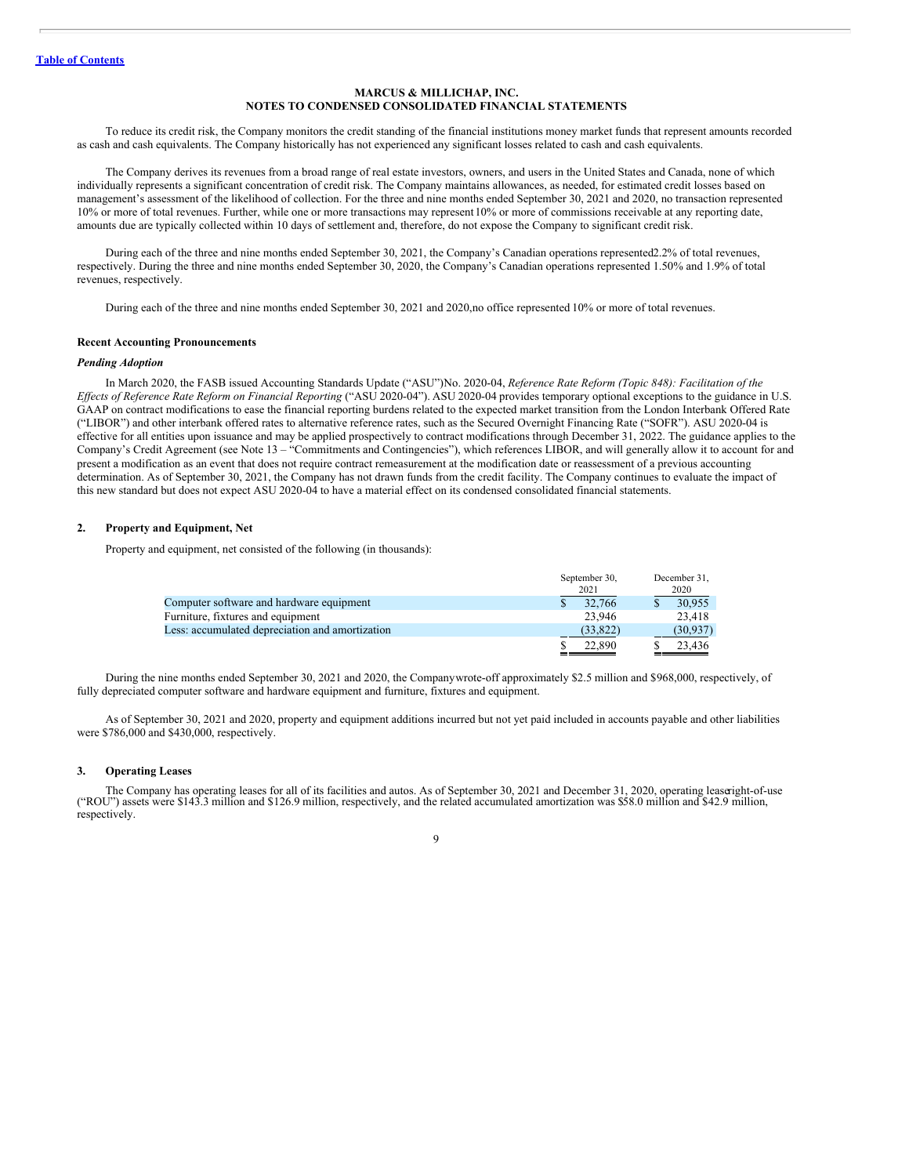To reduce its credit risk, the Company monitors the credit standing of the financial institutions money market funds that represent amounts recorded as cash and cash equivalents. The Company historically has not experienced any significant losses related to cash and cash equivalents.

The Company derives its revenues from a broad range of real estate investors, owners, and users in the United States and Canada, none of which individually represents a significant concentration of credit risk. The Company maintains allowances, as needed, for estimated credit losses based on management's assessment of the likelihood of collection. For the three and nine months ended September 30, 2021 and 2020, no transaction represented 10% or more of total revenues. Further, while one or more transactions may represent10% or more of commissions receivable at any reporting date, amounts due are typically collected within 10 days of settlement and, therefore, do not expose the Company to significant credit risk.

During each of the three and nine months ended September 30, 2021, the Company's Canadian operations represented2.2% of total revenues, respectively. During the three and nine months ended September 30, 2020, the Company's Canadian operations represented 1.50% and 1.9% of total revenues, respectively.

During each of the three and nine months ended September 30, 2021 and 2020,no office represented 10% or more of total revenues.

#### **Recent Accounting Pronouncements**

#### *Pending Adoption*

In March 2020, the FASB issued Accounting Standards Update ("ASU")No. 2020-04, *Reference Rate Reform (Topic 848): Facilitation of the Ef ects of Reference Rate Reform on Financial Reporting* ("ASU 2020-04"). ASU 2020-04 provides temporary optional exceptions to the guidance in U.S. GAAP on contract modifications to ease the financial reporting burdens related to the expected market transition from the London Interbank Offered Rate ("LIBOR") and other interbank offered rates to alternative reference rates, such as the Secured Overnight Financing Rate ("SOFR"). ASU 2020-04 is effective for all entities upon issuance and may be applied prospectively to contract modifications through December 31, 2022. The guidance applies to the Company's Credit Agreement (see Note 13 – "Commitments and Contingencies"), which references LIBOR, and will generally allow it to account for and present a modification as an event that does not require contract remeasurement at the modification date or reassessment of a previous accounting determination. As of September 30, 2021, the Company has not drawn funds from the credit facility. The Company continues to evaluate the impact of this new standard but does not expect ASU 2020-04 to have a material effect on its condensed consolidated financial statements.

## **2. Property and Equipment, Net**

Property and equipment, net consisted of the following (in thousands):

|                                                 | September 30,<br>2021 | December 31,<br>2020 |
|-------------------------------------------------|-----------------------|----------------------|
| Computer software and hardware equipment        | 32,766                | 30.955               |
| Furniture, fixtures and equipment               | 23.946                | 23.418               |
| Less: accumulated depreciation and amortization | (33.822)              | (30.937)             |
|                                                 | 22.890                | 23.436               |

During the nine months ended September 30, 2021 and 2020, the Companywrote-off approximately \$2.5 million and \$968,000, respectively, of fully depreciated computer software and hardware equipment and furniture, fixtures and equipment.

As of September 30, 2021 and 2020, property and equipment additions incurred but not yet paid included in accounts payable and other liabilities were \$786,000 and \$430,000, respectively.

#### **3. Operating Leases**

The Company has operating leases for all of its facilities and autos. As of September 30, 2021 and December 31, 2020, operating leaseright-of-use ("ROU") assets were \$143.3 million and \$126.9 million, respectively, and the related accumulated amortization was \$58.0 million and \$42.9 million, respectively.

## $\overline{Q}$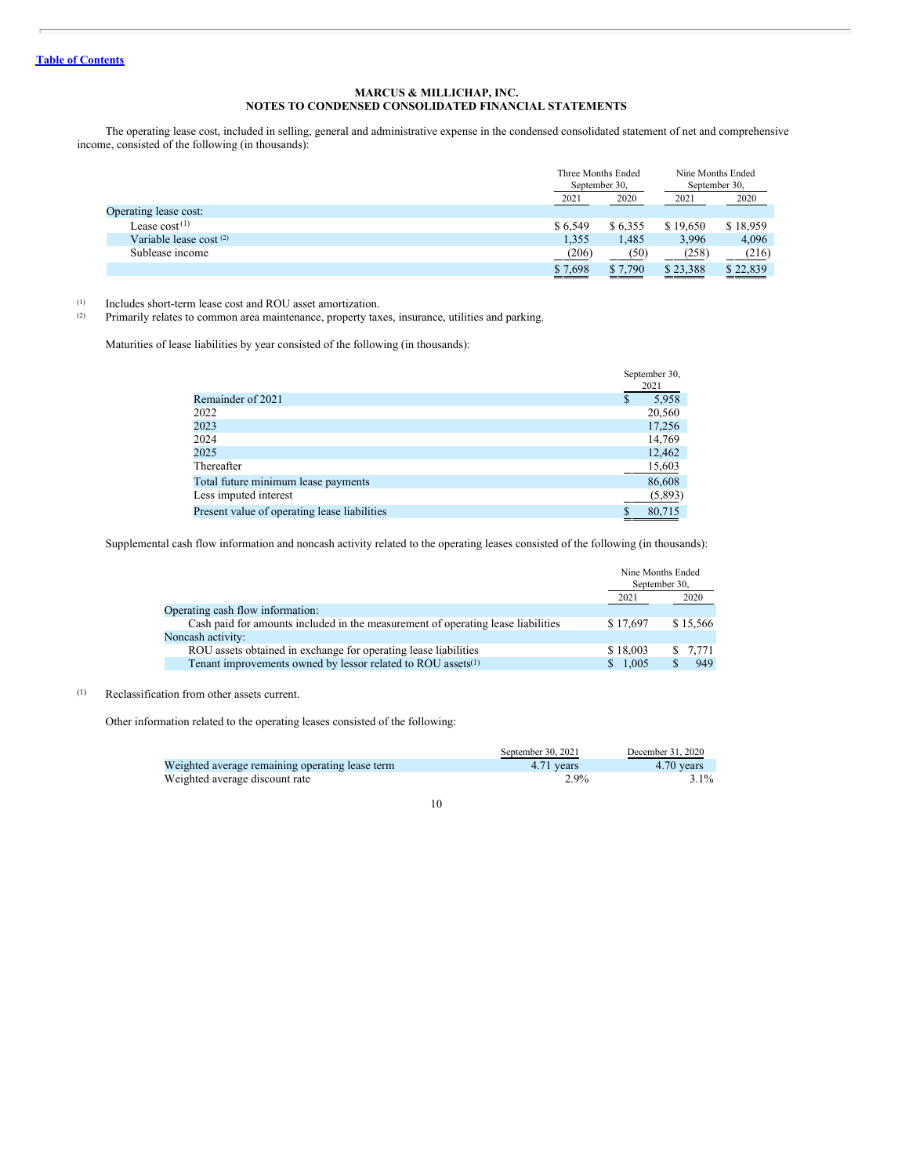The operating lease cost, included in selling, general and administrative expense in the condensed consolidated statement of net and comprehensive income, consisted of the following (in thousands):

|                                    | Three Months Ended<br>September 30, |         | September 30, | Nine Months Ended |
|------------------------------------|-------------------------------------|---------|---------------|-------------------|
|                                    | 2021                                | 2020    | 2021          | 2020              |
| Operating lease cost:              |                                     |         |               |                   |
| Lease $cost^{(1)}$                 | \$6,549                             | \$6.355 | \$19,650      | \$18,959          |
| Variable lease cost <sup>(2)</sup> | 1,355                               | 1.485   | 3,996         | 4.096             |
| Sublease income                    | (206)                               | (50)    | (258)         | (216)             |
|                                    | \$7,698<br>____                     | \$7,790 | \$23.388      | \$22,839          |

## (1) Includes short-term lease cost and ROU asset amortization.<br>(2) Primarily relates to common area maintenance, property tax

Primarily relates to common area maintenance, property taxes, insurance, utilities and parking.

Maturities of lease liabilities by year consisted of the following (in thousands):

|                                              | September 30, |         |  |
|----------------------------------------------|---------------|---------|--|
| Remainder of 2021                            | S             | 5,958   |  |
| 2022                                         |               | 20,560  |  |
| 2023                                         |               | 17,256  |  |
| 2024                                         |               | 14,769  |  |
| 2025                                         |               | 12,462  |  |
| Thereafter                                   |               | 15,603  |  |
| Total future minimum lease payments          |               | 86,608  |  |
| Less imputed interest                        |               | (5,893) |  |
| Present value of operating lease liabilities |               | 80,715  |  |

Supplemental cash flow information and noncash activity related to the operating leases consisted of the following (in thousands):

|                                                                                  |             | Nine Months Ended<br>September 30, |
|----------------------------------------------------------------------------------|-------------|------------------------------------|
|                                                                                  | 2021        | 2020                               |
| Operating cash flow information:                                                 |             |                                    |
| Cash paid for amounts included in the measurement of operating lease liabilities | \$17.697    | \$15,566                           |
| Noncash activity:                                                                |             |                                    |
| ROU assets obtained in exchange for operating lease liabilities                  | \$18,003    | \$7,771                            |
| Tenant improvements owned by lessor related to ROU assets <sup>(1)</sup>         | 1.005<br>S. | 949                                |

## (1) Reclassification from other assets current.

Other information related to the operating leases consisted of the following:

|                                                 | September 30, 2021 | December 31, 2020 |
|-------------------------------------------------|--------------------|-------------------|
| Weighted average remaining operating lease term | 4.71 years         | $4.70$ vears      |
| Weighted average discount rate                  | 2.9%               | $3.1\%$           |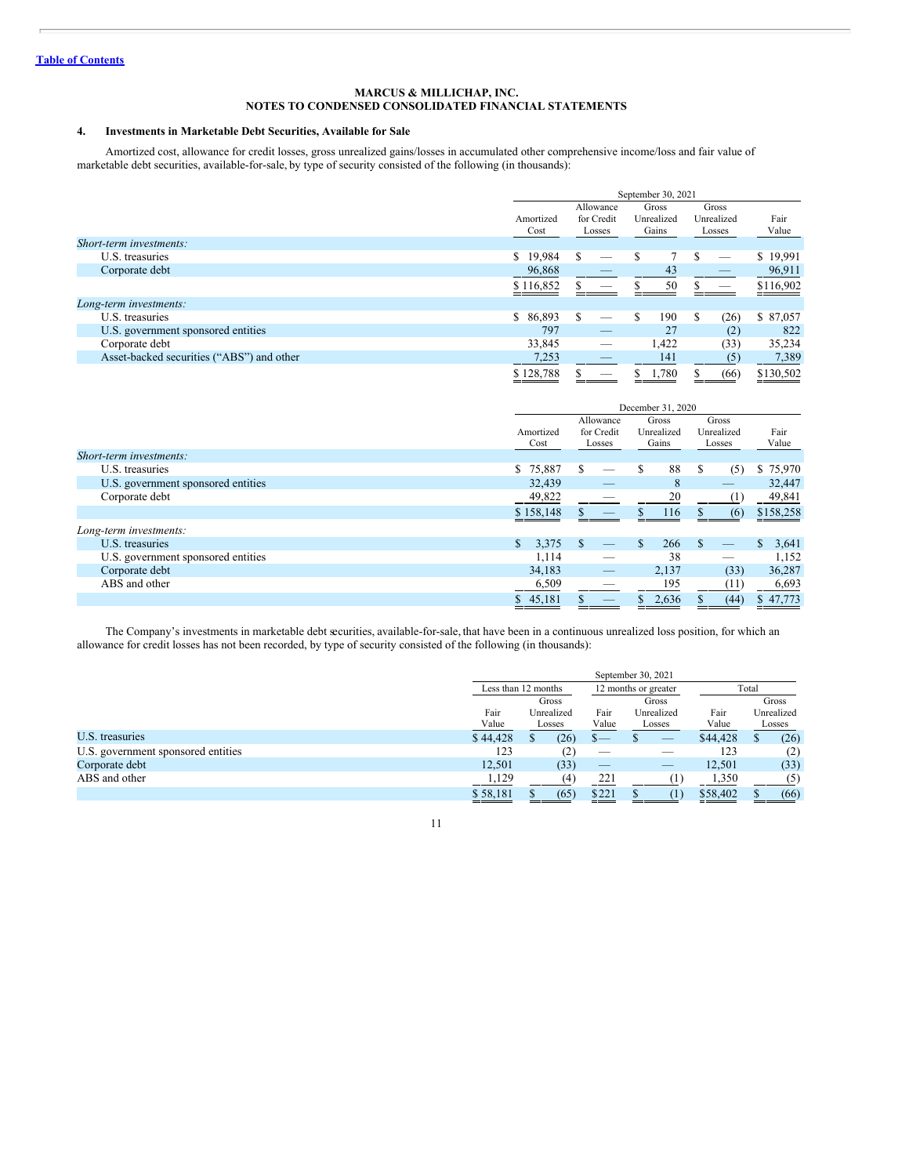## **4. Investments in Marketable Debt Securities, Available for Sale**

Amortized cost, allowance for credit losses, gross unrealized gains/losses in accumulated other comprehensive income/loss and fair value of marketable debt securities, available-for-sale, by type of security consisted of the following (in thousands):

|                                           | September 30, 2021 |            |            |            |            |      |  |  |
|-------------------------------------------|--------------------|------------|------------|------------|------------|------|--|--|
|                                           |                    | Allowance  | Gross      | Gross      |            |      |  |  |
|                                           | Amortized          | for Credit |            | Unrealized | Unrealized | Fair |  |  |
|                                           | Cost               | Losses     | Gains      | Losses     | Value      |      |  |  |
| Short-term investments:                   |                    |            |            |            |            |      |  |  |
| U.S. treasuries                           | 19,984<br>S.       |            |            | \$.        | \$19,991   |      |  |  |
| Corporate debt                            | 96,868             |            | 43         | $-$        | 96,911     |      |  |  |
|                                           | \$116,852          |            | 50         |            | \$116,902  |      |  |  |
| Long-term investments:                    |                    |            |            |            |            |      |  |  |
| U.S. treasuries                           | \$ 86,893          |            | 190<br>S   | S.<br>(26) | \$87,057   |      |  |  |
| U.S. government sponsored entities        | 797                |            | 27         | (2)        | 822        |      |  |  |
| Corporate debt                            | 33,845             | -          | 1,422      | (33)       | 35,234     |      |  |  |
| Asset-backed securities ("ABS") and other | 7,253              |            | 141        | (5)        | 7,389      |      |  |  |
|                                           | \$128,788          |            | 1,780<br>S | (66)       | \$130,502  |      |  |  |

|                                    | December 31, 2020 |            |             |          |             |  |            |            |      |
|------------------------------------|-------------------|------------|-------------|----------|-------------|--|------------|------------|------|
|                                    |                   | Allowance  | Gross       | Gross    |             |  |            |            |      |
|                                    | Amortized         | for Credit |             |          |             |  | Unrealized | Unrealized | Fair |
|                                    | Cost              | Losses     | Gains       | Losses   | Value       |  |            |            |      |
| Short-term investments:            |                   |            |             |          |             |  |            |            |      |
| U.S. treasuries                    | 75,887<br>S.      | S          | S<br>88     | (5)<br>S | \$75,970    |  |            |            |      |
| U.S. government sponsored entities | 32,439            |            | 8           |          | 32,447      |  |            |            |      |
| Corporate debt                     | 49,822            |            | 20          | (1)      | 49,841      |  |            |            |      |
|                                    | \$158,148         |            | 116         | (6)      | \$158,258   |  |            |            |      |
| Long-term investments:             |                   |            |             |          |             |  |            |            |      |
| U.S. treasuries                    | 3,375<br>\$       | S.         | 266<br>\$.  |          | 3,641<br>\$ |  |            |            |      |
| U.S. government sponsored entities | 1,114             |            | 38          |          | 1,152       |  |            |            |      |
| Corporate debt                     | 34,183            | $-$        | 2,137       | (33)     | 36,287      |  |            |            |      |
| ABS and other                      | 6,509             | __         | 195         | (11)     | 6,693       |  |            |            |      |
|                                    | 45,181<br>S.      | _          | 2,636<br>S. | (44)     | \$47,773    |  |            |            |      |

The Company's investments in marketable debt securities, available-for-sale, that have been in a continuous unrealized loss position, for which an allowance for credit losses has not been recorded, by type of security consisted of the following (in thousands):

|                                    | September 30, 2021  |        |            |                          |  |       |            |  |       |       |  |        |  |       |        |  |
|------------------------------------|---------------------|--------|------------|--------------------------|--|-------|------------|--|-------|-------|--|--------|--|-------|--------|--|
|                                    | Less than 12 months |        |            | 12 months or greater     |  |       | Total      |  |       |       |  |        |  |       |        |  |
|                                    |                     |        | Gross      |                          |  | Gross |            |  | Gross |       |  |        |  |       |        |  |
|                                    | Fair                |        | Unrealized | Fair<br>Unrealized       |  | Fair  | Unrealized |  |       |       |  |        |  |       |        |  |
|                                    | Value               | Losses |            |                          |  |       |            |  |       | Value |  | Losses |  | Value | Losses |  |
| U.S. treasuries                    | \$44,428            |        | (26)       | ა—                       |  | _     | \$44,428   |  | (26)  |       |  |        |  |       |        |  |
| U.S. government sponsored entities | 123                 |        | (2         |                          |  |       | 123        |  | (2)   |       |  |        |  |       |        |  |
| Corporate debt                     | 12.501              |        | (33)       | $\overline{\phantom{a}}$ |  |       | 12.501     |  | (33)  |       |  |        |  |       |        |  |
| ABS and other                      | 1,129               |        | (4         | 221                      |  |       | 1,350      |  | (5)   |       |  |        |  |       |        |  |
|                                    | \$58,181            |        | (65)       | \$221                    |  |       | \$58,402   |  | (66)  |       |  |        |  |       |        |  |

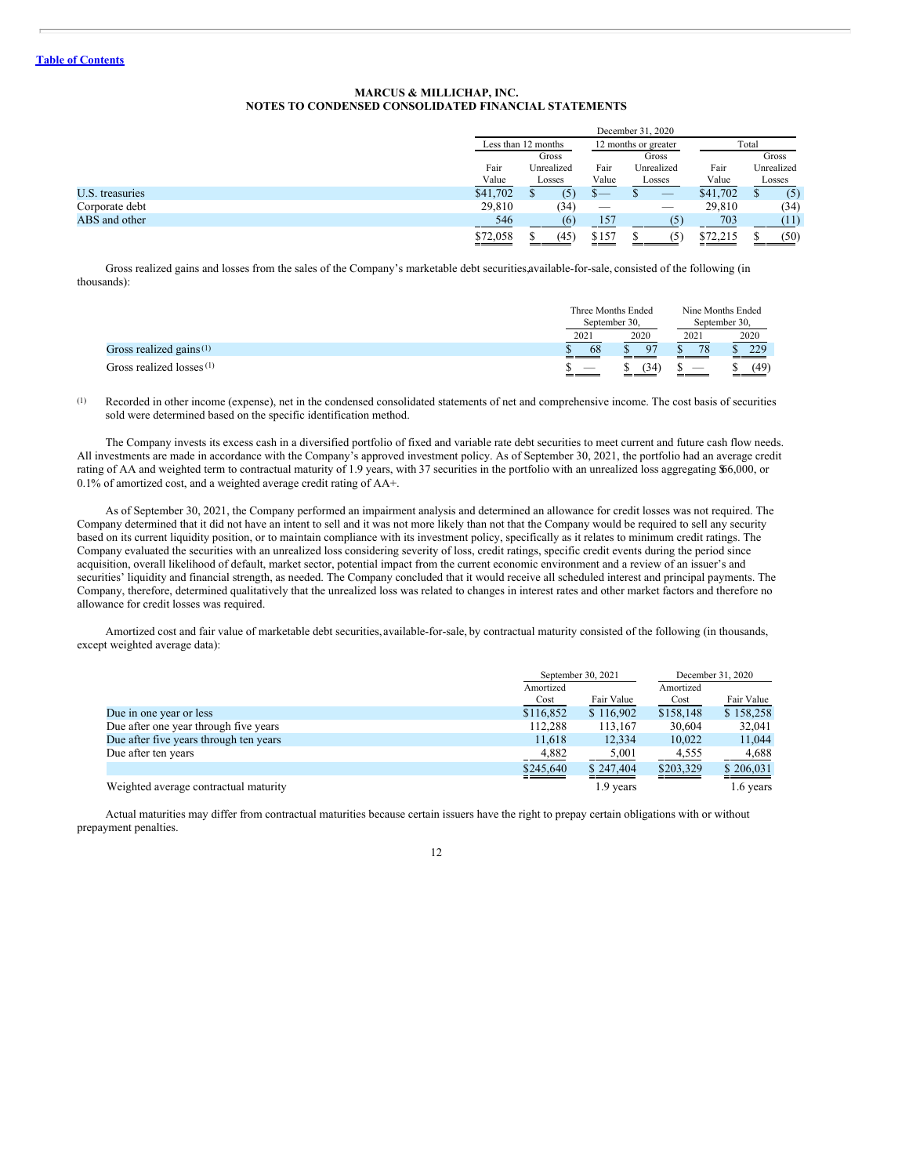|                 |                  | December 31, 2020           |             |                          |                   |            |  |       |
|-----------------|------------------|-----------------------------|-------------|--------------------------|-------------------|------------|--|-------|
|                 |                  | Less than 12 months         |             | 12 months or greater     | Total             |            |  |       |
|                 |                  | Gross<br>Fair<br>Unrealized |             |                          |                   | Gross      |  | Gross |
|                 |                  |                             |             | Unrealized               | Fair              | Unrealized |  |       |
|                 | Value            | Losses                      | Value       | Losses                   | Value             | Losses     |  |       |
| U.S. treasuries | \$41,702         | (5)                         | <u>ъ — </u> | $\overline{\phantom{a}}$ | \$41,702          | (5)        |  |       |
| Corporate debt  | 29,810           | (34)                        |             | $\sim$                   | 29,810            | (34)       |  |       |
| ABS and other   | 546              | (6                          | 157         |                          | 703               | (11)       |  |       |
|                 | \$72,058<br>==== | (45)                        | \$157       |                          | \$72,215<br>_____ | (50)       |  |       |

Gross realized gains and losses from the sales of the Company's marketable debt securities,available-for-sale, consisted of the following (in thousands):

|                                      | Three Months Ended |      | Nine Months Ended |               |  |
|--------------------------------------|--------------------|------|-------------------|---------------|--|
|                                      | September 30,      |      |                   | September 30. |  |
|                                      | 2021               | 2020 | 2021              | 2020          |  |
| Gross realized gains $(1)$           | 68                 | 07   | 78                | 229           |  |
| Gross realized losses <sup>(1)</sup> |                    | ′34  | _                 | (49)          |  |

(1) Recorded in other income (expense), net in the condensed consolidated statements of net and comprehensive income. The cost basis of securities sold were determined based on the specific identification method.

The Company invests its excess cash in a diversified portfolio of fixed and variable rate debt securities to meet current and future cash flow needs. All investments are made in accordance with the Company's approved investment policy. As of September 30, 2021, the portfolio had an average credit rating of AA and weighted term to contractual maturity of 1.9 years, with 37 securities in the portfolio with an unrealized loss aggregating \$6,000, or 0.1% of amortized cost, and a weighted average credit rating of AA+.

As of September 30, 2021, the Company performed an impairment analysis and determined an allowance for credit losses was not required. The Company determined that it did not have an intent to sell and it was not more likely than not that the Company would be required to sell any security based on its current liquidity position, or to maintain compliance with its investment policy, specifically as it relates to minimum credit ratings. The Company evaluated the securities with an unrealized loss considering severity of loss, credit ratings, specific credit events during the period since acquisition, overall likelihood of default, market sector, potential impact from the current economic environment and a review of an issuer's and securities' liquidity and financial strength, as needed. The Company concluded that it would receive all scheduled interest and principal payments. The Company, therefore, determined qualitatively that the unrealized loss was related to changes in interest rates and other market factors and therefore no allowance for credit losses was required.

Amortized cost and fair value of marketable debt securities,available-for-sale, by contractual maturity consisted of the following (in thousands, except weighted average data):

|                                        |           | September 30, 2021 | December 31, 2020 |            |  |
|----------------------------------------|-----------|--------------------|-------------------|------------|--|
|                                        | Amortized |                    | Amortized         |            |  |
|                                        | Cost      | Fair Value         | Cost              | Fair Value |  |
| Due in one year or less                | \$116,852 | \$116,902          | \$158,148         | \$158,258  |  |
| Due after one year through five years  | 112,288   | 113,167            | 30,604            | 32,041     |  |
| Due after five years through ten years | 11,618    | 12.334             | 10,022            | 11,044     |  |
| Due after ten years                    | 4,882     | 5,001              | 4,555             | 4,688      |  |
|                                        | \$245,640 | \$247,404          | \$203,329         | \$206,031  |  |
| Weighted average contractual maturity  |           | 1.9 years          |                   | 1.6 years  |  |

Actual maturities may differ from contractual maturities because certain issuers have the right to prepay certain obligations with or without prepayment penalties.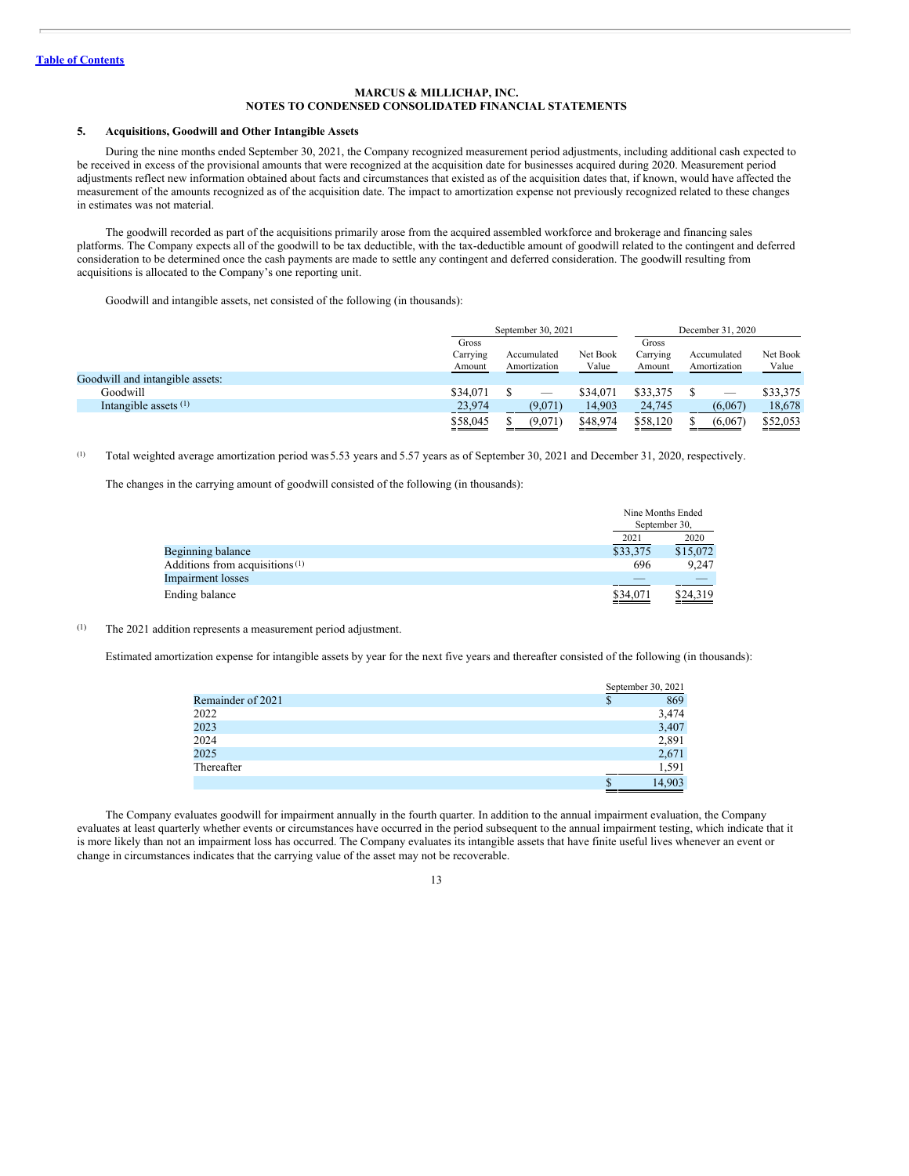## **5. Acquisitions, Goodwill and Other Intangible Assets**

During the nine months ended September 30, 2021, the Company recognized measurement period adjustments, including additional cash expected to be received in excess of the provisional amounts that were recognized at the acquisition date for businesses acquired during 2020. Measurement period adjustments reflect new information obtained about facts and circumstances that existed as of the acquisition dates that, if known, would have affected the measurement of the amounts recognized as of the acquisition date. The impact to amortization expense not previously recognized related to these changes in estimates was not material.

The goodwill recorded as part of the acquisitions primarily arose from the acquired assembled workforce and brokerage and financing sales platforms. The Company expects all of the goodwill to be tax deductible, with the tax-deductible amount of goodwill related to the contingent and deferred consideration to be determined once the cash payments are made to settle any contingent and deferred consideration. The goodwill resulting from acquisitions is allocated to the Company's one reporting unit.

Goodwill and intangible assets, net consisted of the following (in thousands):

|                                 |                             | September 30, 2021          |                   |                             |  | December 31, 2020           |                   |  |  |
|---------------------------------|-----------------------------|-----------------------------|-------------------|-----------------------------|--|-----------------------------|-------------------|--|--|
|                                 | Gross<br>Carrying<br>Amount | Accumulated<br>Amortization | Net Book<br>Value | Gross<br>Carrying<br>Amount |  | Accumulated<br>Amortization | Net Book<br>Value |  |  |
| Goodwill and intangible assets: |                             |                             |                   |                             |  |                             |                   |  |  |
| Goodwill                        | \$34,071                    |                             | \$34,071          | \$33,375                    |  |                             | \$33,375          |  |  |
| Intangible assets $(1)$         | 23,974                      | (9,071)                     | 14,903            | 24,745                      |  | (6,067)                     | 18,678            |  |  |
|                                 | \$58,045                    | (9,071)                     | \$48,974          | \$58,120                    |  | (6,067)                     | \$52,053<br>$ -$  |  |  |

(1) Total weighted average amortization period was5.53 years and 5.57 years as of September 30, 2021 and December 31, 2020, respectively.

The changes in the carrying amount of goodwill consisted of the following (in thousands):

|                                   |          | Nine Months Ended |
|-----------------------------------|----------|-------------------|
|                                   |          | September 30,     |
|                                   | 2021     | 2020              |
| Beginning balance                 | \$33,375 | \$15,072          |
| Additions from acquisitions $(1)$ | 696      | 9,247             |
| <b>Impairment</b> losses          | _        |                   |
| Ending balance                    | \$34,071 | \$24,319          |

#### (1) The 2021 addition represents a measurement period adjustment.

Estimated amortization expense for intangible assets by year for the next five years and thereafter consisted of the following (in thousands):

|                   | September 30, 2021 |
|-------------------|--------------------|
| Remainder of 2021 | 869                |
| 2022              | 3,474              |
| 2023              | 3,407              |
| 2024              | 2,891              |
| 2025              | 2,671              |
| Thereafter        | 1,591              |
|                   | 14.903             |

The Company evaluates goodwill for impairment annually in the fourth quarter. In addition to the annual impairment evaluation, the Company evaluates at least quarterly whether events or circumstances have occurred in the period subsequent to the annual impairment testing, which indicate that it is more likely than not an impairment loss has occurred. The Company evaluates its intangible assets that have finite useful lives whenever an event or change in circumstances indicates that the carrying value of the asset may not be recoverable.

<sup>13</sup>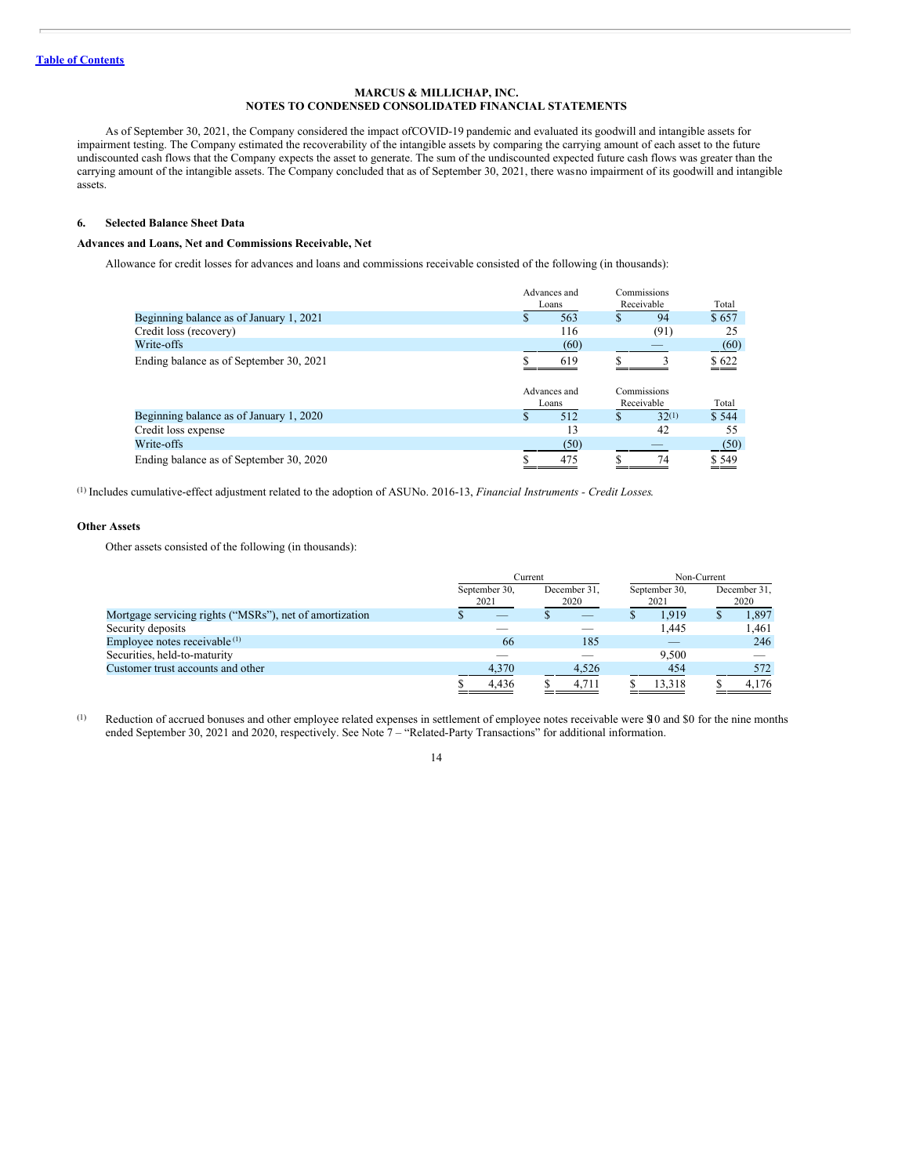As of September 30, 2021, the Company considered the impact ofCOVID-19 pandemic and evaluated its goodwill and intangible assets for impairment testing. The Company estimated the recoverability of the intangible assets by comparing the carrying amount of each asset to the future undiscounted cash flows that the Company expects the asset to generate. The sum of the undiscounted expected future cash flows was greater than the carrying amount of the intangible assets. The Company concluded that as of September 30, 2021, there wasno impairment of its goodwill and intangible assets.

## **6. Selected Balance Sheet Data**

## **Advances and Loans, Net and Commissions Receivable, Net**

Allowance for credit losses for advances and loans and commissions receivable consisted of the following (in thousands):

|                                         | Advances and          |   | Commissions<br>Receivable |       |  |
|-----------------------------------------|-----------------------|---|---------------------------|-------|--|
|                                         | Loans                 |   |                           |       |  |
| Beginning balance as of January 1, 2021 | 563                   | ъ | 94                        | \$657 |  |
| Credit loss (recovery)                  | 116                   |   | (91)                      | 25    |  |
| Write-offs                              | (60)                  |   |                           | (60)  |  |
| Ending balance as of September 30, 2021 | 619                   |   |                           | \$622 |  |
|                                         | Advances and<br>Loans |   | Commissions<br>Receivable | Total |  |
| Beginning balance as of January 1, 2020 | 512<br>S.             | S | $32^{(1)}$                | \$544 |  |
| Credit loss expense                     | 13                    |   | 42                        | 55    |  |
| Write-offs                              | (50)                  |   |                           | (50)  |  |
| Ending balance as of September 30, 2020 | 475                   |   | 74                        | \$549 |  |

(1) Includes cumulative-effect adjustment related to the adoption of ASUNo. 2016-13, *Financial Instruments - Credit Losses*.

## **Other Assets**

Other assets consisted of the following (in thousands):

|                                                         | Current |                       |  |                      | Non-Current |                       |  |                      |  |  |
|---------------------------------------------------------|---------|-----------------------|--|----------------------|-------------|-----------------------|--|----------------------|--|--|
|                                                         |         | September 30,<br>2021 |  | December 31.<br>2020 |             | September 30,<br>2021 |  | December 31,<br>2020 |  |  |
| Mortgage servicing rights ("MSRs"), net of amortization |         |                       |  |                      |             | 1.919                 |  | 1,897                |  |  |
| Security deposits                                       |         |                       |  |                      |             | 1.445                 |  | 1,461                |  |  |
| Employee notes receivable <sup>(1)</sup>                |         | 66                    |  | 185                  |             |                       |  | 246                  |  |  |
| Securities, held-to-maturity                            |         |                       |  |                      |             | 9.500                 |  |                      |  |  |
| Customer trust accounts and other                       |         | 4.370                 |  | 4.526                |             | 454                   |  | 572                  |  |  |
|                                                         |         | 4.436                 |  | 4.711                |             | 13.318                |  | 4.176                |  |  |

(1) Reduction of accrued bonuses and other employee related expenses in settlement of employee notes receivable were \$10 and \$0 for the nine months ended September 30, 2021 and 2020, respectively. See Note 7 – "Related-Party Transactions" for additional information.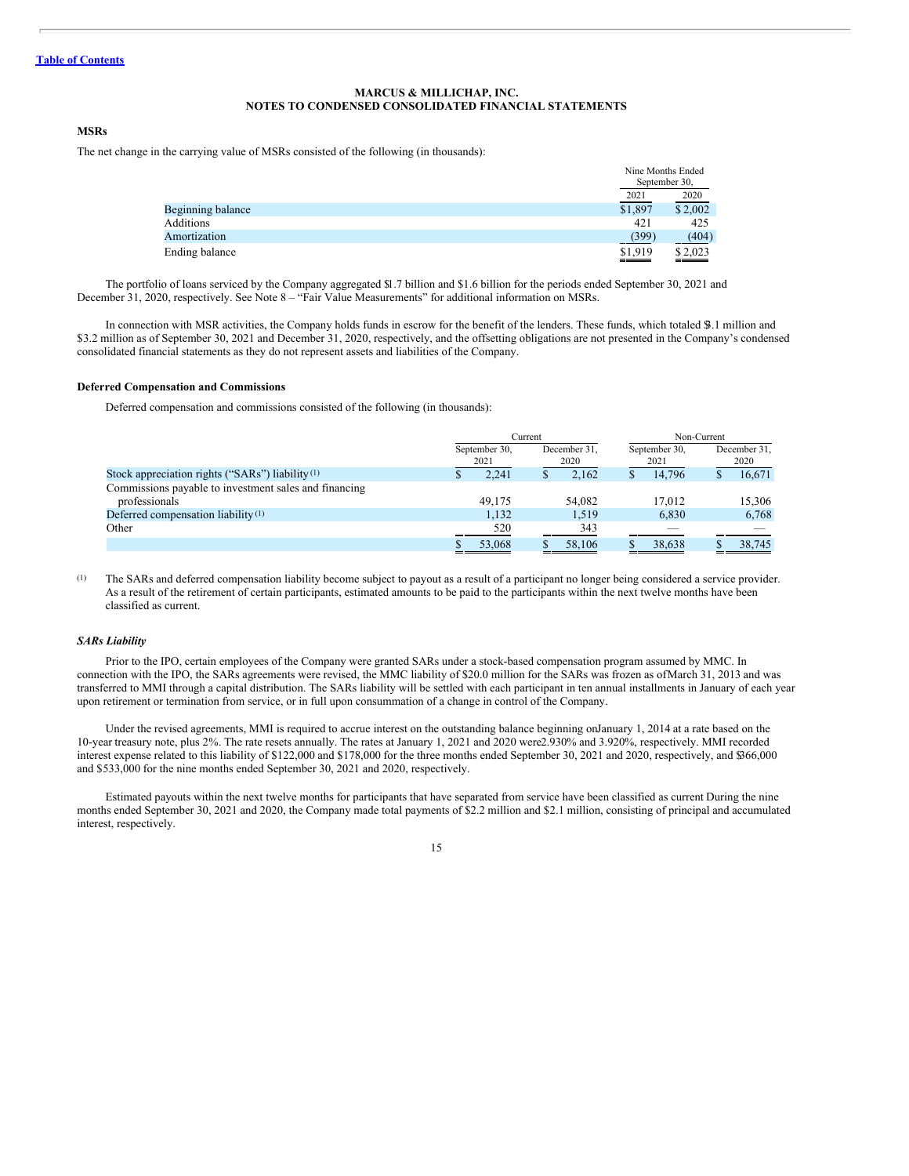## **MSRs**

The net change in the carrying value of MSRs consisted of the following (in thousands):

|                       | Nine Months Ended<br>September 30, |         |
|-----------------------|------------------------------------|---------|
|                       | 2021                               | 2020    |
| Beginning balance     | \$1,897                            | \$2,002 |
| <b>Additions</b>      | 421                                | 425     |
| Amortization          | (399)                              | (404)   |
| <b>Ending balance</b> | \$1,919                            | \$2,023 |

The portfolio of loans serviced by the Company aggregated \$1.7 billion and \$1.6 billion for the periods ended September 30, 2021 and December 31, 2020, respectively. See Note 8 – "Fair Value Measurements" for additional information on MSRs.

In connection with MSR activities, the Company holds funds in escrow for the benefit of the lenders. These funds, which totaled \$3.1 million and \$3.2 million as of September 30, 2021 and December 31, 2020, respectively, and the offsetting obligations are not presented in the Company's condensed consolidated financial statements as they do not represent assets and liabilities of the Company.

#### **Deferred Compensation and Commissions**

Deferred compensation and commissions consisted of the following (in thousands):

|                                                             | Current |                       |  |        |                       | Non-Current |                      |        |  |
|-------------------------------------------------------------|---------|-----------------------|--|--------|-----------------------|-------------|----------------------|--------|--|
|                                                             |         | September 30,<br>2021 |  |        | September 30,<br>2021 |             | December 31,<br>2020 |        |  |
| Stock appreciation rights ("SARs") liability <sup>(1)</sup> |         | 2.241                 |  | 2.162  |                       | 14.796      |                      | 16.671 |  |
| Commissions payable to investment sales and financing       |         |                       |  |        |                       |             |                      |        |  |
| professionals                                               |         | 49.175                |  | 54,082 |                       | 17.012      |                      | 15.306 |  |
| Deferred compensation liability $(1)$                       |         | 1.132                 |  | 1.519  |                       | 6.830       |                      | 6,768  |  |
| Other                                                       |         | 520                   |  | 343    |                       | _           |                      |        |  |
|                                                             |         | 53,068                |  | 58,106 |                       | 38,638      |                      | 38,745 |  |

(1) The SARs and deferred compensation liability become subject to payout as a result of a participant no longer being considered a service provider. As a result of the retirement of certain participants, estimated amounts to be paid to the participants within the next twelve months have been classified as current.

#### *SARs Liability*

Prior to the IPO, certain employees of the Company were granted SARs under a stock-based compensation program assumed by MMC. In connection with the IPO, the SARs agreements were revised, the MMC liability of \$20.0 million for the SARs was frozen as ofMarch 31, 2013 and was transferred to MMI through a capital distribution. The SARs liability will be settled with each participant in ten annual installments in January of each year upon retirement or termination from service, or in full upon consummation of a change in control of the Company.

Under the revised agreements, MMI is required to accrue interest on the outstanding balance beginning onJanuary 1, 2014 at a rate based on the 10-year treasury note, plus 2%. The rate resets annually. The rates at January 1, 2021 and 2020 were2.930% and 3.920%, respectively. MMI recorded interest expense related to this liability of \$122,000 and \$178,000 for the three months ended September 30, 2021 and 2020, respectively, and \$366,000 and \$533,000 for the nine months ended September 30, 2021 and 2020, respectively.

Estimated payouts within the next twelve months for participants that have separated from service have been classified as current During the nine months ended September 30, 2021 and 2020, the Company made total payments of \$2.2 million and \$2.1 million, consisting of principal and accumulated interest, respectively.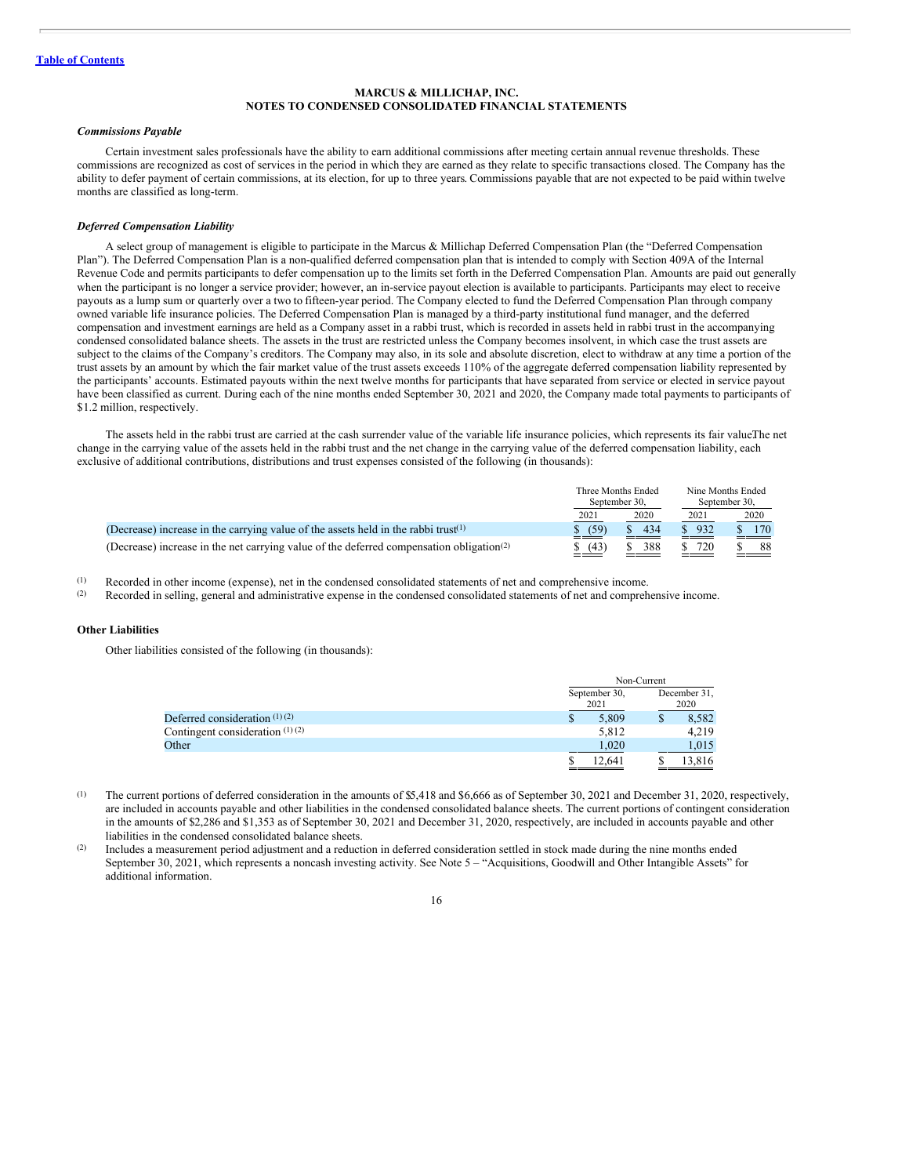#### *Commissions Payable*

Certain investment sales professionals have the ability to earn additional commissions after meeting certain annual revenue thresholds. These commissions are recognized as cost of services in the period in which they are earned as they relate to specific transactions closed. The Company has the ability to defer payment of certain commissions, at its election, for up to three years. Commissions payable that are not expected to be paid within twelve months are classified as long-term.

## *Deferred Compensation Liability*

A select group of management is eligible to participate in the Marcus & Millichap Deferred Compensation Plan (the "Deferred Compensation Plan"). The Deferred Compensation Plan is a non-qualified deferred compensation plan that is intended to comply with Section 409A of the Internal Revenue Code and permits participants to defer compensation up to the limits set forth in the Deferred Compensation Plan. Amounts are paid out generally when the participant is no longer a service provider; however, an in-service payout election is available to participants. Participants may elect to receive payouts as a lump sum or quarterly over a two to fifteen-year period. The Company elected to fund the Deferred Compensation Plan through company owned variable life insurance policies. The Deferred Compensation Plan is managed by a third-party institutional fund manager, and the deferred compensation and investment earnings are held as a Company asset in a rabbi trust, which is recorded in assets held in rabbi trust in the accompanying condensed consolidated balance sheets. The assets in the trust are restricted unless the Company becomes insolvent, in which case the trust assets are subject to the claims of the Company's creditors. The Company may also, in its sole and absolute discretion, elect to withdraw at any time a portion of the trust assets by an amount by which the fair market value of the trust assets exceeds 110% of the aggregate deferred compensation liability represented by the participants' accounts. Estimated payouts within the next twelve months for participants that have separated from service or elected in service payout have been classified as current. During each of the nine months ended September 30, 2021 and 2020, the Company made total payments to participants of \$1.2 million, respectively.

The assets held in the rabbi trust are carried at the cash surrender value of the variable life insurance policies, which represents its fair valueThe net change in the carrying value of the assets held in the rabbi trust and the net change in the carrying value of the deferred compensation liability, each exclusive of additional contributions, distributions and trust expenses consisted of the following (in thousands):

|                                                                                                      |         | Three Months Ended<br>September 30. | Nine Months Ended<br>September 30. |      |  |  |
|------------------------------------------------------------------------------------------------------|---------|-------------------------------------|------------------------------------|------|--|--|
|                                                                                                      | 2021    | 2020                                | 2021                               | 2020 |  |  |
| (Decrease) increase in the carrying value of the assets held in the rabbi trust <sup>(1)</sup>       | \$ (59) | 434                                 | \$932                              | 170  |  |  |
| (Decrease) increase in the net carrying value of the deferred compensation obligation <sup>(2)</sup> | \$ (43) | 388                                 | 720                                | 88   |  |  |

(1) Recorded in other income (expense), net in the condensed consolidated statements of net and comprehensive income.

(2) Recorded in selling, general and administrative expense in the condensed consolidated statements of net and comprehensive income.

#### **Other Liabilities**

Other liabilities consisted of the following (in thousands):

|                                   | Non-Current   |      |              |  |  |
|-----------------------------------|---------------|------|--------------|--|--|
|                                   | September 30, |      | December 31, |  |  |
|                                   | 2021          | 2020 |              |  |  |
| Deferred consideration $(1)(2)$   | 5,809         |      | 8,582        |  |  |
| Contingent consideration $(1)(2)$ | 5.812         |      | 4,219        |  |  |
| Other                             | 1.020         |      | 1.015        |  |  |
|                                   | 12.641        |      | 13,816       |  |  |

- (1) The current portions of deferred consideration in the amounts of \$5,418 and \$6,666 as of September 30, 2021 and December 31, 2020, respectively, are included in accounts payable and other liabilities in the condensed consolidated balance sheets. The current portions of contingent consideration in the amounts of \$2,286 and \$1,353 as of September 30, 2021 and December 31, 2020, respectively, are included in accounts payable and other liabilities in the condensed consolidated balance sheets.
- (2) Includes a measurement period adjustment and a reduction in deferred consideration settled in stock made during the nine months ended September 30, 2021, which represents a noncash investing activity. See Note 5 – "Acquisitions, Goodwill and Other Intangible Assets" for additional information.

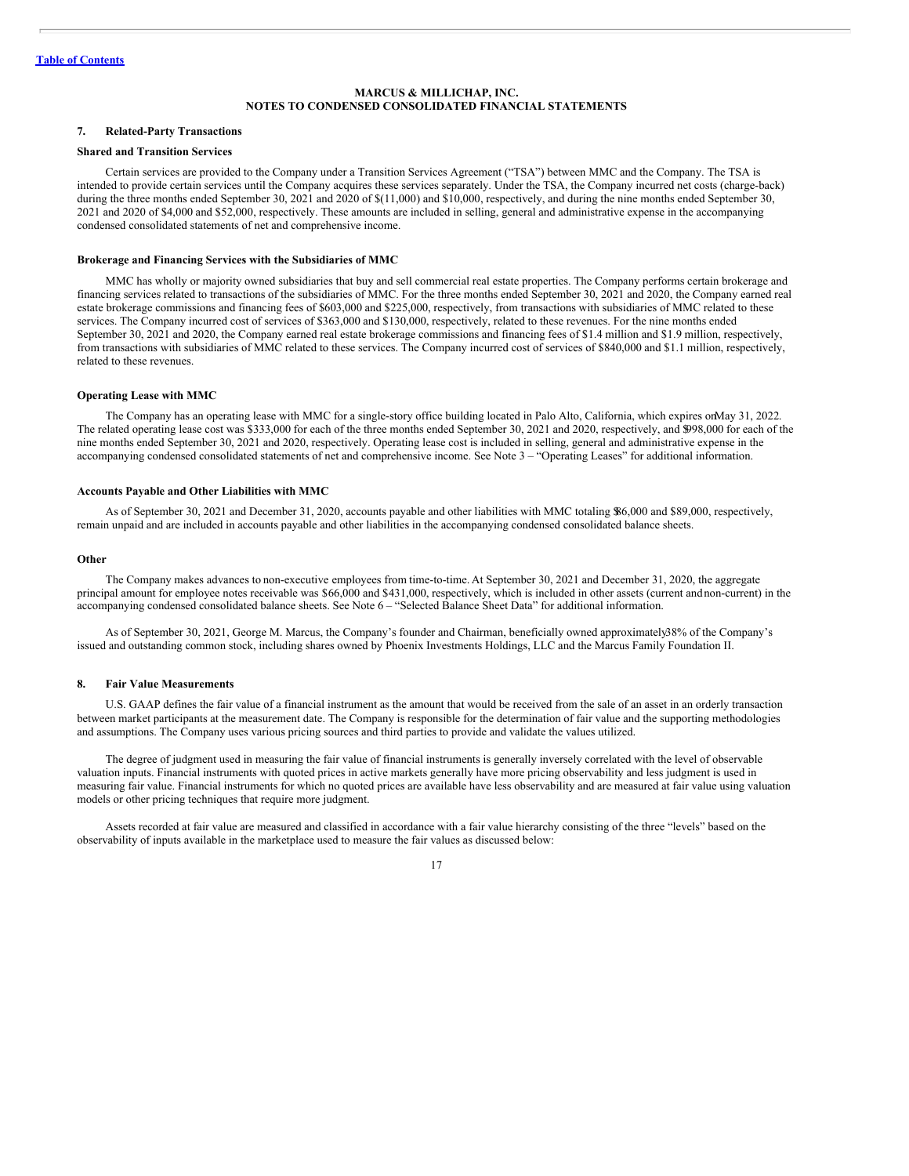#### **7. Related-Party Transactions**

#### **Shared and Transition Services**

Certain services are provided to the Company under a Transition Services Agreement ("TSA") between MMC and the Company. The TSA is intended to provide certain services until the Company acquires these services separately. Under the TSA, the Company incurred net costs (charge-back) during the three months ended September 30, 2021 and 2020 of  $\frac{1}{1,000}$  and \$10,000, respectively, and during the nine months ended September 30, 2021 and 2020 of \$4,000 and \$52,000, respectively. These amounts are included in selling, general and administrative expense in the accompanying condensed consolidated statements of net and comprehensive income.

## **Brokerage and Financing Services with the Subsidiaries of MMC**

MMC has wholly or majority owned subsidiaries that buy and sell commercial real estate properties. The Company performs certain brokerage and financing services related to transactions of the subsidiaries of MMC. For the three months ended September 30, 2021 and 2020, the Company earned real estate brokerage commissions and financing fees of \$603,000 and \$225,000, respectively, from transactions with subsidiaries of MMC related to these services. The Company incurred cost of services of \$363,000 and \$130,000, respectively, related to these revenues. For the nine months ended September 30, 2021 and 2020, the Company earned real estate brokerage commissions and financing fees of \$1.4 million and \$1.9 million, respectively, from transactions with subsidiaries of MMC related to these services. The Company incurred cost of services of \$840,000 and \$1.1 million, respectively, related to these revenues.

#### **Operating Lease with MMC**

The Company has an operating lease with MMC for a single-story office building located in Palo Alto, California, which expires onMay 31, 2022. The related operating lease cost was \$333,000 for each of the three months ended September 30, 2021 and 2020, respectively, and \$998,000 for each of the nine months ended September 30, 2021 and 2020, respectively. Operating lease cost is included in selling, general and administrative expense in the accompanying condensed consolidated statements of net and comprehensive income. See Note 3 – "Operating Leases" for additional information.

## **Accounts Payable and Other Liabilities with MMC**

As of September 30, 2021 and December 31, 2020, accounts payable and other liabilities with MMC totaling \$86,000 and \$89,000, respectively, remain unpaid and are included in accounts payable and other liabilities in the accompanying condensed consolidated balance sheets.

#### **Other**

The Company makes advances to non-executive employees from time-to-time. At September 30, 2021 and December 31, 2020, the aggregate principal amount for employee notes receivable was \$66,000 and \$431,000, respectively, which is included in other assets (current andnon-current) in the accompanying condensed consolidated balance sheets. See Note 6 – "Selected Balance Sheet Data" for additional information.

As of September 30, 2021, George M. Marcus, the Company's founder and Chairman, beneficially owned approximately38% of the Company's issued and outstanding common stock, including shares owned by Phoenix Investments Holdings, LLC and the Marcus Family Foundation II.

#### **8. Fair Value Measurements**

U.S. GAAP defines the fair value of a financial instrument as the amount that would be received from the sale of an asset in an orderly transaction between market participants at the measurement date. The Company is responsible for the determination of fair value and the supporting methodologies and assumptions. The Company uses various pricing sources and third parties to provide and validate the values utilized.

The degree of judgment used in measuring the fair value of financial instruments is generally inversely correlated with the level of observable valuation inputs. Financial instruments with quoted prices in active markets generally have more pricing observability and less judgment is used in measuring fair value. Financial instruments for which no quoted prices are available have less observability and are measured at fair value using valuation models or other pricing techniques that require more judgment.

Assets recorded at fair value are measured and classified in accordance with a fair value hierarchy consisting of the three "levels" based on the observability of inputs available in the marketplace used to measure the fair values as discussed below: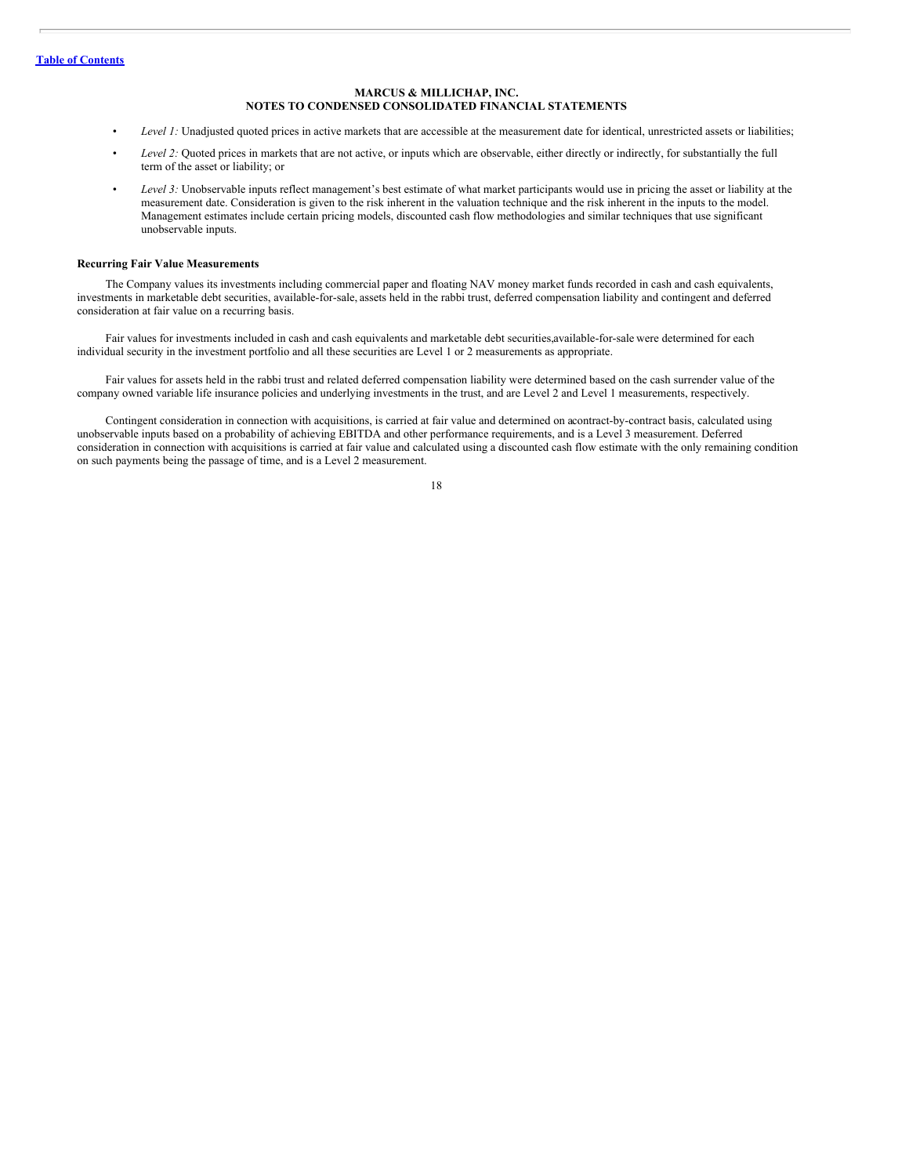- *Level 1:* Unadjusted quoted prices in active markets that are accessible at the measurement date for identical, unrestricted assets or liabilities;
- *Level 2:* Quoted prices in markets that are not active, or inputs which are observable, either directly or indirectly, for substantially the full term of the asset or liability; or
- Level 3: Unobservable inputs reflect management's best estimate of what market participants would use in pricing the asset or liability at the measurement date. Consideration is given to the risk inherent in the valuation technique and the risk inherent in the inputs to the model. Management estimates include certain pricing models, discounted cash flow methodologies and similar techniques that use significant unobservable inputs.

## **Recurring Fair Value Measurements**

The Company values its investments including commercial paper and floating NAV money market funds recorded in cash and cash equivalents, investments in marketable debt securities, available-for-sale, assets held in the rabbi trust, deferred compensation liability and contingent and deferred consideration at fair value on a recurring basis.

Fair values for investments included in cash and cash equivalents and marketable debt securities,available-for-sale were determined for each individual security in the investment portfolio and all these securities are Level 1 or 2 measurements as appropriate.

Fair values for assets held in the rabbi trust and related deferred compensation liability were determined based on the cash surrender value of the company owned variable life insurance policies and underlying investments in the trust, and are Level 2 and Level 1 measurements, respectively.

Contingent consideration in connection with acquisitions, is carried at fair value and determined on acontract-by-contract basis, calculated using unobservable inputs based on a probability of achieving EBITDA and other performance requirements, and is a Level 3 measurement. Deferred consideration in connection with acquisitions is carried at fair value and calculated using a discounted cash flow estimate with the only remaining condition on such payments being the passage of time, and is a Level 2 measurement.

<sup>18</sup>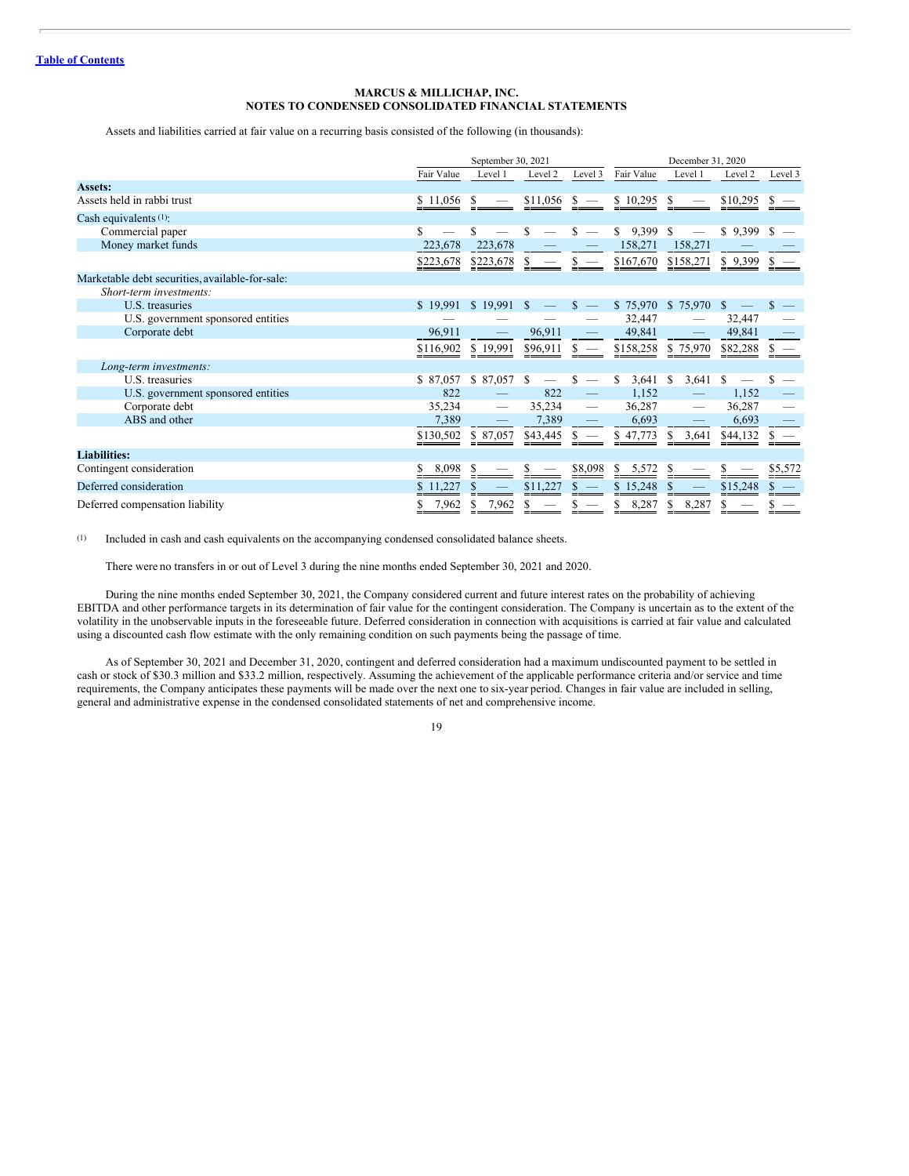Assets and liabilities carried at fair value on a recurring basis consisted of the following (in thousands):

|                                                 |            | September 30, 2021 | December 31, 2020       |                                 |                          |                                 |              |         |
|-------------------------------------------------|------------|--------------------|-------------------------|---------------------------------|--------------------------|---------------------------------|--------------|---------|
|                                                 | Fair Value | Level 1            | Level 2                 | Level 3                         | Fair Value               | Level 1                         | Level 2      | Level 3 |
| <b>Assets:</b>                                  |            |                    |                         |                                 |                          |                                 |              |         |
| Assets held in rabbi trust                      | \$11,056   | <sup>S</sup>       | \$11,056                | $s -$                           | \$10,295                 | S                               | \$10,295     |         |
| Cash equivalents $(1)$ :                        |            |                    |                         |                                 |                          |                                 |              |         |
| Commercial paper                                | \$.        |                    | S                       | $s -$                           | $\mathbb{S}$<br>9,399 \$ | $\hspace{0.1mm}-\hspace{0.1mm}$ | \$9.399      | S.      |
| Money market funds                              | 223,678    | 223,678            |                         |                                 | 158,271                  | 158,271                         |              |         |
|                                                 | \$223,678  | \$223,678          | -S<br>$\hspace{0.05cm}$ | $s -$                           | \$167,670                | \$158,271                       | \$9,399      |         |
| Marketable debt securities, available-for-sale: |            |                    |                         |                                 |                          |                                 |              |         |
| Short-term investments:                         |            |                    |                         |                                 |                          |                                 |              |         |
| U.S. treasuries                                 |            | \$19,991 \$19,991  | -S                      | $s =$                           | \$75,970                 | \$75,970                        | <sup>S</sup> |         |
| U.S. government sponsored entities              |            |                    |                         |                                 | 32,447                   |                                 | 32,447       |         |
| Corporate debt                                  | 96,911     |                    | 96,911                  |                                 | 49,841                   |                                 | 49,841       |         |
|                                                 | \$116,902  | \$19,991           | \$96,911                | $s -$                           | \$158,258                | \$75,970                        | \$82,288     |         |
| Long-term investments:                          |            |                    |                         |                                 |                          |                                 |              |         |
| U.S. treasuries                                 | \$ 87,057  | $$87,057$ \, S     |                         | S                               | 3,641<br>S               | <sup>S</sup><br>3,641           | S            |         |
| U.S. government sponsored entities              | 822        |                    | 822                     |                                 | 1,152                    |                                 | 1,152        |         |
| Corporate debt                                  | 35,234     |                    | 35,234                  | $\hspace{0.1mm}-\hspace{0.1mm}$ | 36,287                   |                                 | 36,287       |         |
| ABS and other                                   | 7,389      |                    | 7,389                   |                                 | 6,693                    |                                 | 6,693        |         |
|                                                 | \$130,502  | \$ 87,057          | \$43,445                |                                 | \$47,773                 | \$<br>3,641                     | \$44,132     |         |
| <b>Liabilities:</b>                             |            |                    |                         |                                 |                          |                                 |              |         |
| Contingent consideration                        | 8.098      |                    |                         | \$8,098                         | \$5,572                  |                                 |              | \$5,572 |
| Deferred consideration                          | 1,227      |                    | \$11,227                |                                 | \$15,248                 | S                               | \$15,248     |         |
| Deferred compensation liability                 | 7,962      | 7,962<br>Y.        | Ъ                       |                                 | 8,287<br>S               | $\frac{S}{\Box}$<br>8,287       |              |         |

(1) Included in cash and cash equivalents on the accompanying condensed consolidated balance sheets.

There were no transfers in or out of Level 3 during the nine months ended September 30, 2021 and 2020.

During the nine months ended September 30, 2021, the Company considered current and future interest rates on the probability of achieving EBITDA and other performance targets in its determination of fair value for the contingent consideration. The Company is uncertain as to the extent of the volatility in the unobservable inputs in the foreseeable future. Deferred consideration in connection with acquisitions is carried at fair value and calculated using a discounted cash flow estimate with the only remaining condition on such payments being the passage of time.

As of September 30, 2021 and December 31, 2020, contingent and deferred consideration had a maximum undiscounted payment to be settled in cash or stock of \$30.3 million and \$33.2 million, respectively. Assuming the achievement of the applicable performance criteria and/or service and time requirements, the Company anticipates these payments will be made over the next one to six-year period. Changes in fair value are included in selling, general and administrative expense in the condensed consolidated statements of net and comprehensive income.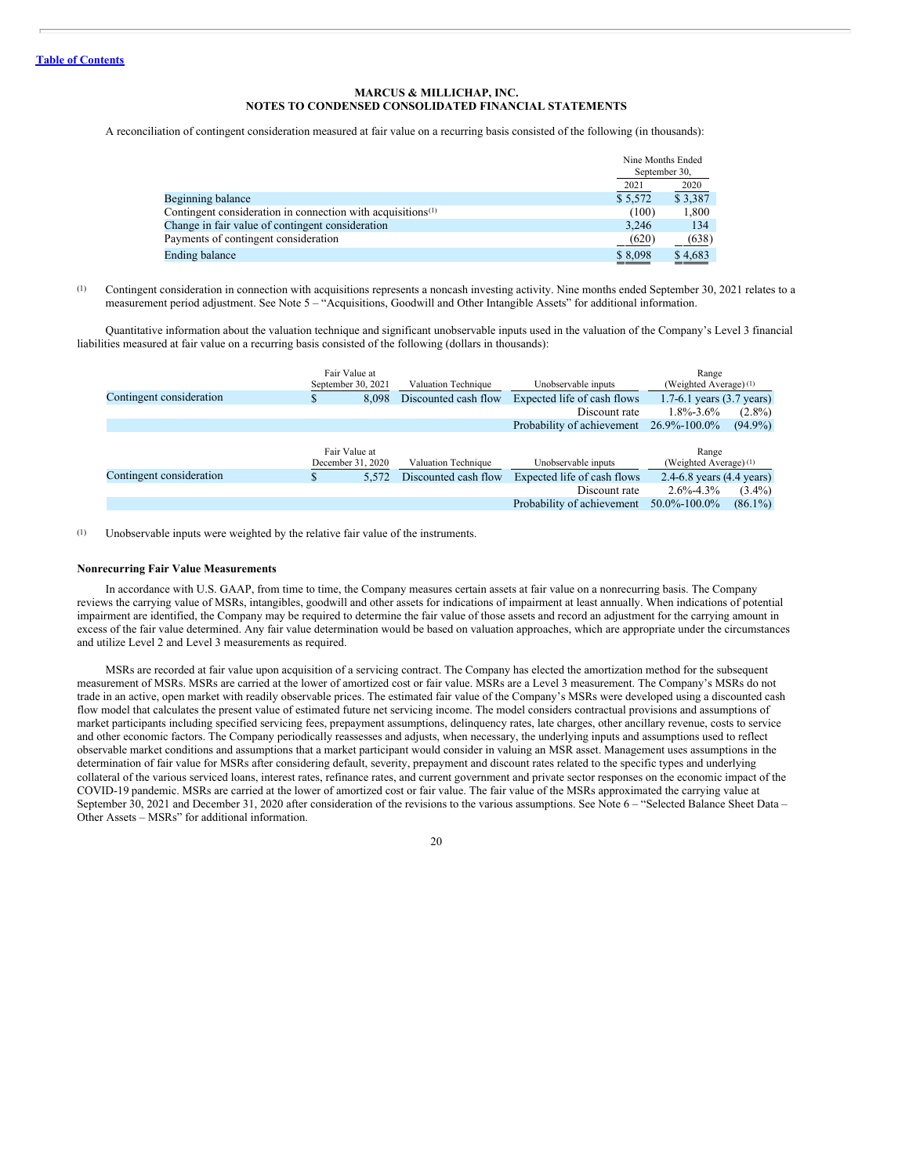A reconciliation of contingent consideration measured at fair value on a recurring basis consisted of the following (in thousands):

|                                                                                      | Nine Months Ended<br>September 30, |         |
|--------------------------------------------------------------------------------------|------------------------------------|---------|
|                                                                                      | 2021                               | 2020    |
| Beginning balance                                                                    | \$5.572                            | \$3,387 |
| Contingent consideration in connection with acquisitions <sup><math>(1)</math></sup> | (100)                              | 1,800   |
| Change in fair value of contingent consideration                                     | 3.246                              | 134     |
| Payments of contingent consideration                                                 | (620)                              | (638)   |
| <b>Ending balance</b>                                                                | \$8,098                            | \$4,683 |

(1) Contingent consideration in connection with acquisitions represents a noncash investing activity. Nine months ended September 30, 2021 relates to a measurement period adjustment. See Note 5 – "Acquisitions, Goodwill and Other Intangible Assets" for additional information.

Quantitative information about the valuation technique and significant unobservable inputs used in the valuation of the Company's Level 3 financial liabilities measured at fair value on a recurring basis consisted of the following (dollars in thousands):

| Fair Value at<br>September 30, 2021 | Valuation Technique  | Unobservable inputs         | Range<br>(Weighted Average) (1)            |
|-------------------------------------|----------------------|-----------------------------|--------------------------------------------|
| 8.098                               | Discounted cash flow | Expected life of cash flows | 1.7-6.1 years $(3.7 \text{ years})$        |
|                                     |                      | Discount rate               | $1.8\% - 3.6\%$<br>$(2.8\%)$               |
|                                     |                      | Probability of achievement  | $26.9\% - 100.0\%$<br>$(94.9\%)$           |
| Fair Value at                       |                      |                             | Range<br>(Weighted Average) <sup>(1)</sup> |
| 5.572                               | Discounted cash flow | Expected life of cash flows | 2.4-6.8 years $(4.4 \text{ years})$        |
|                                     |                      | Discount rate               | $2.6\% - 4.3\%$<br>$(3.4\%)$               |
|                                     |                      | Probability of achievement  | $50.0\% - 100.0\%$<br>$(86.1\%)$           |
|                                     | December 31, 2020    | Valuation Technique         | Unobservable inputs                        |

(1) Unobservable inputs were weighted by the relative fair value of the instruments.

#### **Nonrecurring Fair Value Measurements**

In accordance with U.S. GAAP, from time to time, the Company measures certain assets at fair value on a nonrecurring basis. The Company reviews the carrying value of MSRs, intangibles, goodwill and other assets for indications of impairment at least annually. When indications of potential impairment are identified, the Company may be required to determine the fair value of those assets and record an adjustment for the carrying amount in excess of the fair value determined. Any fair value determination would be based on valuation approaches, which are appropriate under the circumstances and utilize Level 2 and Level 3 measurements as required.

MSRs are recorded at fair value upon acquisition of a servicing contract. The Company has elected the amortization method for the subsequent measurement of MSRs. MSRs are carried at the lower of amortized cost or fair value. MSRs are a Level 3 measurement. The Company's MSRs do not trade in an active, open market with readily observable prices. The estimated fair value of the Company's MSRs were developed using a discounted cash flow model that calculates the present value of estimated future net servicing income. The model considers contractual provisions and assumptions of market participants including specified servicing fees, prepayment assumptions, delinquency rates, late charges, other ancillary revenue, costs to service and other economic factors. The Company periodically reassesses and adjusts, when necessary, the underlying inputs and assumptions used to reflect observable market conditions and assumptions that a market participant would consider in valuing an MSR asset. Management uses assumptions in the determination of fair value for MSRs after considering default, severity, prepayment and discount rates related to the specific types and underlying collateral of the various serviced loans, interest rates, refinance rates, and current government and private sector responses on the economic impact of the COVID-19 pandemic. MSRs are carried at the lower of amortized cost or fair value. The fair value of the MSRs approximated the carrying value at September 30, 2021 and December 31, 2020 after consideration of the revisions to the various assumptions. See Note 6 – "Selected Balance Sheet Data – Other Assets – MSRs" for additional information.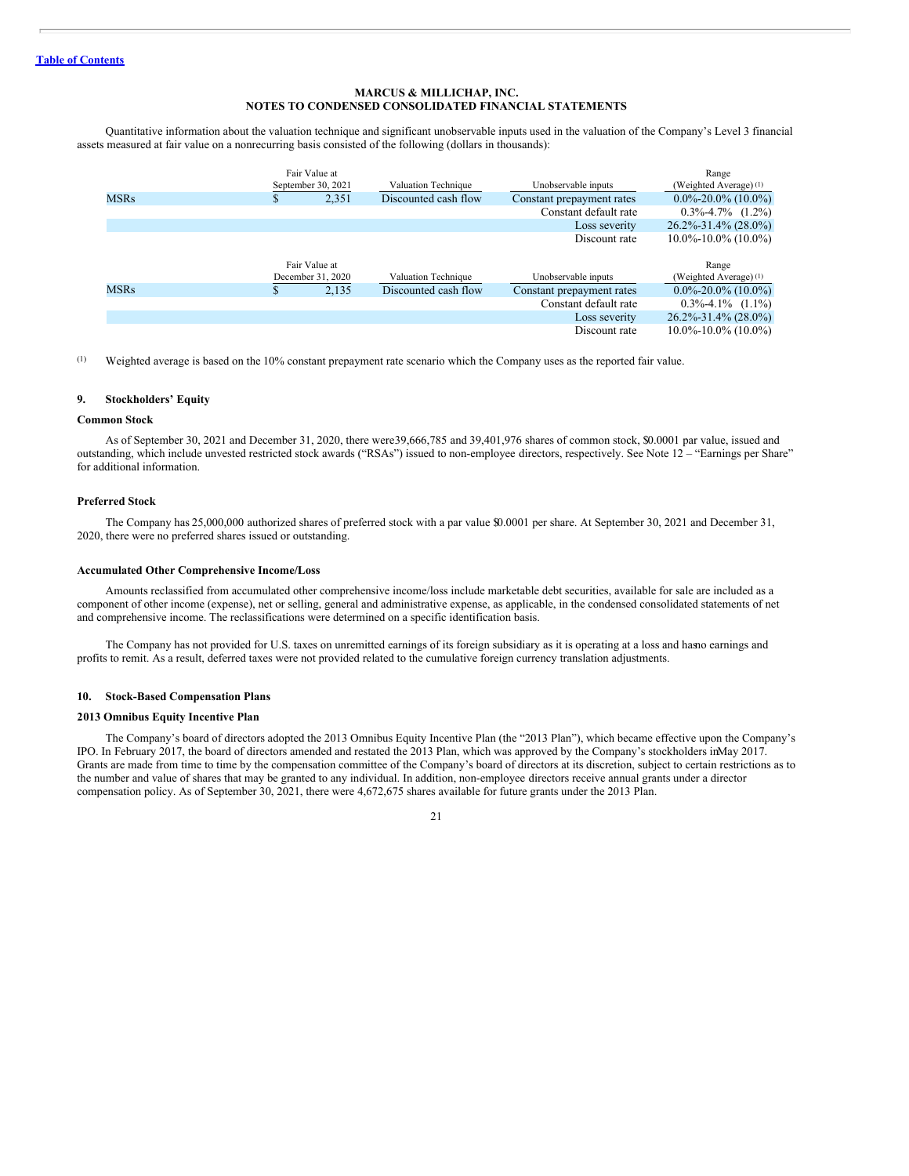Quantitative information about the valuation technique and significant unobservable inputs used in the valuation of the Company's Level 3 financial assets measured at fair value on a nonrecurring basis consisted of the following (dollars in thousands):

|             | Fair Value at<br>September 30, 2021 | Valuation Technique  | Unobservable inputs       | Range<br>(Weighted Average) (1) |
|-------------|-------------------------------------|----------------------|---------------------------|---------------------------------|
| <b>MSRs</b> | 2,351                               | Discounted cash flow | Constant prepayment rates | $0.0\% - 20.0\%$ (10.0%)        |
|             |                                     |                      | Constant default rate     | $0.3\% - 4.7\%$ $(1.2\%)$       |
|             |                                     |                      | Loss severity             | $26.2\% - 31.4\% (28.0\%)$      |
|             |                                     |                      | Discount rate             | $10.0\% - 10.0\%$ (10.0%)       |
|             |                                     |                      |                           |                                 |
|             |                                     |                      |                           |                                 |
|             | Fair Value at                       |                      |                           | Range                           |
|             | December 31, 2020                   | Valuation Technique  | Unobservable inputs       | (Weighted Average) (1)          |
| <b>MSRs</b> | 2,135                               | Discounted cash flow | Constant prepayment rates | $0.0\% - 20.0\%$ (10.0%)        |
|             |                                     |                      | Constant default rate     | $0.3\% - 4.1\%$ $(1.1\%)$       |
|             |                                     |                      | Loss severity             | $26.2\% - 31.4\% (28.0\%)$      |
|             |                                     |                      | Discount rate             | $10.0\% - 10.0\%$ (10.0%)       |

(1) Weighted average is based on the 10% constant prepayment rate scenario which the Company uses as the reported fair value.

## **9. Stockholders' Equity**

## **Common Stock**

As of September 30, 2021 and December 31, 2020, there were39,666,785 and 39,401,976 shares of common stock, \$0.0001 par value, issued and outstanding, which include unvested restricted stock awards ("RSAs") issued to non-employee directors, respectively. See Note 12 – "Earnings per Share" for additional information.

## **Preferred Stock**

The Company has 25,000,000 authorized shares of preferred stock with a par value \$0.0001 per share. At September 30, 2021 and December 31, 2020, there were no preferred shares issued or outstanding.

#### **Accumulated Other Comprehensive Income/Loss**

Amounts reclassified from accumulated other comprehensive income/loss include marketable debt securities, available for sale are included as a component of other income (expense), net or selling, general and administrative expense, as applicable, in the condensed consolidated statements of net and comprehensive income. The reclassifications were determined on a specific identification basis.

The Company has not provided for U.S. taxes on unremitted earnings of its foreign subsidiary as it is operating at a loss and hasno earnings and profits to remit. As a result, deferred taxes were not provided related to the cumulative foreign currency translation adjustments.

#### **10. Stock-Based Compensation Plans**

## **2013 Omnibus Equity Incentive Plan**

The Company's board of directors adopted the 2013 Omnibus Equity Incentive Plan (the "2013 Plan"), which became effective upon the Company's IPO. In February 2017, the board of directors amended and restated the 2013 Plan, which was approved by the Company's stockholders inMay 2017. Grants are made from time to time by the compensation committee of the Company's board of directors at its discretion, subject to certain restrictions as to the number and value of shares that may be granted to any individual. In addition, non-employee directors receive annual grants under a director compensation policy. As of September 30, 2021, there were 4,672,675 shares available for future grants under the 2013 Plan.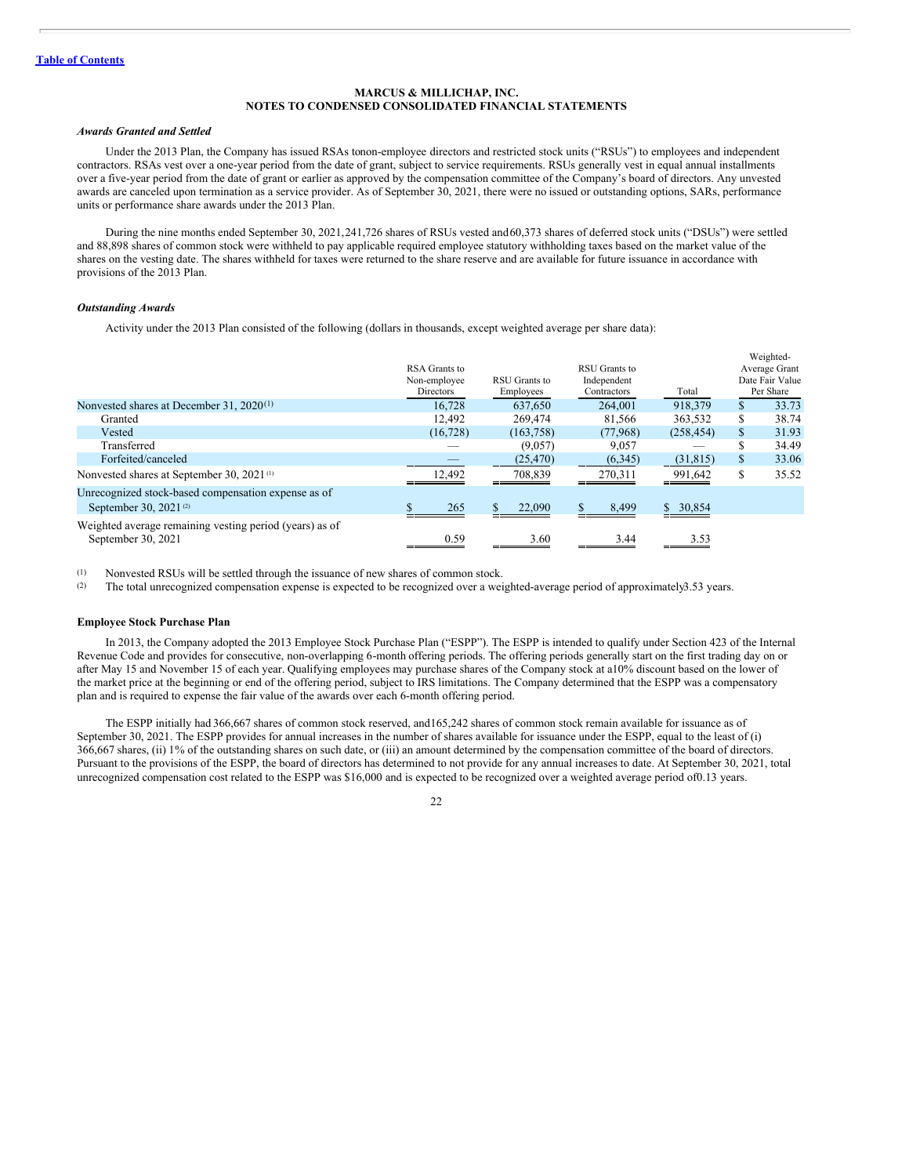#### *Awards Granted and Settled*

Under the 2013 Plan, the Company has issued RSAs tonon-employee directors and restricted stock units ("RSUs") to employees and independent contractors. RSAs vest over a one-year period from the date of grant, subject to service requirements. RSUs generally vest in equal annual installments over a five-year period from the date of grant or earlier as approved by the compensation committee of the Company's board of directors. Any unvested awards are canceled upon termination as a service provider. As of September 30, 2021, there were no issued or outstanding options, SARs, performance units or performance share awards under the 2013 Plan.

During the nine months ended September 30, 2021,241,726 shares of RSUs vested and60,373 shares of deferred stock units ("DSUs") were settled and 88,898 shares of common stock were withheld to pay applicable required employee statutory withholding taxes based on the market value of the shares on the vesting date. The shares withheld for taxes were returned to the share reserve and are available for future issuance in accordance with provisions of the 2013 Plan.

## *Outstanding Awards*

Activity under the 2013 Plan consisted of the following (dollars in thousands, except weighted average per share data):

|                                                                               |               |                        |               |            |              | Weighted-       |
|-------------------------------------------------------------------------------|---------------|------------------------|---------------|------------|--------------|-----------------|
|                                                                               | RSA Grants to |                        | RSU Grants to |            |              | Average Grant   |
|                                                                               | Non-employee  | RSU Grants to          | Independent   |            |              | Date Fair Value |
|                                                                               | Directors     | Employees              | Contractors   | Total      |              | Per Share       |
| Nonvested shares at December 31, 2020 <sup>(1)</sup>                          | 16.728        | 637,650                | 264,001       | 918,379    | \$           | 33.73           |
| Granted                                                                       | 12,492        | 269,474                | 81,566        | 363,532    | \$           | 38.74           |
| Vested                                                                        | (16, 728)     | (163, 758)             | (77,968)      | (258, 454) | $\mathbb{S}$ | 31.93           |
| Transferred                                                                   |               | (9,057)                | 9,057         | _          | S            | 34.49           |
| Forfeited/canceled                                                            |               | (25, 470)              | (6,345)       | (31, 815)  | $\mathbb{S}$ | 33.06           |
| Nonvested shares at September 30, 2021 <sup>(1)</sup>                         | 12,492        | 708,839                | 270,311       | 991,642    | \$           | 35.52           |
| Unrecognized stock-based compensation expense as of                           |               |                        |               |            |              |                 |
| September 30, 2021 <sup>(2)</sup>                                             | 265           | $\mathbf{s}$<br>22,090 | 8,499         | \$30,854   |              |                 |
| Weighted average remaining vesting period (years) as of<br>September 30, 2021 | 0.59          | 3.60                   | 3.44          | 3.53       |              |                 |
|                                                                               |               |                        |               |            |              |                 |

(1) Nonvested RSUs will be settled through the issuance of new shares of common stock.<br>  $\frac{1}{2}$  The total unrecognized compensation expanse is expected to be recognized over a weight

The total unrecognized compensation expense is expected to be recognized over a weighted-average period of approximately3.53 years.

#### **Employee Stock Purchase Plan**

In 2013, the Company adopted the 2013 Employee Stock Purchase Plan ("ESPP"). The ESPP is intended to qualify under Section 423 of the Internal Revenue Code and provides for consecutive, non-overlapping 6-month offering periods. The offering periods generally start on the first trading day on or after May 15 and November 15 of each year. Qualifying employees may purchase shares of the Company stock at a10% discount based on the lower of the market price at the beginning or end of the offering period, subject to IRS limitations. The Company determined that the ESPP was a compensatory plan and is required to expense the fair value of the awards over each 6-month offering period.

The ESPP initially had 366,667 shares of common stock reserved, and165,242 shares of common stock remain available for issuance as of September 30, 2021. The ESPP provides for annual increases in the number of shares available for issuance under the ESPP, equal to the least of (i) 366,667 shares, (ii) 1% of the outstanding shares on such date, or (iii) an amount determined by the compensation committee of the board of directors. Pursuant to the provisions of the ESPP, the board of directors has determined to not provide for any annual increases to date. At September 30, 2021, total unrecognized compensation cost related to the ESPP was \$16,000 and is expected to be recognized over a weighted average period of0.13 years.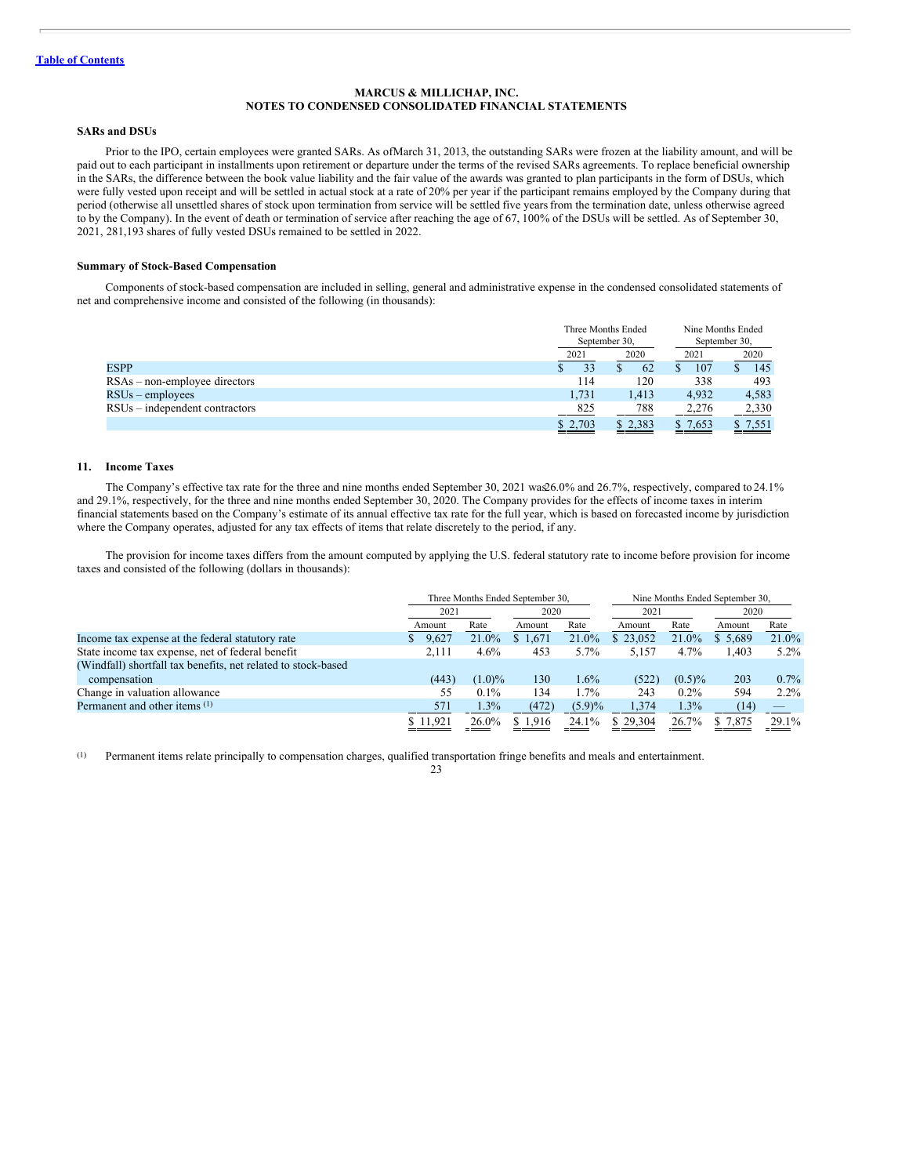## **SARs and DSUs**

Prior to the IPO, certain employees were granted SARs. As ofMarch 31, 2013, the outstanding SARs were frozen at the liability amount, and will be paid out to each participant in installments upon retirement or departure under the terms of the revised SARs agreements. To replace beneficial ownership in the SARs, the difference between the book value liability and the fair value of the awards was granted to plan participants in the form of DSUs, which were fully vested upon receipt and will be settled in actual stock at a rate of 20% per year if the participant remains employed by the Company during that period (otherwise all unsettled shares of stock upon termination from service will be settled five years from the termination date, unless otherwise agreed to by the Company). In the event of death or termination of service after reaching the age of 67, 100% of the DSUs will be settled. As of September 30, 2021, 281,193 shares of fully vested DSUs remained to be settled in 2022.

## **Summary of Stock-Based Compensation**

Components of stock-based compensation are included in selling, general and administrative expense in the condensed consolidated statements of net and comprehensive income and consisted of the following (in thousands):

|                                |              | Three Months Ended<br>September 30, |      |         |      | Nine Months Ended<br>September 30, |  |         |
|--------------------------------|--------------|-------------------------------------|------|---------|------|------------------------------------|--|---------|
|                                | 2020<br>2021 |                                     | 2021 |         | 2020 |                                    |  |         |
| <b>ESPP</b>                    |              | 33                                  |      | 62      |      | 107                                |  | 145     |
| RSAs – non-employee directors  |              | 114                                 |      | 120     |      | 338                                |  | 493     |
| $RSUs$ – employees             |              | 1.731                               |      | 1.413   |      | 4.932                              |  | 4,583   |
| RSUs – independent contractors |              | 825                                 |      | 788     |      | 2,276                              |  | 2,330   |
|                                |              | \$2,703                             |      | \$2,383 |      | \$7,653                            |  | \$7,551 |

## **11. Income Taxes**

The Company's effective tax rate for the three and nine months ended September 30, 2021 was 0.0% and 26.7%, respectively, compared to 24.1% and 29.1%, respectively, for the three and nine months ended September 30, 2020. The Company provides for the effects of income taxes in interim financial statements based on the Company's estimate of its annual effective tax rate for the full year, which is based on forecasted income by jurisdiction where the Company operates, adjusted for any tax effects of items that relate discretely to the period, if any.

The provision for income taxes differs from the amount computed by applying the U.S. federal statutory rate to income before provision for income taxes and consisted of the following (dollars in thousands):

|                                                               | Three Months Ended September 30, |          |           |            |           |          |           | Nine Months Ended September 30, |                          |
|---------------------------------------------------------------|----------------------------------|----------|-----------|------------|-----------|----------|-----------|---------------------------------|--------------------------|
|                                                               | 2021                             |          | 2020      |            |           | 2021     | 2020      |                                 |                          |
|                                                               |                                  | Amount   | Rate      | Amount     | Rate      | Amount   | Rate      | Amount                          | Rate                     |
| Income tax expense at the federal statutory rate              |                                  | 9.627    | 21.0%     | .671<br>S. | 21.0%     | \$23,052 | 21.0%     | \$5,689                         | 21.0%                    |
| State income tax expense, net of federal benefit              |                                  | 2,111    | 4.6%      | 453        | $5.7\%$   | 5.157    | 4.7%      | 1.403                           | $5.2\%$                  |
| (Windfall) shortfall tax benefits, net related to stock-based |                                  |          |           |            |           |          |           |                                 |                          |
| compensation                                                  |                                  | (443)    | $(1.0)\%$ | 130        | $1.6\%$   | (522)    | $(0.5)\%$ | 203                             | $0.7\%$                  |
| Change in valuation allowance                                 |                                  | 55       | $0.1\%$   | 134        | 1.7%      | 243      | $0.2\%$   | 594                             | $2.2\%$                  |
| Permanent and other items (1)                                 |                                  | 571      | 1.3%      | (472)      | $(5.9)\%$ | 1,374    | 1.3%      | (14)                            | $\overline{\phantom{0}}$ |
|                                                               |                                  | \$11.921 | 26.0%     | \$1.916    | 24.1%     | \$29,304 | 26.7%     | \$ 7,875                        | 29.1%                    |

(1) Permanent items relate principally to compensation charges, qualified transportation fringe benefits and meals and entertainment.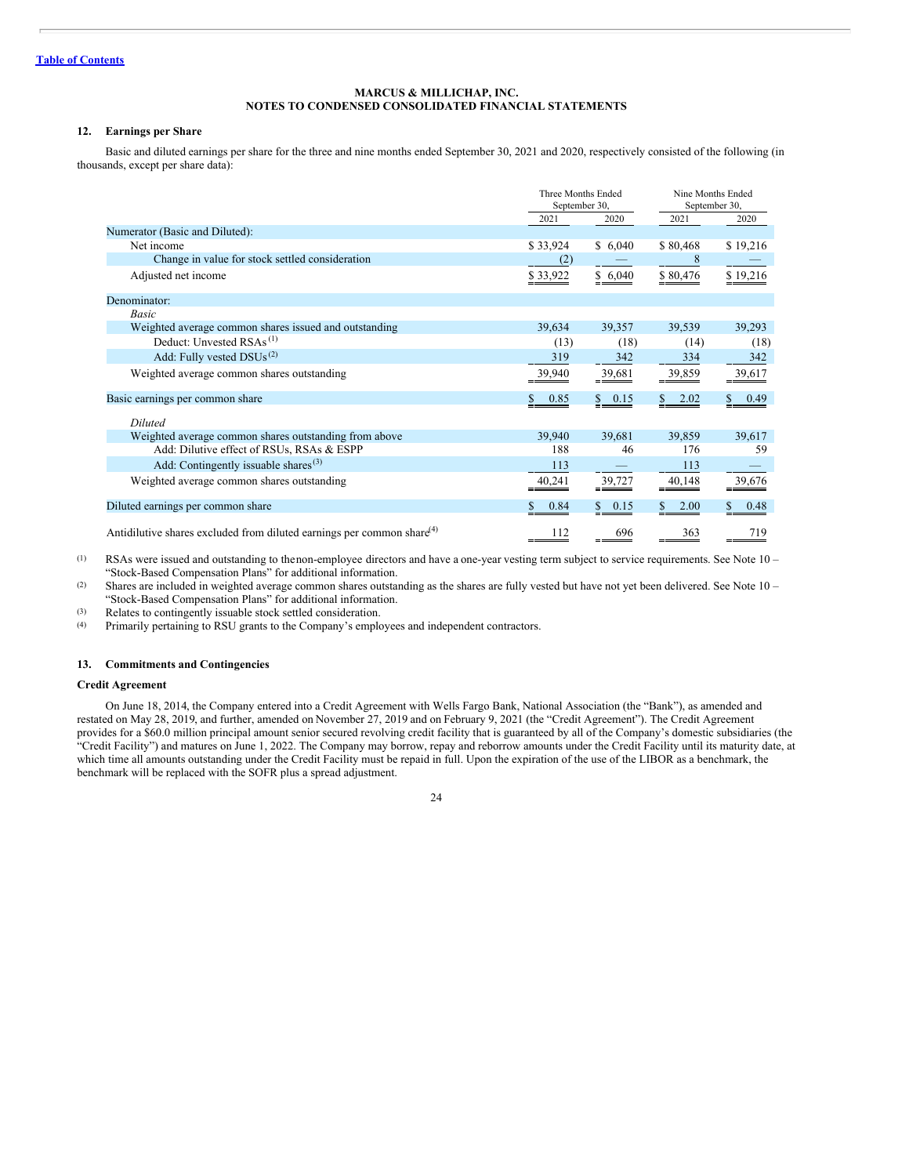## **12. Earnings per Share**

Basic and diluted earnings per share for the three and nine months ended September 30, 2021 and 2020, respectively consisted of the following (in thousands, except per share data):

|                                                                                    | Three Months Ended<br>September 30, |            | Nine Months Ended<br>September 30, |          |  |
|------------------------------------------------------------------------------------|-------------------------------------|------------|------------------------------------|----------|--|
|                                                                                    | 2021                                | 2020       | 2021                               | 2020     |  |
| Numerator (Basic and Diluted):                                                     |                                     |            |                                    |          |  |
| Net income                                                                         | \$33,924                            | \$6,040    | \$80,468                           | \$19,216 |  |
| Change in value for stock settled consideration                                    | (2)                                 |            | 8                                  |          |  |
| Adjusted net income                                                                | \$33,922                            | \$6,040    | \$80,476                           | \$19,216 |  |
| Denominator:                                                                       |                                     |            |                                    |          |  |
| Basic                                                                              |                                     |            |                                    |          |  |
| Weighted average common shares issued and outstanding                              | 39,634                              | 39,357     | 39,539                             | 39,293   |  |
| Deduct: Unvested RSAs <sup>(1)</sup>                                               | (13)                                | (18)       | (14)                               | (18)     |  |
| Add: Fully vested $DSUs^{(2)}$                                                     | 319                                 | 342        | 334                                | 342      |  |
| Weighted average common shares outstanding                                         | 39,940                              | 39,681     | 39,859                             | 39,617   |  |
| Basic earnings per common share                                                    | 0.85                                | 0.15<br>S. | 2.02<br>\$                         | 0.49     |  |
| <b>Diluted</b>                                                                     |                                     |            |                                    |          |  |
| Weighted average common shares outstanding from above                              | 39,940                              | 39,681     | 39,859                             | 39,617   |  |
| Add: Dilutive effect of RSUs, RSAs & ESPP                                          | 188                                 | 46         | 176                                | 59       |  |
| Add: Contingently issuable shares $(3)$                                            | 113                                 |            | 113                                |          |  |
| Weighted average common shares outstanding                                         | 40,241                              | 39,727     | 40.148                             | 39,676   |  |
| Diluted earnings per common share                                                  | 0.84                                | 0.15<br>S  | 2.00<br>S.                         | 0.48     |  |
| Antidilutive shares excluded from diluted earnings per common share <sup>(4)</sup> | 112                                 | 696        | 363                                | 719      |  |

(1) RSAs were issued and outstanding to thenon-employee directors and have a one-year vesting term subject to service requirements. See Note 10 – "Stock-Based Compensation Plans" for additional information.

(2) Shares are included in weighted average common shares outstanding as the shares are fully vested but have not yet been delivered. See Note 10 – "Stock-Based Compensation Plans" for additional information.

(3) Relates to contingently issuable stock settled consideration.<br>
(4) Primarily pertaining to RSU grants to the Company's employ

Primarily pertaining to RSU grants to the Company's employees and independent contractors.

#### **13. Commitments and Contingencies**

## **Credit Agreement**

On June 18, 2014, the Company entered into a Credit Agreement with Wells Fargo Bank, National Association (the "Bank"), as amended and restated on May 28, 2019, and further, amended on November 27, 2019 and on February 9, 2021 (the "Credit Agreement"). The Credit Agreement provides for a \$60.0 million principal amount senior secured revolving credit facility that is guaranteed by all of the Company's domestic subsidiaries (the "Credit Facility") and matures on June 1, 2022. The Company may borrow, repay and reborrow amounts under the Credit Facility until its maturity date, at which time all amounts outstanding under the Credit Facility must be repaid in full. Upon the expiration of the use of the LIBOR as a benchmark, the benchmark will be replaced with the SOFR plus a spread adjustment.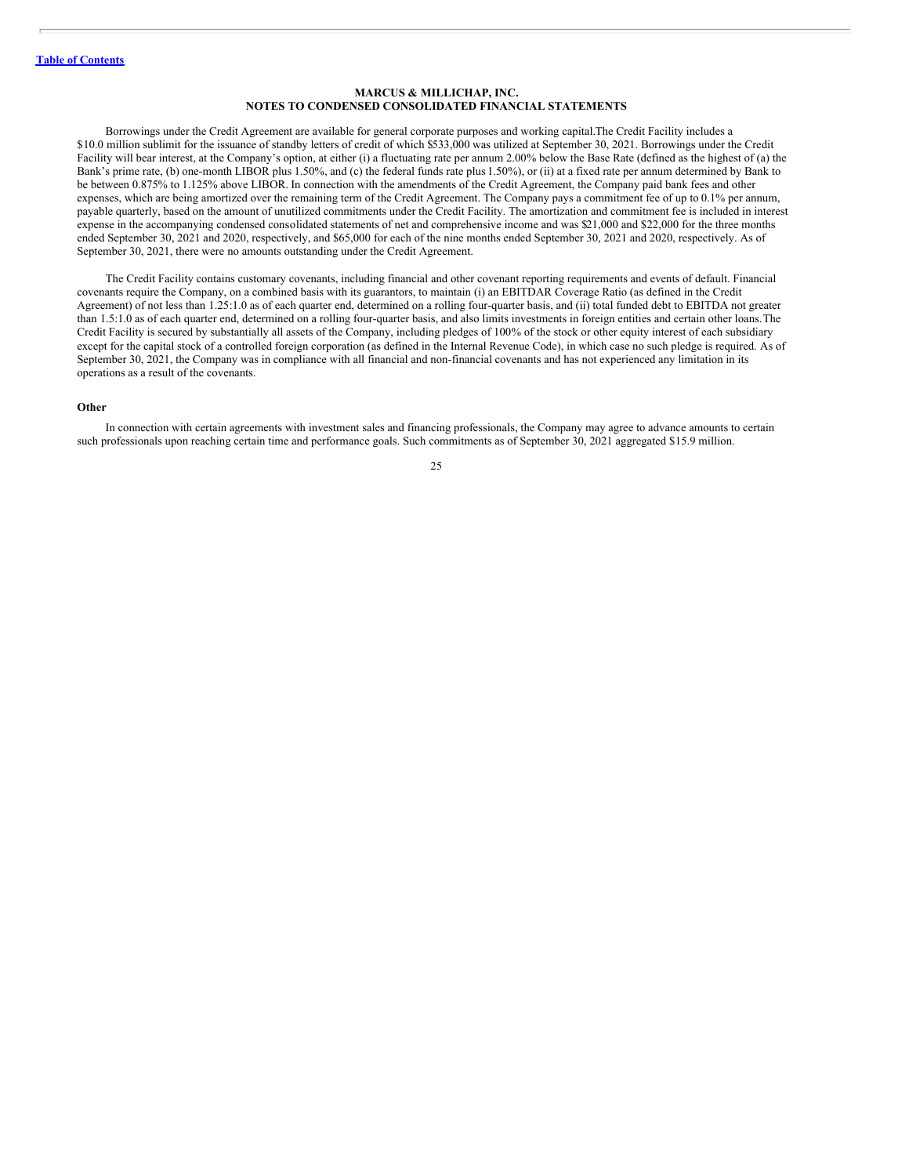Borrowings under the Credit Agreement are available for general corporate purposes and working capital.The Credit Facility includes a \$10.0 million sublimit for the issuance of standby letters of credit of which \$533,000 was utilized at September 30, 2021. Borrowings under the Credit Facility will bear interest, at the Company's option, at either (i) a fluctuating rate per annum 2.00% below the Base Rate (defined as the highest of (a) the Bank's prime rate, (b) one-month LIBOR plus 1.50%, and (c) the federal funds rate plus 1.50%), or (ii) at a fixed rate per annum determined by Bank to be between 0.875% to 1.125% above LIBOR. In connection with the amendments of the Credit Agreement, the Company paid bank fees and other expenses, which are being amortized over the remaining term of the Credit Agreement. The Company pays a commitment fee of up to 0.1% per annum, payable quarterly, based on the amount of unutilized commitments under the Credit Facility. The amortization and commitment fee is included in interest expense in the accompanying condensed consolidated statements of net and comprehensive income and was \$21,000 and \$22,000 for the three months ended September 30, 2021 and 2020, respectively, and \$65,000 for each of the nine months ended September 30, 2021 and 2020, respectively. As of September 30, 2021, there were no amounts outstanding under the Credit Agreement.

The Credit Facility contains customary covenants, including financial and other covenant reporting requirements and events of default. Financial covenants require the Company, on a combined basis with its guarantors, to maintain (i) an EBITDAR Coverage Ratio (as defined in the Credit Agreement) of not less than 1.25:1.0 as of each quarter end, determined on a rolling four-quarter basis, and (ii) total funded debt to EBITDA not greater than 1.5:1.0 as of each quarter end, determined on a rolling four-quarter basis, and also limits investments in foreign entities and certain other loans.The Credit Facility is secured by substantially all assets of the Company, including pledges of 100% of the stock or other equity interest of each subsidiary except for the capital stock of a controlled foreign corporation (as defined in the Internal Revenue Code), in which case no such pledge is required. As of September 30, 2021, the Company was in compliance with all financial and non-financial covenants and has not experienced any limitation in its operations as a result of the covenants.

#### **Other**

In connection with certain agreements with investment sales and financing professionals, the Company may agree to advance amounts to certain such professionals upon reaching certain time and performance goals. Such commitments as of September 30, 2021 aggregated \$15.9 million.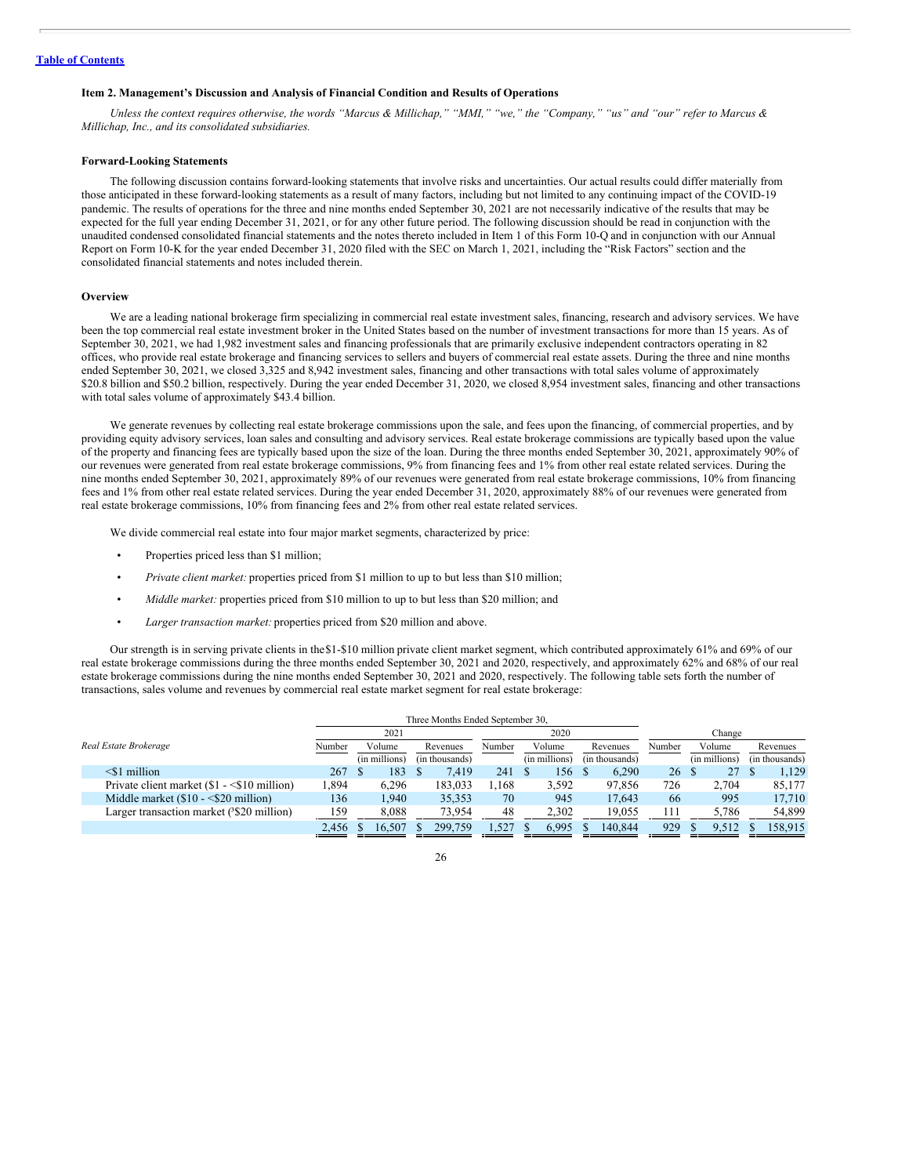#### <span id="page-26-0"></span>**Item 2. Management's Discussion and Analysis of Financial Condition and Results of Operations**

Unless the context requires otherwise, the words "Marcus & Millichap," "MMI," "we," the "Company," "us" and "our" refer to Marcus & *Millichap, Inc., and its consolidated subsidiaries.*

## **Forward-Looking Statements**

The following discussion contains forward-looking statements that involve risks and uncertainties. Our actual results could differ materially from those anticipated in these forward-looking statements as a result of many factors, including but not limited to any continuing impact of the COVID-19 pandemic. The results of operations for the three and nine months ended September 30, 2021 are not necessarily indicative of the results that may be expected for the full year ending December 31, 2021, or for any other future period. The following discussion should be read in conjunction with the unaudited condensed consolidated financial statements and the notes thereto included in Item 1 of this Form 10-Q and in conjunction with our Annual Report on Form 10-K for the year ended December 31, 2020 filed with the SEC on March 1, 2021, including the "Risk Factors" section and the consolidated financial statements and notes included therein.

#### **Overview**

We are a leading national brokerage firm specializing in commercial real estate investment sales, financing, research and advisory services. We have been the top commercial real estate investment broker in the United States based on the number of investment transactions for more than 15 years. As of September 30, 2021, we had 1,982 investment sales and financing professionals that are primarily exclusive independent contractors operating in 82 offices, who provide real estate brokerage and financing services to sellers and buyers of commercial real estate assets. During the three and nine months ended September 30, 2021, we closed 3,325 and 8,942 investment sales, financing and other transactions with total sales volume of approximately \$20.8 billion and \$50.2 billion, respectively. During the year ended December 31, 2020, we closed 8,954 investment sales, financing and other transactions with total sales volume of approximately \$43.4 billion.

We generate revenues by collecting real estate brokerage commissions upon the sale, and fees upon the financing, of commercial properties, and by providing equity advisory services, loan sales and consulting and advisory services. Real estate brokerage commissions are typically based upon the value of the property and financing fees are typically based upon the size of the loan. During the three months ended September 30, 2021, approximately 90% of our revenues were generated from real estate brokerage commissions, 9% from financing fees and 1% from other real estate related services. During the nine months ended September 30, 2021, approximately 89% of our revenues were generated from real estate brokerage commissions, 10% from financing fees and 1% from other real estate related services. During the year ended December 31, 2020, approximately 88% of our revenues were generated from real estate brokerage commissions, 10% from financing fees and 2% from other real estate related services.

We divide commercial real estate into four major market segments, characterized by price:

- Properties priced less than \$1 million;
- *Private client market:* properties priced from \$1 million to up to but less than \$10 million;
- *Middle market:* properties priced from \$10 million to up to but less than \$20 million; and
- *Larger transaction market:* properties priced from \$20 million and above.

Our strength is in serving private clients in the\$1-\$10 million private client market segment, which contributed approximately 61% and 69% of our real estate brokerage commissions during the three months ended September 30, 2021 and 2020, respectively, and approximately 62% and 68% of our real estate brokerage commissions during the nine months ended September 30, 2021 and 2020, respectively. The following table sets forth the number of transactions, sales volume and revenues by commercial real estate market segment for real estate brokerage:

|                       |                                             |        |                    |               |        | Three Months Ended September 30, |      |  |               |        |                |        |  |               |  |                |
|-----------------------|---------------------------------------------|--------|--------------------|---------------|--------|----------------------------------|------|--|---------------|--------|----------------|--------|--|---------------|--|----------------|
|                       |                                             | 2021   |                    |               |        |                                  | 2020 |  |               |        | Change         |        |  |               |  |                |
| Real Estate Brokerage |                                             | Number | Volume<br>Revenues |               | Number | Volume                           |      |  | Revenues      | Number |                | Volume |  | Revenues      |  |                |
|                       |                                             |        |                    | (in millions) |        | (in thousands)                   |      |  | (in millions) |        | (in thousands) |        |  | (in millions) |  | (in thousands) |
|                       | $\leq$ 1 million                            | 267    |                    | 183           |        | 7.419                            | 241  |  | 156           |        | 6.290          | 26     |  | 27            |  | 1,129          |
|                       | Private client market $\$1 - \$10$ million) | 1,894  |                    | 6.296         |        | 183.033                          | .168 |  | 3.592         |        | 97.856         | 726    |  | 2.704         |  | 85,177         |
|                       | Middle market $(\$10 - \$20$ million)       | 136    |                    | 1.940         |        | 35,353                           | 70   |  | 945           |        | 17.643         | 66     |  | 995           |  | 17,710         |
|                       | Larger transaction market $(^3$20$ million) | 159    |                    | 8,088         |        | 73,954                           | 48   |  | 2.302         |        | 19,055         | 111    |  | 5,786         |  | 54,899         |
|                       |                                             | 2,456  |                    | 16.507        |        | 299.759                          | .527 |  | 6,995         |        | 140.844        | 929    |  | 9.512         |  | 158.915        |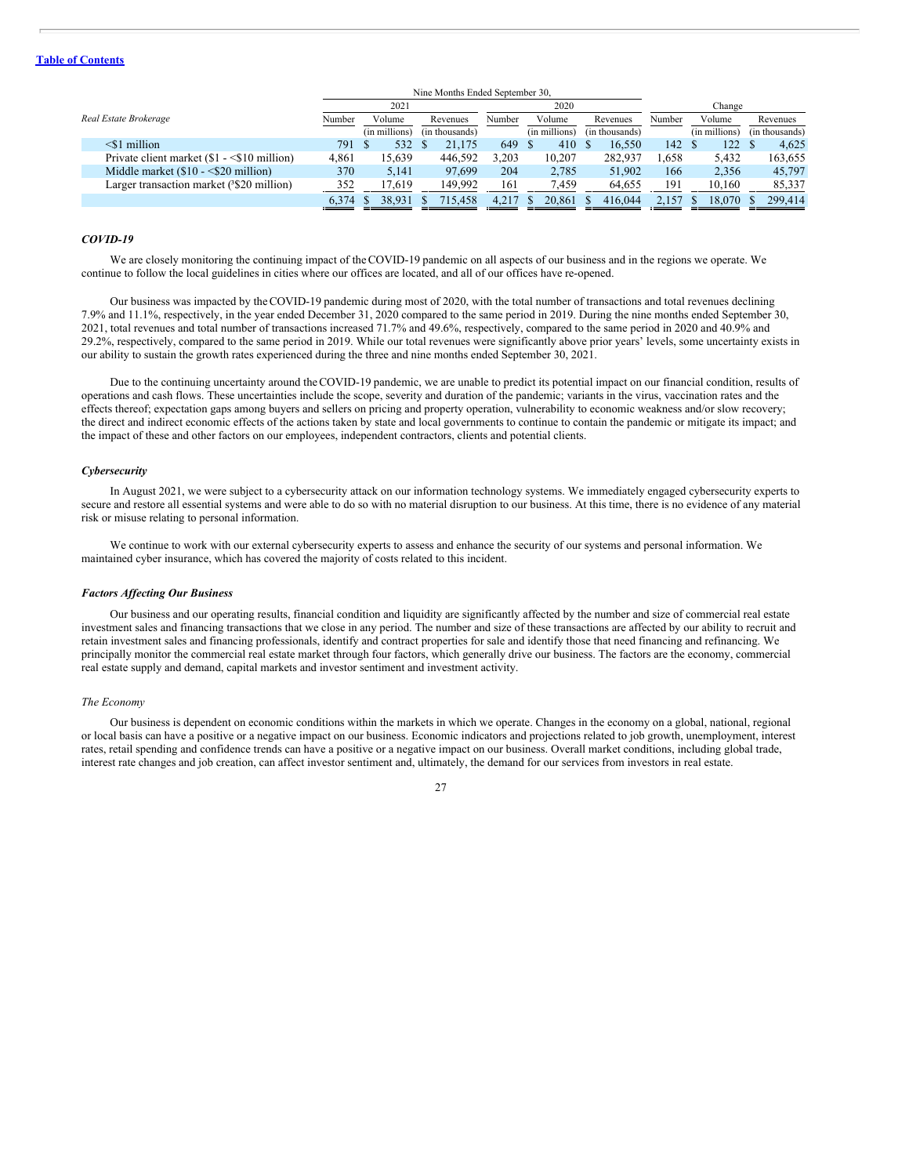## **Table of [Contents](#page-2-0)**

|                                              |        |               | Nine Months Ended September 30, |        |               |                |        |               |                |
|----------------------------------------------|--------|---------------|---------------------------------|--------|---------------|----------------|--------|---------------|----------------|
|                                              |        | 2021          |                                 |        | 2020          |                |        | Change        |                |
| Real Estate Brokerage                        | Number | Volume        | Revenues                        | Number | Volume        | Revenues       | Number | Volume        | Revenues       |
|                                              |        | (in millions) | (in thousands)                  |        | (in millions) | (in thousands) |        | (in millions) | (in thousands) |
| $\leq$ 1 million                             | 791    | 532           | 21.175                          | 649    | 410           | 16.550         | 142    | 122           | 4,625          |
| Private client market (\$1 - < \$10 million) | 4.861  | 15.639        | 446.592                         | 3.203  | 10.207        | 282.937        | .658   | 5.432         | 163,655        |
| Middle market $(\$10 - \$20$ million)        | 370    | 5.141         | 97.699                          | 204    | 2,785         | 51,902         | 166    | 2.356         | 45,797         |
| Larger transaction market $(^3$20$ million)  | 352    | 7.619         | 149.992                         | 161    | 7,459         | 64.655         | 191    | 10.160        | 85,337         |
|                                              | 6.374  | 38.931        | 715,458                         | 4.217  | 20.861        | 416,044        | 2.157  | 18.070        | 299.414        |

#### *COVID-19*

We are closely monitoring the continuing impact of the COVID-19 pandemic on all aspects of our business and in the regions we operate. We continue to follow the local guidelines in cities where our offices are located, and all of our offices have re-opened.

Our business was impacted by theCOVID-19 pandemic during most of 2020, with the total number of transactions and total revenues declining 7.9% and 11.1%, respectively, in the year ended December 31, 2020 compared to the same period in 2019. During the nine months ended September 30, 2021, total revenues and total number of transactions increased 71.7% and 49.6%, respectively, compared to the same period in 2020 and 40.9% and 29.2%, respectively, compared to the same period in 2019. While our total revenues were significantly above prior years' levels, some uncertainty exists in our ability to sustain the growth rates experienced during the three and nine months ended September 30, 2021.

Due to the continuing uncertainty around theCOVID-19 pandemic, we are unable to predict its potential impact on our financial condition, results of operations and cash flows. These uncertainties include the scope, severity and duration of the pandemic; variants in the virus, vaccination rates and the effects thereof; expectation gaps among buyers and sellers on pricing and property operation, vulnerability to economic weakness and/or slow recovery; the direct and indirect economic effects of the actions taken by state and local governments to continue to contain the pandemic or mitigate its impact; and the impact of these and other factors on our employees, independent contractors, clients and potential clients.

#### *Cybersecurity*

In August 2021, we were subject to a cybersecurity attack on our information technology systems. We immediately engaged cybersecurity experts to secure and restore all essential systems and were able to do so with no material disruption to our business. At this time, there is no evidence of any material risk or misuse relating to personal information.

We continue to work with our external cybersecurity experts to assess and enhance the security of our systems and personal information. We maintained cyber insurance, which has covered the majority of costs related to this incident.

### *Factors Af ecting Our Business*

Our business and our operating results, financial condition and liquidity are significantly affected by the number and size of commercial real estate investment sales and financing transactions that we close in any period. The number and size of these transactions are affected by our ability to recruit and retain investment sales and financing professionals, identify and contract properties for sale and identify those that need financing and refinancing. We principally monitor the commercial real estate market through four factors, which generally drive our business. The factors are the economy, commercial real estate supply and demand, capital markets and investor sentiment and investment activity.

### *The Economy*

Our business is dependent on economic conditions within the markets in which we operate. Changes in the economy on a global, national, regional or local basis can have a positive or a negative impact on our business. Economic indicators and projections related to job growth, unemployment, interest rates, retail spending and confidence trends can have a positive or a negative impact on our business. Overall market conditions, including global trade, interest rate changes and job creation, can affect investor sentiment and, ultimately, the demand for our services from investors in real estate.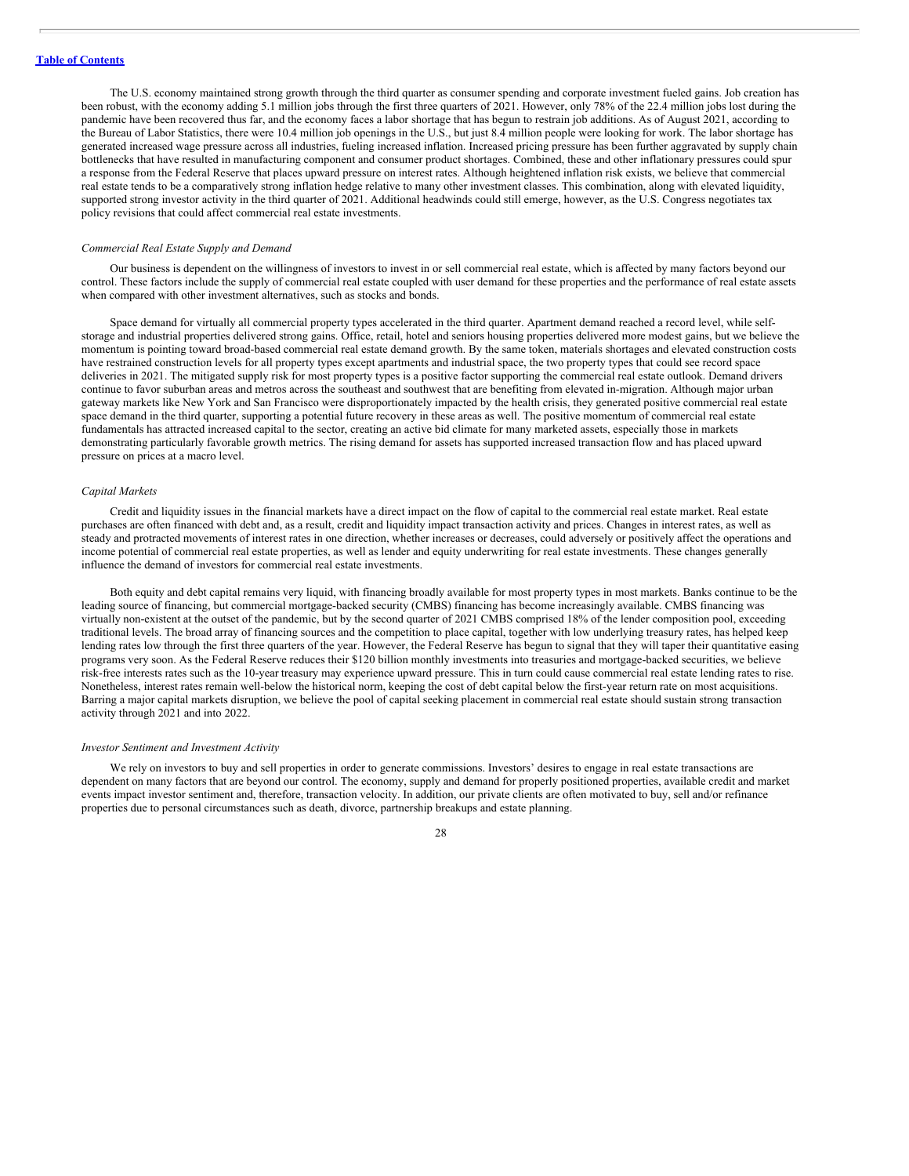The U.S. economy maintained strong growth through the third quarter as consumer spending and corporate investment fueled gains. Job creation has been robust, with the economy adding 5.1 million jobs through the first three quarters of 2021. However, only 78% of the 22.4 million jobs lost during the pandemic have been recovered thus far, and the economy faces a labor shortage that has begun to restrain job additions. As of August 2021, according to the Bureau of Labor Statistics, there were 10.4 million job openings in the U.S., but just 8.4 million people were looking for work. The labor shortage has generated increased wage pressure across all industries, fueling increased inflation. Increased pricing pressure has been further aggravated by supply chain bottlenecks that have resulted in manufacturing component and consumer product shortages. Combined, these and other inflationary pressures could spur a response from the Federal Reserve that places upward pressure on interest rates. Although heightened inflation risk exists, we believe that commercial real estate tends to be a comparatively strong inflation hedge relative to many other investment classes. This combination, along with elevated liquidity, supported strong investor activity in the third quarter of 2021. Additional headwinds could still emerge, however, as the U.S. Congress negotiates tax policy revisions that could affect commercial real estate investments.

## *Commercial Real Estate Supply and Demand*

Our business is dependent on the willingness of investors to invest in or sell commercial real estate, which is affected by many factors beyond our control. These factors include the supply of commercial real estate coupled with user demand for these properties and the performance of real estate assets when compared with other investment alternatives, such as stocks and bonds.

Space demand for virtually all commercial property types accelerated in the third quarter. Apartment demand reached a record level, while selfstorage and industrial properties delivered strong gains. Office, retail, hotel and seniors housing properties delivered more modest gains, but we believe the momentum is pointing toward broad-based commercial real estate demand growth. By the same token, materials shortages and elevated construction costs have restrained construction levels for all property types except apartments and industrial space, the two property types that could see record space deliveries in 2021. The mitigated supply risk for most property types is a positive factor supporting the commercial real estate outlook. Demand drivers continue to favor suburban areas and metros across the southeast and southwest that are benefiting from elevated in-migration. Although major urban gateway markets like New York and San Francisco were disproportionately impacted by the health crisis, they generated positive commercial real estate space demand in the third quarter, supporting a potential future recovery in these areas as well. The positive momentum of commercial real estate fundamentals has attracted increased capital to the sector, creating an active bid climate for many marketed assets, especially those in markets demonstrating particularly favorable growth metrics. The rising demand for assets has supported increased transaction flow and has placed upward pressure on prices at a macro level.

## *Capital Markets*

Credit and liquidity issues in the financial markets have a direct impact on the flow of capital to the commercial real estate market. Real estate purchases are often financed with debt and, as a result, credit and liquidity impact transaction activity and prices. Changes in interest rates, as well as steady and protracted movements of interest rates in one direction, whether increases or decreases, could adversely or positively affect the operations and income potential of commercial real estate properties, as well as lender and equity underwriting for real estate investments. These changes generally influence the demand of investors for commercial real estate investments.

Both equity and debt capital remains very liquid, with financing broadly available for most property types in most markets. Banks continue to be the leading source of financing, but commercial mortgage-backed security (CMBS) financing has become increasingly available. CMBS financing was virtually non-existent at the outset of the pandemic, but by the second quarter of 2021 CMBS comprised 18% of the lender composition pool, exceeding traditional levels. The broad array of financing sources and the competition to place capital, together with low underlying treasury rates, has helped keep lending rates low through the first three quarters of the year. However, the Federal Reserve has begun to signal that they will taper their quantitative easing programs very soon. As the Federal Reserve reduces their \$120 billion monthly investments into treasuries and mortgage-backed securities, we believe risk-free interests rates such as the 10-year treasury may experience upward pressure. This in turn could cause commercial real estate lending rates to rise. Nonetheless, interest rates remain well-below the historical norm, keeping the cost of debt capital below the first-year return rate on most acquisitions. Barring a major capital markets disruption, we believe the pool of capital seeking placement in commercial real estate should sustain strong transaction activity through 2021 and into 2022.

#### *Investor Sentiment and Investment Activity*

We rely on investors to buy and sell properties in order to generate commissions. Investors' desires to engage in real estate transactions are dependent on many factors that are beyond our control. The economy, supply and demand for properly positioned properties, available credit and market events impact investor sentiment and, therefore, transaction velocity. In addition, our private clients are often motivated to buy, sell and/or refinance properties due to personal circumstances such as death, divorce, partnership breakups and estate planning.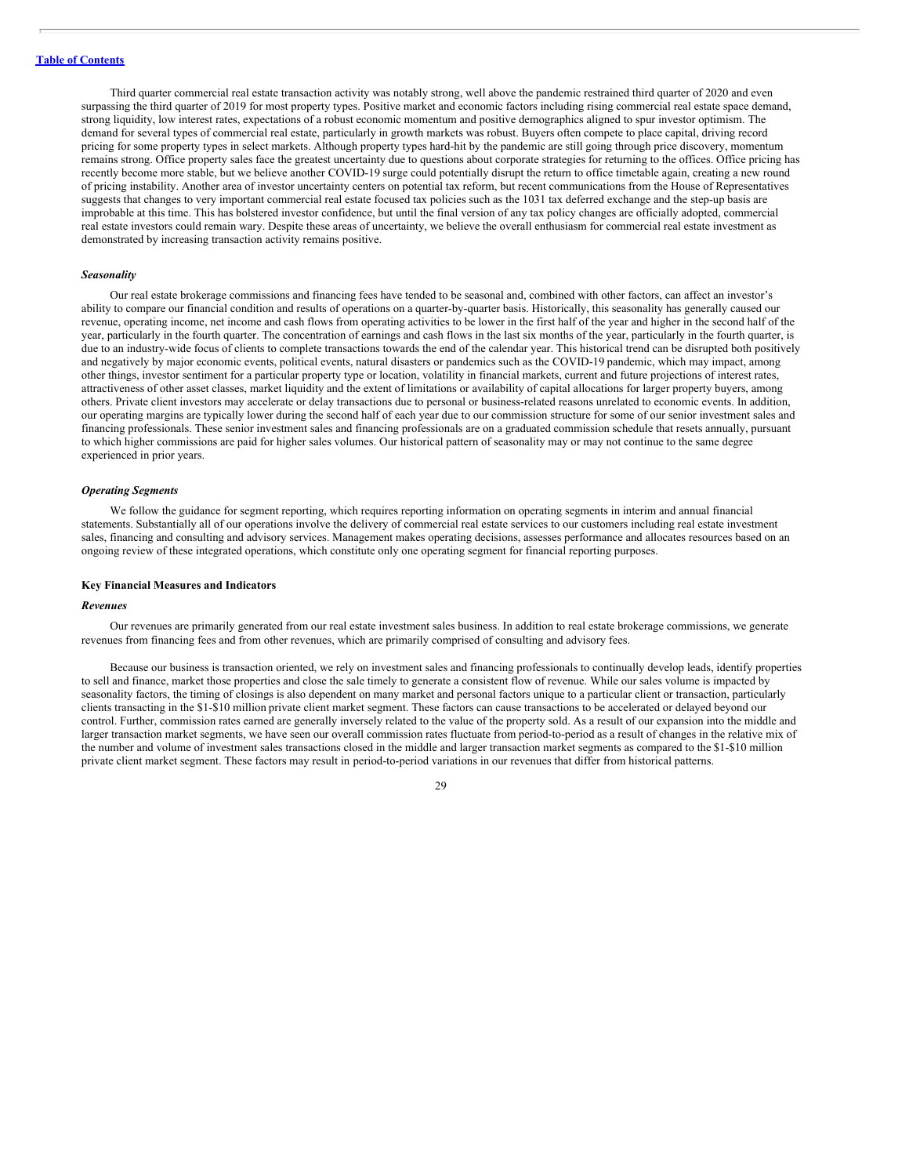Third quarter commercial real estate transaction activity was notably strong, well above the pandemic restrained third quarter of 2020 and even surpassing the third quarter of 2019 for most property types. Positive market and economic factors including rising commercial real estate space demand, strong liquidity, low interest rates, expectations of a robust economic momentum and positive demographics aligned to spur investor optimism. The demand for several types of commercial real estate, particularly in growth markets was robust. Buyers often compete to place capital, driving record pricing for some property types in select markets. Although property types hard-hit by the pandemic are still going through price discovery, momentum remains strong. Office property sales face the greatest uncertainty due to questions about corporate strategies for returning to the offices. Office pricing has recently become more stable, but we believe another COVID-19 surge could potentially disrupt the return to office timetable again, creating a new round of pricing instability. Another area of investor uncertainty centers on potential tax reform, but recent communications from the House of Representatives suggests that changes to very important commercial real estate focused tax policies such as the 1031 tax deferred exchange and the step-up basis are improbable at this time. This has bolstered investor confidence, but until the final version of any tax policy changes are officially adopted, commercial real estate investors could remain wary. Despite these areas of uncertainty, we believe the overall enthusiasm for commercial real estate investment as demonstrated by increasing transaction activity remains positive.

#### *Seasonality*

Our real estate brokerage commissions and financing fees have tended to be seasonal and, combined with other factors, can affect an investor's ability to compare our financial condition and results of operations on a quarter-by-quarter basis. Historically, this seasonality has generally caused our revenue, operating income, net income and cash flows from operating activities to be lower in the first half of the year and higher in the second half of the year, particularly in the fourth quarter. The concentration of earnings and cash flows in the last six months of the year, particularly in the fourth quarter, is due to an industry-wide focus of clients to complete transactions towards the end of the calendar year. This historical trend can be disrupted both positively and negatively by major economic events, political events, natural disasters or pandemics such as the COVID-19 pandemic, which may impact, among other things, investor sentiment for a particular property type or location, volatility in financial markets, current and future projections of interest rates, attractiveness of other asset classes, market liquidity and the extent of limitations or availability of capital allocations for larger property buyers, among others. Private client investors may accelerate or delay transactions due to personal or business-related reasons unrelated to economic events. In addition, our operating margins are typically lower during the second half of each year due to our commission structure for some of our senior investment sales and financing professionals. These senior investment sales and financing professionals are on a graduated commission schedule that resets annually, pursuant to which higher commissions are paid for higher sales volumes. Our historical pattern of seasonality may or may not continue to the same degree experienced in prior years.

## *Operating Segments*

We follow the guidance for segment reporting, which requires reporting information on operating segments in interim and annual financial statements. Substantially all of our operations involve the delivery of commercial real estate services to our customers including real estate investment sales, financing and consulting and advisory services. Management makes operating decisions, assesses performance and allocates resources based on an ongoing review of these integrated operations, which constitute only one operating segment for financial reporting purposes.

## **Key Financial Measures and Indicators**

#### *Revenues*

Our revenues are primarily generated from our real estate investment sales business. In addition to real estate brokerage commissions, we generate revenues from financing fees and from other revenues, which are primarily comprised of consulting and advisory fees.

Because our business is transaction oriented, we rely on investment sales and financing professionals to continually develop leads, identify properties to sell and finance, market those properties and close the sale timely to generate a consistent flow of revenue. While our sales volume is impacted by seasonality factors, the timing of closings is also dependent on many market and personal factors unique to a particular client or transaction, particularly clients transacting in the \$1-\$10 million private client market segment. These factors can cause transactions to be accelerated or delayed beyond our control. Further, commission rates earned are generally inversely related to the value of the property sold. As a result of our expansion into the middle and larger transaction market segments, we have seen our overall commission rates fluctuate from period-to-period as a result of changes in the relative mix of the number and volume of investment sales transactions closed in the middle and larger transaction market segments as compared to the \$1-\$10 million private client market segment. These factors may result in period-to-period variations in our revenues that differ from historical patterns.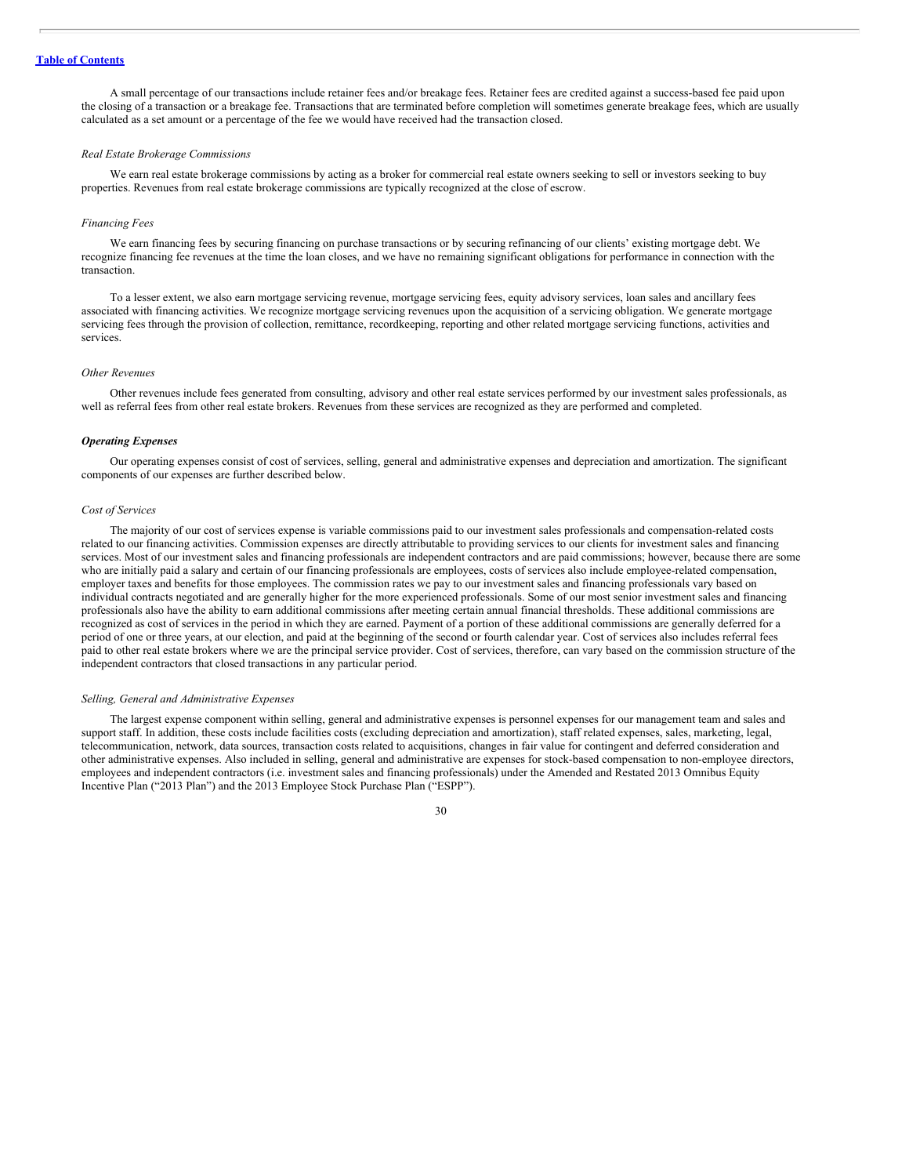A small percentage of our transactions include retainer fees and/or breakage fees. Retainer fees are credited against a success-based fee paid upon the closing of a transaction or a breakage fee. Transactions that are terminated before completion will sometimes generate breakage fees, which are usually calculated as a set amount or a percentage of the fee we would have received had the transaction closed.

#### *Real Estate Brokerage Commissions*

We earn real estate brokerage commissions by acting as a broker for commercial real estate owners seeking to sell or investors seeking to buy properties. Revenues from real estate brokerage commissions are typically recognized at the close of escrow.

#### *Financing Fees*

We earn financing fees by securing financing on purchase transactions or by securing refinancing of our clients' existing mortgage debt. We recognize financing fee revenues at the time the loan closes, and we have no remaining significant obligations for performance in connection with the transaction.

To a lesser extent, we also earn mortgage servicing revenue, mortgage servicing fees, equity advisory services, loan sales and ancillary fees associated with financing activities. We recognize mortgage servicing revenues upon the acquisition of a servicing obligation. We generate mortgage servicing fees through the provision of collection, remittance, recordkeeping, reporting and other related mortgage servicing functions, activities and services.

#### *Other Revenues*

Other revenues include fees generated from consulting, advisory and other real estate services performed by our investment sales professionals, as well as referral fees from other real estate brokers. Revenues from these services are recognized as they are performed and completed.

## *Operating Expenses*

Our operating expenses consist of cost of services, selling, general and administrative expenses and depreciation and amortization. The significant components of our expenses are further described below.

#### *Cost of Services*

The majority of our cost of services expense is variable commissions paid to our investment sales professionals and compensation-related costs related to our financing activities. Commission expenses are directly attributable to providing services to our clients for investment sales and financing services. Most of our investment sales and financing professionals are independent contractors and are paid commissions; however, because there are some who are initially paid a salary and certain of our financing professionals are employees, costs of services also include employee-related compensation, employer taxes and benefits for those employees. The commission rates we pay to our investment sales and financing professionals vary based on individual contracts negotiated and are generally higher for the more experienced professionals. Some of our most senior investment sales and financing professionals also have the ability to earn additional commissions after meeting certain annual financial thresholds. These additional commissions are recognized as cost of services in the period in which they are earned. Payment of a portion of these additional commissions are generally deferred for a period of one or three years, at our election, and paid at the beginning of the second or fourth calendar year. Cost of services also includes referral fees paid to other real estate brokers where we are the principal service provider. Cost of services, therefore, can vary based on the commission structure of the independent contractors that closed transactions in any particular period.

#### *Selling, General and Administrative Expenses*

The largest expense component within selling, general and administrative expenses is personnel expenses for our management team and sales and support staff. In addition, these costs include facilities costs (excluding depreciation and amortization), staff related expenses, sales, marketing, legal, telecommunication, network, data sources, transaction costs related to acquisitions, changes in fair value for contingent and deferred consideration and other administrative expenses. Also included in selling, general and administrative are expenses for stock-based compensation to non-employee directors, employees and independent contractors (i.e. investment sales and financing professionals) under the Amended and Restated 2013 Omnibus Equity Incentive Plan ("2013 Plan") and the 2013 Employee Stock Purchase Plan ("ESPP").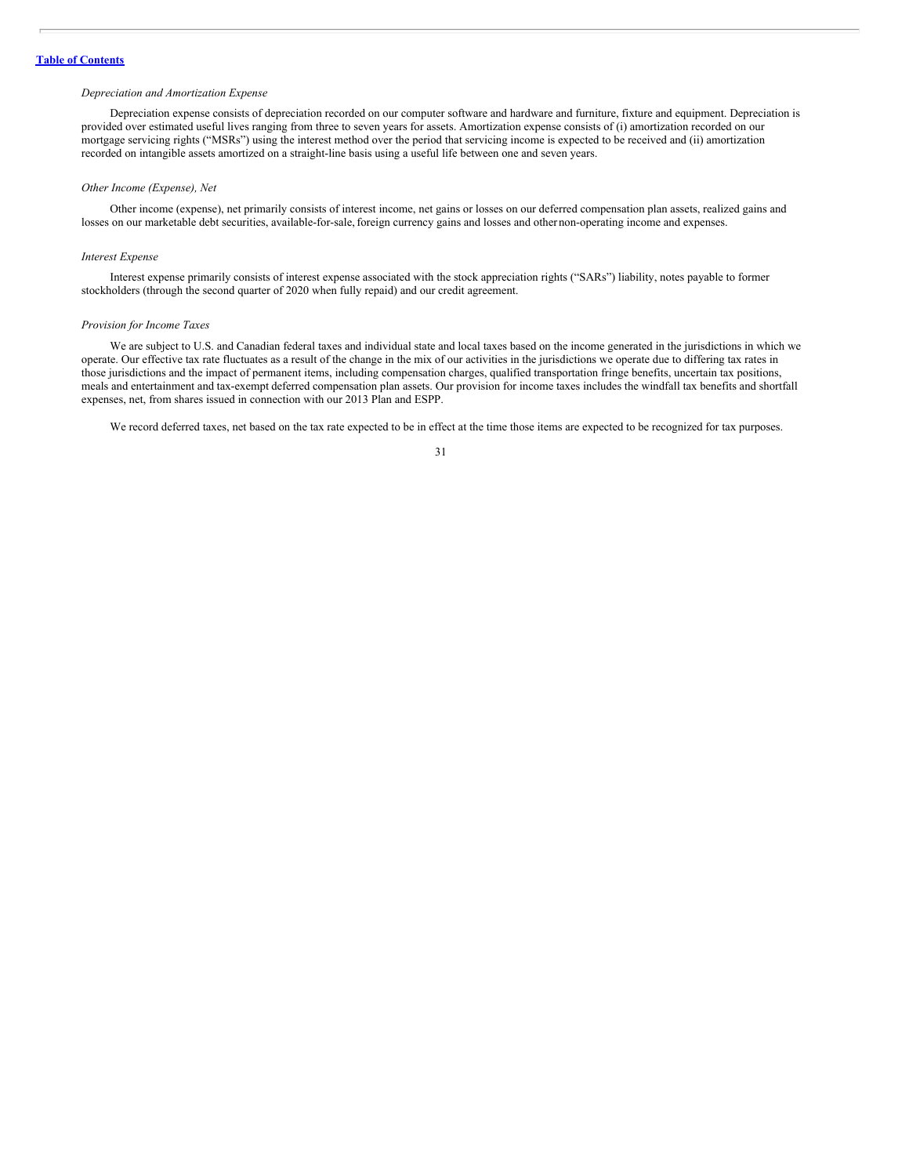#### *Depreciation and Amortization Expense*

Depreciation expense consists of depreciation recorded on our computer software and hardware and furniture, fixture and equipment. Depreciation is provided over estimated useful lives ranging from three to seven years for assets. Amortization expense consists of (i) amortization recorded on our mortgage servicing rights ("MSRs") using the interest method over the period that servicing income is expected to be received and (ii) amortization recorded on intangible assets amortized on a straight-line basis using a useful life between one and seven years.

## *Other Income (Expense), Net*

Other income (expense), net primarily consists of interest income, net gains or losses on our deferred compensation plan assets, realized gains and losses on our marketable debt securities, available-for-sale,foreign currency gains and losses and other non-operating income and expenses.

#### *Interest Expense*

Interest expense primarily consists of interest expense associated with the stock appreciation rights ("SARs") liability, notes payable to former stockholders (through the second quarter of 2020 when fully repaid) and our credit agreement.

#### *Provision for Income Taxes*

We are subject to U.S. and Canadian federal taxes and individual state and local taxes based on the income generated in the jurisdictions in which we operate. Our effective tax rate fluctuates as a result of the change in the mix of our activities in the jurisdictions we operate due to differing tax rates in those jurisdictions and the impact of permanent items, including compensation charges, qualified transportation fringe benefits, uncertain tax positions, meals and entertainment and tax-exempt deferred compensation plan assets. Our provision for income taxes includes the windfall tax benefits and shortfall expenses, net, from shares issued in connection with our 2013 Plan and ESPP.

We record deferred taxes, net based on the tax rate expected to be in effect at the time those items are expected to be recognized for tax purposes.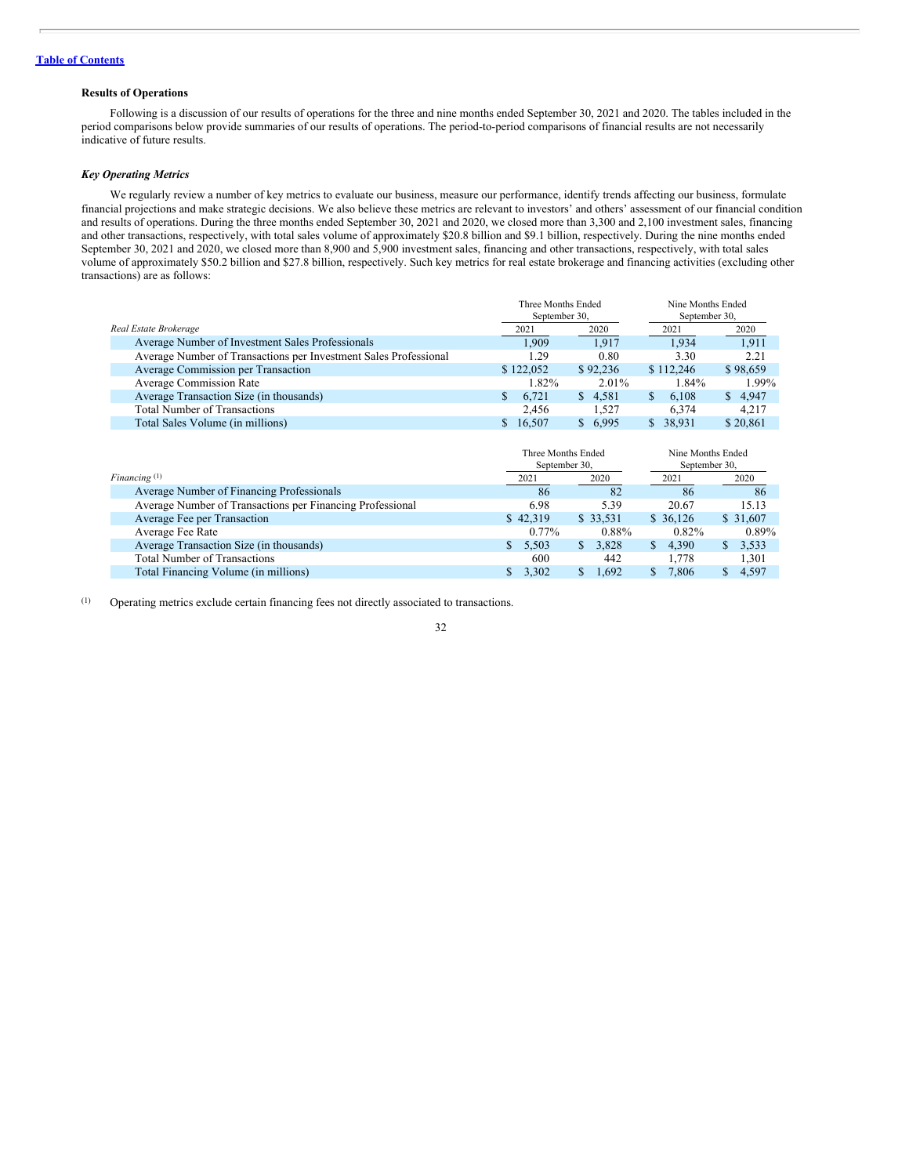#### **Results of Operations**

Following is a discussion of our results of operations for the three and nine months ended September 30, 2021 and 2020. The tables included in the period comparisons below provide summaries of our results of operations. The period-to-period comparisons of financial results are not necessarily indicative of future results.

## *Key Operating Metrics*

We regularly review a number of key metrics to evaluate our business, measure our performance, identify trends affecting our business, formulate financial projections and make strategic decisions. We also believe these metrics are relevant to investors' and others' assessment of our financial condition and results of operations. During the three months ended September 30, 2021 and 2020, we closed more than 3,300 and 2,100 investment sales, financing and other transactions, respectively, with total sales volume of approximately \$20.8 billion and \$9.1 billion, respectively. During the nine months ended September 30, 2021 and 2020, we closed more than 8,900 and 5,900 investment sales, financing and other transactions, respectively, with total sales volume of approximately \$50.2 billion and \$27.8 billion, respectively. Such key metrics for real estate brokerage and financing activities (excluding other transactions) are as follows:

|                                                                  | Three Months Ended<br>September 30, |          | Nine Months Ended<br>September 30, |          |
|------------------------------------------------------------------|-------------------------------------|----------|------------------------------------|----------|
| Real Estate Brokerage                                            | 2021                                | 2020     | 2021                               | 2020     |
| Average Number of Investment Sales Professionals                 | 1.909                               | 1.917    | 1.934                              | 1,911    |
| Average Number of Transactions per Investment Sales Professional | 1.29                                | 0.80     | 3.30                               | 2.21     |
| Average Commission per Transaction                               | \$122,052                           | \$92.236 | \$112,246                          | \$98,659 |
| <b>Average Commission Rate</b>                                   | 1.82%                               | $2.01\%$ | 1.84%                              | 1.99%    |
| Average Transaction Size (in thousands)                          | 6.721                               | \$ 4,581 | 6,108<br>S.                        | \$4,947  |
| <b>Total Number of Transactions</b>                              | 2.456                               | 1.527    | 6.374                              | 4.217    |
| Total Sales Volume (in millions)                                 | 16.507                              | \$6.995  | 38.931<br>S.                       | \$20.861 |

|                                                           | Three Months Ended<br>September 30, |             | Nine Months Ended<br>September 30, |          |
|-----------------------------------------------------------|-------------------------------------|-------------|------------------------------------|----------|
| Financing $(1)$                                           | 2021                                | 2020        | 2021                               | 2020     |
| Average Number of Financing Professionals                 | 86                                  | 82          | 86                                 | 86       |
| Average Number of Transactions per Financing Professional | 6.98                                | 5.39        | 20.67                              | 15.13    |
| Average Fee per Transaction                               | \$42,319                            | \$ 33,531   | \$36,126                           | \$31,607 |
| Average Fee Rate                                          | $0.77\%$                            | 0.88%       | 0.82%                              | 0.89%    |
| Average Transaction Size (in thousands)                   | 5,503<br>S.                         | 3,828<br>S. | 4.390<br>S                         | 3,533    |
| <b>Total Number of Transactions</b>                       | 600                                 | 442         | 1.778                              | 1,301    |
| Total Financing Volume (in millions)                      | 3.302                               | .692        | 7.806                              | 4.597    |

(1) Operating metrics exclude certain financing fees not directly associated to transactions.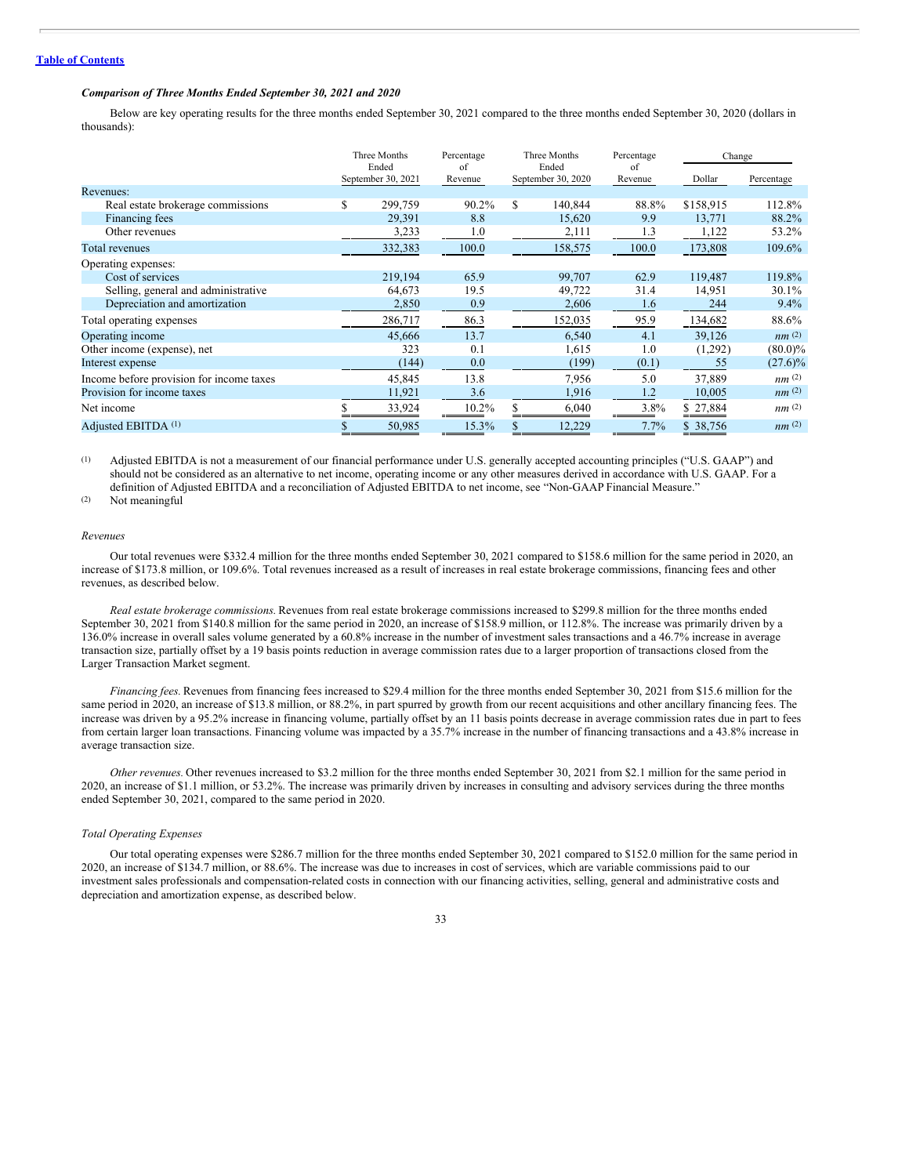#### *Comparison of Three Months Ended September 30, 2021 and 2020*

Below are key operating results for the three months ended September 30, 2021 compared to the three months ended September 30, 2020 (dollars in thousands):

|                                          | Three Months<br>Ended |                    | Percentage<br>of |     | Three Months<br>Ended | Percentage<br>of | Change    |                   |
|------------------------------------------|-----------------------|--------------------|------------------|-----|-----------------------|------------------|-----------|-------------------|
|                                          |                       | September 30, 2021 | Revenue          |     | September 30, 2020    | Revenue          | Dollar    | Percentage        |
| Revenues:                                |                       |                    |                  |     |                       |                  |           |                   |
| Real estate brokerage commissions        |                       | 299,759            | 90.2%            | \$. | 140,844               | 88.8%            | \$158,915 | 112.8%            |
| Financing fees                           |                       | 29,391             | 8.8              |     | 15,620                | 9.9              | 13,771    | 88.2%             |
| Other revenues                           |                       | 3,233              | 1.0              |     | 2,111                 | 1.3              | 1,122     | 53.2%             |
| Total revenues                           |                       | 332,383            | 100.0            |     | 158,575               | 100.0            | 173,808   | 109.6%            |
| Operating expenses:                      |                       |                    |                  |     |                       |                  |           |                   |
| Cost of services                         |                       | 219,194            | 65.9             |     | 99,707                | 62.9             | 119,487   | 119.8%            |
| Selling, general and administrative      |                       | 64,673             | 19.5             |     | 49,722                | 31.4             | 14,951    | 30.1%             |
| Depreciation and amortization            |                       | 2,850              | 0.9              |     | 2,606                 | 1.6              | 244       | 9.4%              |
| Total operating expenses                 |                       | 286,717            | 86.3             |     | 152,035               | 95.9             | 134,682   | 88.6%             |
| Operating income                         |                       | 45,666             | 13.7             |     | 6,540                 | 4.1              | 39,126    | nm(2)             |
| Other income (expense), net              |                       | 323                | 0.1              |     | 1,615                 | 1.0              | (1,292)   | $(80.0)\%$        |
| Interest expense                         |                       | (144)              | 0.0              |     | (199)                 | (0.1)            | 55        | $(27.6)\%$        |
| Income before provision for income taxes |                       | 45,845             | 13.8             |     | 7,956                 | 5.0              | 37,889    | nm(2)             |
| Provision for income taxes               |                       | 11,921             | 3.6              |     | 1,916                 | 1.2              | 10,005    | nm <sup>(2)</sup> |
| Net income                               |                       | 33,924             | 10.2%            |     | 6,040                 | 3.8%             | \$27,884  | nm(2)             |
| Adjusted EBITDA (1)                      |                       | 50,985             | 15.3%            |     | 12,229                | 7.7%             | \$38,756  | nm <sup>(2)</sup> |

(1) Adjusted EBITDA is not a measurement of our financial performance under U.S. generally accepted accounting principles ("U.S. GAAP") and should not be considered as an alternative to net income, operating income or any other measures derived in accordance with U.S. GAAP. For a definition of Adjusted EBITDA and a reconciliation of Adjusted EBITDA to net income, see "Non-GAAP Financial Measure."

(2) Not meaningful

#### *Revenues*

Our total revenues were \$332.4 million for the three months ended September 30, 2021 compared to \$158.6 million for the same period in 2020, an increase of \$173.8 million, or 109.6%. Total revenues increased as a result of increases in real estate brokerage commissions, financing fees and other revenues, as described below.

*Real estate brokerage commissions.* Revenues from real estate brokerage commissions increased to \$299.8 million for the three months ended September 30, 2021 from \$140.8 million for the same period in 2020, an increase of \$158.9 million, or 112.8%. The increase was primarily driven by a 136.0% increase in overall sales volume generated by a 60.8% increase in the number of investment sales transactions and a 46.7% increase in average transaction size, partially offset by a 19 basis points reduction in average commission rates due to a larger proportion of transactions closed from the Larger Transaction Market segment.

*Financing fees.* Revenues from financing fees increased to \$29.4 million for the three months ended September 30, 2021 from \$15.6 million for the same period in 2020, an increase of \$13.8 million, or 88.2%, in part spurred by growth from our recent acquisitions and other ancillary financing fees. The increase was driven by a 95.2% increase in financing volume, partially offset by an 11 basis points decrease in average commission rates due in part to fees from certain larger loan transactions. Financing volume was impacted by a 35.7% increase in the number of financing transactions and a 43.8% increase in average transaction size.

*Other revenues.* Other revenues increased to \$3.2 million for the three months ended September 30, 2021 from \$2.1 million for the same period in 2020, an increase of \$1.1 million, or 53.2%. The increase was primarily driven by increases in consulting and advisory services during the three months ended September 30, 2021, compared to the same period in 2020.

## *Total Operating Expenses*

Our total operating expenses were \$286.7 million for the three months ended September 30, 2021 compared to \$152.0 million for the same period in 2020, an increase of \$134.7 million, or 88.6%. The increase was due to increases in cost of services, which are variable commissions paid to our investment sales professionals and compensation-related costs in connection with our financing activities, selling, general and administrative costs and depreciation and amortization expense, as described below.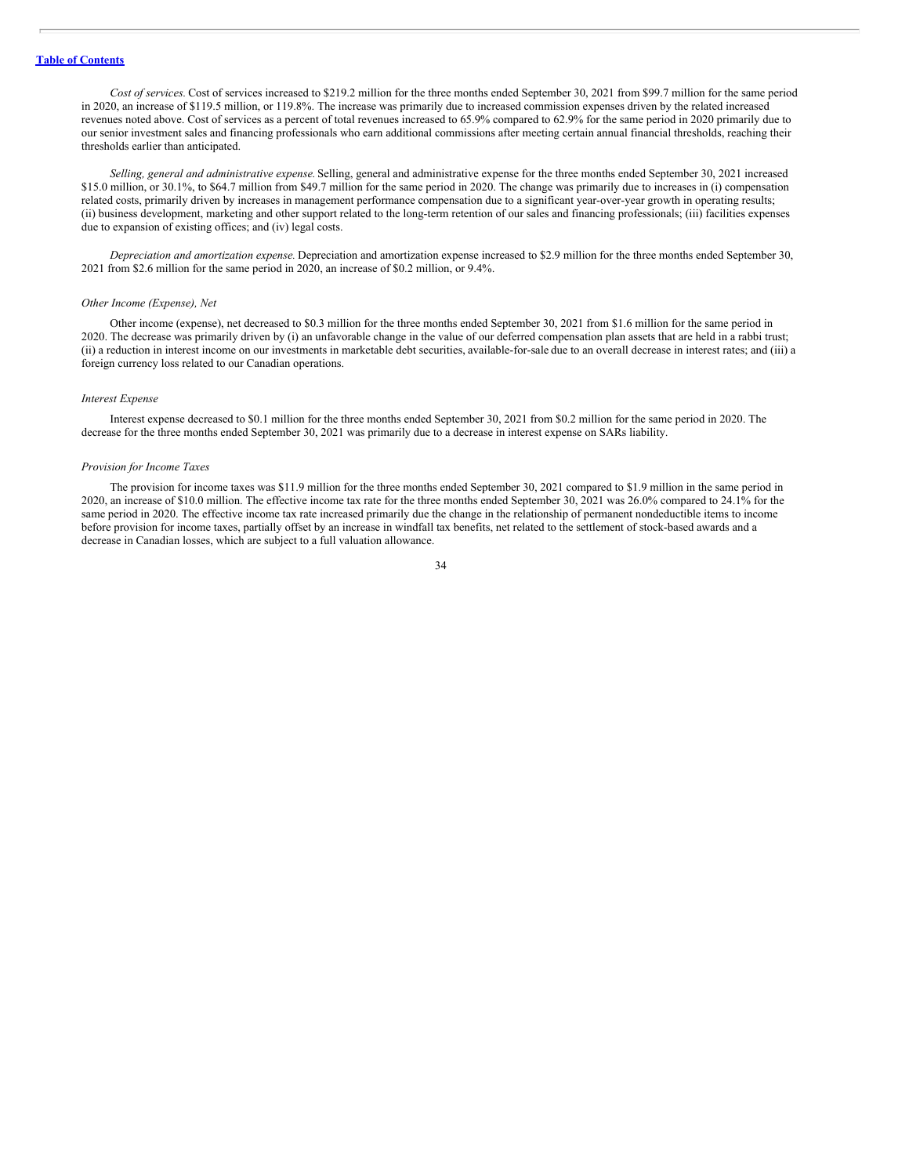*Cost of services.* Cost of services increased to \$219.2 million for the three months ended September 30, 2021 from \$99.7 million for the same period in 2020, an increase of \$119.5 million, or 119.8%. The increase was primarily due to increased commission expenses driven by the related increased revenues noted above. Cost of services as a percent of total revenues increased to 65.9% compared to 62.9% for the same period in 2020 primarily due to our senior investment sales and financing professionals who earn additional commissions after meeting certain annual financial thresholds, reaching their thresholds earlier than anticipated.

*Selling, general and administrative expense.* Selling, general and administrative expense for the three months ended September 30, 2021 increased \$15.0 million, or 30.1%, to \$64.7 million from \$49.7 million for the same period in 2020. The change was primarily due to increases in (i) compensation related costs, primarily driven by increases in management performance compensation due to a significant year-over-year growth in operating results; (ii) business development, marketing and other support related to the long-term retention of our sales and financing professionals; (iii) facilities expenses due to expansion of existing offices; and (iv) legal costs.

*Depreciation and amortization expense.* Depreciation and amortization expense increased to \$2.9 million for the three months ended September 30, 2021 from \$2.6 million for the same period in 2020, an increase of \$0.2 million, or 9.4%.

## *Other Income (Expense), Net*

Other income (expense), net decreased to \$0.3 million for the three months ended September 30, 2021 from \$1.6 million for the same period in 2020. The decrease was primarily driven by (i) an unfavorable change in the value of our deferred compensation plan assets that are held in a rabbi trust; (ii) a reduction in interest income on our investments in marketable debt securities, available-for-sale due to an overall decrease in interest rates; and (iii) a foreign currency loss related to our Canadian operations.

#### *Interest Expense*

Interest expense decreased to \$0.1 million for the three months ended September 30, 2021 from \$0.2 million for the same period in 2020. The decrease for the three months ended September 30, 2021 was primarily due to a decrease in interest expense on SARs liability.

## *Provision for Income Taxes*

The provision for income taxes was \$11.9 million for the three months ended September 30, 2021 compared to \$1.9 million in the same period in 2020, an increase of \$10.0 million. The effective income tax rate for the three months ended September 30, 2021 was 26.0% compared to 24.1% for the same period in 2020. The effective income tax rate increased primarily due the change in the relationship of permanent nondeductible items to income before provision for income taxes, partially offset by an increase in windfall tax benefits, net related to the settlement of stock-based awards and a decrease in Canadian losses, which are subject to a full valuation allowance.

34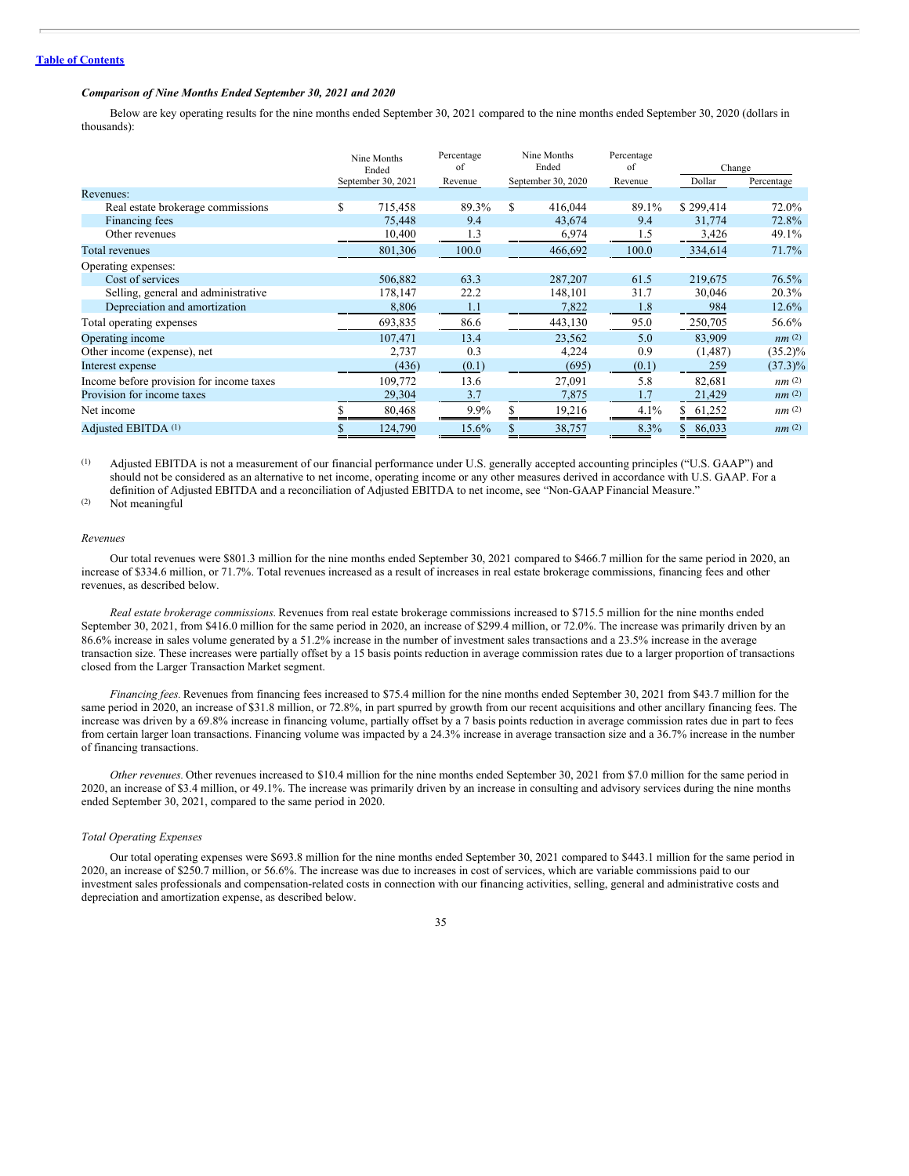#### *Comparison of Nine Months Ended September 30, 2021 and 2020*

Below are key operating results for the nine months ended September 30, 2021 compared to the nine months ended September 30, 2020 (dollars in thousands):

|                                          |   | Nine Months<br>Ended | Percentage<br>ΩŤ |    | Nine Months<br>Ended | Percentage<br>of | Change    |                   |
|------------------------------------------|---|----------------------|------------------|----|----------------------|------------------|-----------|-------------------|
|                                          |   | September 30, 2021   | Revenue          |    | September 30, 2020   | Revenue          | Dollar    | Percentage        |
| Revenues:                                |   |                      |                  |    |                      |                  |           |                   |
| Real estate brokerage commissions        | S | 715,458              | 89.3%            | S. | 416,044              | 89.1%            | \$299,414 | 72.0%             |
| Financing fees                           |   | 75,448               | 9.4              |    | 43,674               | 9.4              | 31,774    | 72.8%             |
| Other revenues                           |   | 10,400               | 1.3              |    | 6,974                | 1.5              | 3,426     | 49.1%             |
| Total revenues                           |   | 801,306              | 100.0            |    | 466,692              | 100.0            | 334,614   | 71.7%             |
| Operating expenses:                      |   |                      |                  |    |                      |                  |           |                   |
| Cost of services                         |   | 506,882              | 63.3             |    | 287,207              | 61.5             | 219,675   | 76.5%             |
| Selling, general and administrative      |   | 178,147              | 22.2             |    | 148,101              | 31.7             | 30,046    | 20.3%             |
| Depreciation and amortization            |   | 8,806                | 1.1              |    | 7,822                | 1.8              | 984       | 12.6%             |
| Total operating expenses                 |   | 693,835              | 86.6             |    | 443,130              | 95.0             | 250,705   | 56.6%             |
| Operating income                         |   | 107,471              | 13.4             |    | 23,562               | 5.0              | 83,909    | nm <sup>(2)</sup> |
| Other income (expense), net              |   | 2,737                | 0.3              |    | 4,224                | 0.9              | (1, 487)  | $(35.2)\%$        |
| Interest expense                         |   | (436)                | (0.1)            |    | (695)                | (0.1)            | 259       | $(37.3)\%$        |
| Income before provision for income taxes |   | 109,772              | 13.6             |    | 27,091               | 5.8              | 82,681    | nm(2)             |
| Provision for income taxes               |   | 29,304               | 3.7              |    | 7,875                | 1.7              | 21,429    | nm <sup>(2)</sup> |
| Net income                               |   | 80,468               | $9.9\%$          |    | 19,216               | $4.1\%$          | 61,252    | nm(2)             |
| Adjusted EBITDA (1)                      |   | 124,790              | 15.6%            |    | 38,757               | 8.3%             | 86,033    | nm <sup>(2)</sup> |

(1) Adjusted EBITDA is not a measurement of our financial performance under U.S. generally accepted accounting principles ("U.S. GAAP") and should not be considered as an alternative to net income, operating income or any other measures derived in accordance with U.S. GAAP. For a definition of Adjusted EBITDA and a reconciliation of Adjusted EBITDA to net income, see "Non-GAAP Financial Measure."

(2) Not meaningful

#### *Revenues*

Our total revenues were \$801.3 million for the nine months ended September 30, 2021 compared to \$466.7 million for the same period in 2020, an increase of \$334.6 million, or 71.7%. Total revenues increased as a result of increases in real estate brokerage commissions, financing fees and other revenues, as described below.

*Real estate brokerage commissions.* Revenues from real estate brokerage commissions increased to \$715.5 million for the nine months ended September 30, 2021, from \$416.0 million for the same period in 2020, an increase of \$299.4 million, or 72.0%. The increase was primarily driven by an 86.6% increase in sales volume generated by a 51.2% increase in the number of investment sales transactions and a 23.5% increase in the average transaction size. These increases were partially offset by a 15 basis points reduction in average commission rates due to a larger proportion of transactions closed from the Larger Transaction Market segment.

*Financing fees.* Revenues from financing fees increased to \$75.4 million for the nine months ended September 30, 2021 from \$43.7 million for the same period in 2020, an increase of \$31.8 million, or 72.8%, in part spurred by growth from our recent acquisitions and other ancillary financing fees. The increase was driven by a 69.8% increase in financing volume, partially offset by a 7 basis points reduction in average commission rates due in part to fees from certain larger loan transactions. Financing volume was impacted by a 24.3% increase in average transaction size and a 36.7% increase in the number of financing transactions.

*Other revenues.* Other revenues increased to \$10.4 million for the nine months ended September 30, 2021 from \$7.0 million for the same period in 2020, an increase of \$3.4 million, or 49.1%. The increase was primarily driven by an increase in consulting and advisory services during the nine months ended September 30, 2021, compared to the same period in 2020.

#### *Total Operating Expenses*

Our total operating expenses were \$693.8 million for the nine months ended September 30, 2021 compared to \$443.1 million for the same period in 2020, an increase of \$250.7 million, or 56.6%. The increase was due to increases in cost of services, which are variable commissions paid to our investment sales professionals and compensation-related costs in connection with our financing activities, selling, general and administrative costs and depreciation and amortization expense, as described below.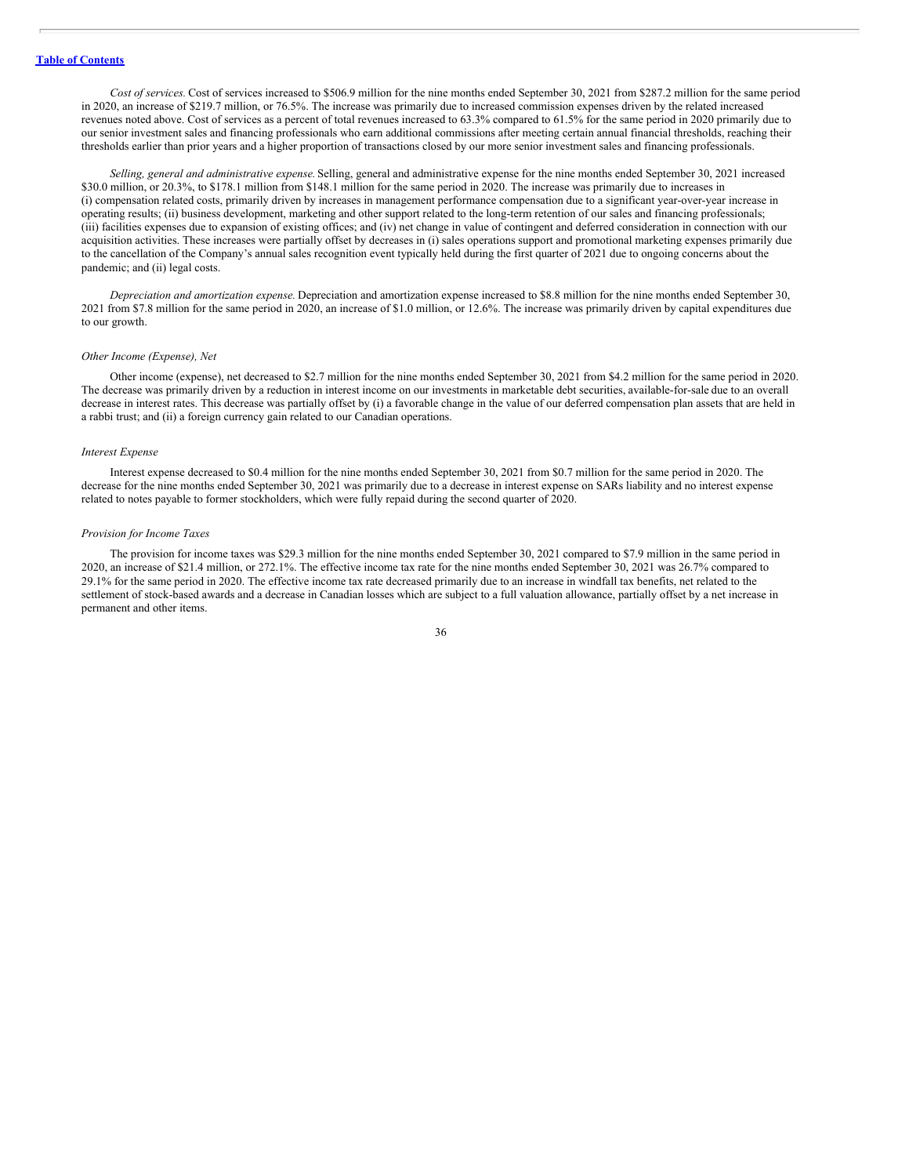*Cost of services.* Cost of services increased to \$506.9 million for the nine months ended September 30, 2021 from \$287.2 million for the same period in 2020, an increase of \$219.7 million, or 76.5%. The increase was primarily due to increased commission expenses driven by the related increased revenues noted above. Cost of services as a percent of total revenues increased to 63.3% compared to 61.5% for the same period in 2020 primarily due to our senior investment sales and financing professionals who earn additional commissions after meeting certain annual financial thresholds, reaching their thresholds earlier than prior years and a higher proportion of transactions closed by our more senior investment sales and financing professionals.

*Selling, general and administrative expense.* Selling, general and administrative expense for the nine months ended September 30, 2021 increased \$30.0 million, or 20.3%, to \$178.1 million from \$148.1 million for the same period in 2020. The increase was primarily due to increases in (i) compensation related costs, primarily driven by increases in management performance compensation due to a significant year-over-year increase in operating results; (ii) business development, marketing and other support related to the long-term retention of our sales and financing professionals; (iii) facilities expenses due to expansion of existing offices; and (iv) net change in value of contingent and deferred consideration in connection with our acquisition activities. These increases were partially offset by decreases in (i) sales operations support and promotional marketing expenses primarily due to the cancellation of the Company's annual sales recognition event typically held during the first quarter of 2021 due to ongoing concerns about the pandemic; and (ii) legal costs.

*Depreciation and amortization expense.* Depreciation and amortization expense increased to \$8.8 million for the nine months ended September 30, 2021 from \$7.8 million for the same period in 2020, an increase of \$1.0 million, or 12.6%. The increase was primarily driven by capital expenditures due to our growth.

#### *Other Income (Expense), Net*

Other income (expense), net decreased to \$2.7 million for the nine months ended September 30, 2021 from \$4.2 million for the same period in 2020. The decrease was primarily driven by a reduction in interest income on our investments in marketable debt securities, available-for-sale due to an overall decrease in interest rates. This decrease was partially offset by (i) a favorable change in the value of our deferred compensation plan assets that are held in a rabbi trust; and (ii) a foreign currency gain related to our Canadian operations.

## *Interest Expense*

Interest expense decreased to \$0.4 million for the nine months ended September 30, 2021 from \$0.7 million for the same period in 2020. The decrease for the nine months ended September 30, 2021 was primarily due to a decrease in interest expense on SARs liability and no interest expense related to notes payable to former stockholders, which were fully repaid during the second quarter of 2020.

#### *Provision for Income Taxes*

The provision for income taxes was \$29.3 million for the nine months ended September 30, 2021 compared to \$7.9 million in the same period in 2020, an increase of \$21.4 million, or 272.1%. The effective income tax rate for the nine months ended September 30, 2021 was 26.7% compared to 29.1% for the same period in 2020. The effective income tax rate decreased primarily due to an increase in windfall tax benefits, net related to the settlement of stock-based awards and a decrease in Canadian losses which are subject to a full valuation allowance, partially offset by a net increase in permanent and other items.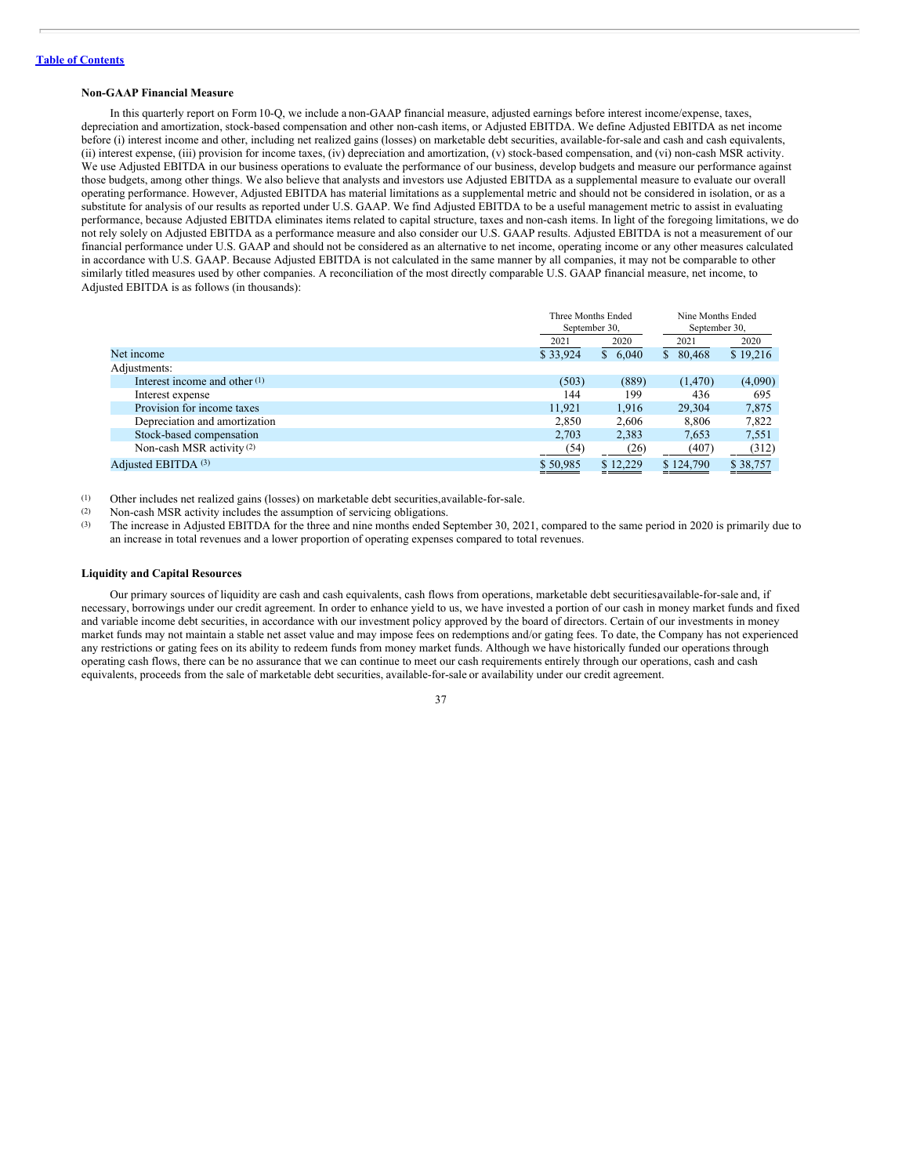#### **Non-GAAP Financial Measure**

In this quarterly report on Form 10-Q, we include a non-GAAP financial measure, adjusted earnings before interest income/expense, taxes, depreciation and amortization, stock-based compensation and other non-cash items, or Adjusted EBITDA. We define Adjusted EBITDA as net income before (i) interest income and other, including net realized gains (losses) on marketable debt securities, available-for-sale and cash and cash equivalents, (ii) interest expense, (iii) provision for income taxes, (iv) depreciation and amortization, (v) stock-based compensation, and (vi) non-cash MSR activity. We use Adjusted EBITDA in our business operations to evaluate the performance of our business, develop budgets and measure our performance against those budgets, among other things. We also believe that analysts and investors use Adjusted EBITDA as a supplemental measure to evaluate our overall operating performance. However, Adjusted EBITDA has material limitations as a supplemental metric and should not be considered in isolation, or as a substitute for analysis of our results as reported under U.S. GAAP. We find Adjusted EBITDA to be a useful management metric to assist in evaluating performance, because Adjusted EBITDA eliminates items related to capital structure, taxes and non-cash items. In light of the foregoing limitations, we do not rely solely on Adjusted EBITDA as a performance measure and also consider our U.S. GAAP results. Adjusted EBITDA is not a measurement of our financial performance under U.S. GAAP and should not be considered as an alternative to net income, operating income or any other measures calculated in accordance with U.S. GAAP. Because Adjusted EBITDA is not calculated in the same manner by all companies, it may not be comparable to other similarly titled measures used by other companies. A reconciliation of the most directly comparable U.S. GAAP financial measure, net income, to Adjusted EBITDA is as follows (in thousands):

|                                      |          | Three Months Ended<br>September 30, |                          | Nine Months Ended<br>September 30, |
|--------------------------------------|----------|-------------------------------------|--------------------------|------------------------------------|
|                                      | 2021     | 2020                                | 2021                     | 2020                               |
| Net income                           | \$33,924 | 6,040<br>\$                         | 80,468<br>$\mathbb{S}^-$ | \$19,216                           |
| Adjustments:                         |          |                                     |                          |                                    |
| Interest income and other $(1)$      | (503)    | (889)                               | (1,470)                  | (4,090)                            |
| Interest expense                     | 144      | 199                                 | 436                      | 695                                |
| Provision for income taxes           | 11,921   | 1,916                               | 29,304                   | 7,875                              |
| Depreciation and amortization        | 2,850    | 2,606                               | 8,806                    | 7,822                              |
| Stock-based compensation             | 2.703    | 2,383                               | 7,653                    | 7,551                              |
| Non-cash MSR activity <sup>(2)</sup> | (54)     | (26)                                | (407)                    | (312)                              |
| Adjusted EBITDA (3)                  | \$50,985 | \$12,229                            | \$124,790                | \$38,757                           |

(1) Other includes net realized gains (losses) on marketable debt securities,available-for-sale.

(2) Non-cash MSR activity includes the assumption of servicing obligations.

(3) The increase in Adjusted EBITDA for the three and nine months ended September 30, 2021, compared to the same period in 2020 is primarily due to an increase in total revenues and a lower proportion of operating expenses compared to total revenues.

#### **Liquidity and Capital Resources**

Our primary sources of liquidity are cash and cash equivalents, cash flows from operations, marketable debt securities,available-for-sale and, if necessary, borrowings under our credit agreement. In order to enhance yield to us, we have invested a portion of our cash in money market funds and fixed and variable income debt securities, in accordance with our investment policy approved by the board of directors. Certain of our investments in money market funds may not maintain a stable net asset value and may impose fees on redemptions and/or gating fees. To date, the Company has not experienced any restrictions or gating fees on its ability to redeem funds from money market funds. Although we have historically funded our operations through operating cash flows, there can be no assurance that we can continue to meet our cash requirements entirely through our operations, cash and cash equivalents, proceeds from the sale of marketable debt securities, available-for-sale or availability under our credit agreement.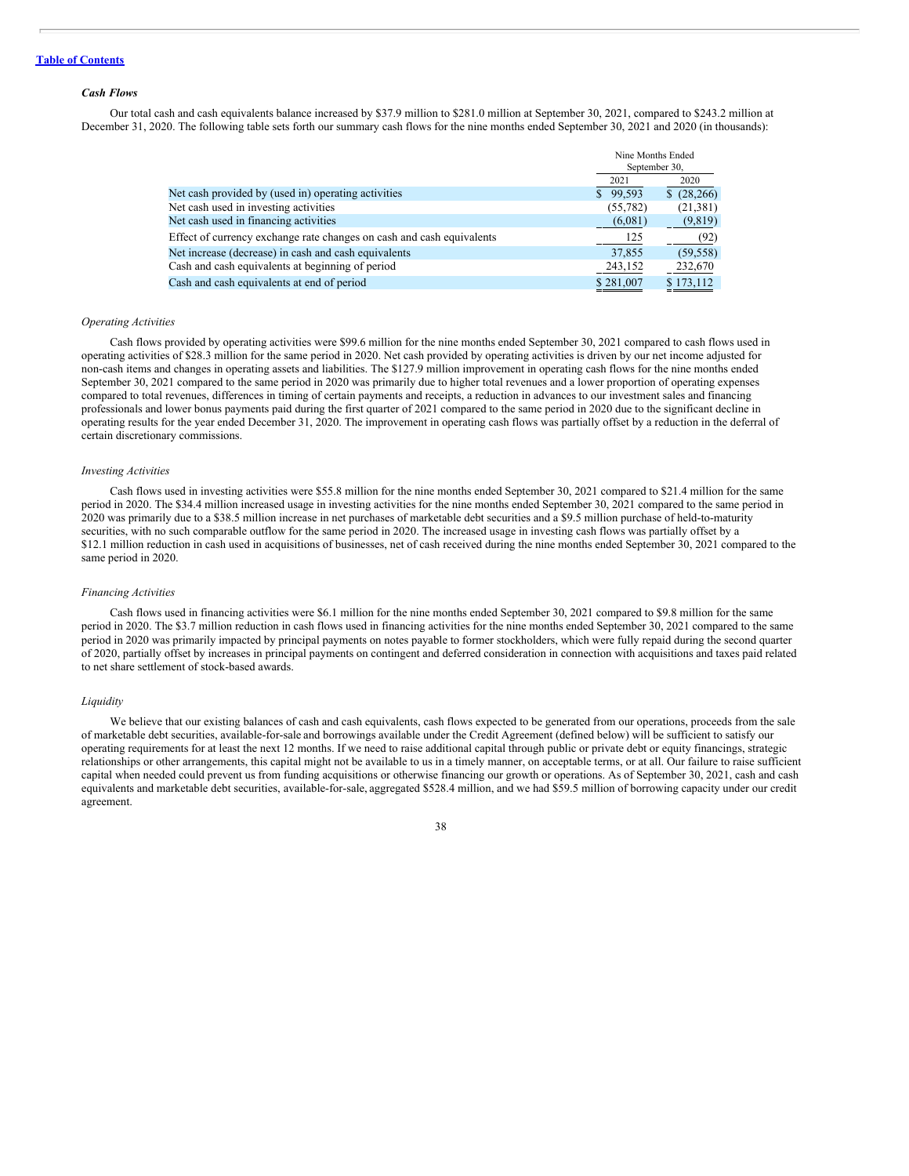#### *Cash Flows*

Our total cash and cash equivalents balance increased by \$37.9 million to \$281.0 million at September 30, 2021, compared to \$243.2 million at December 31, 2020. The following table sets forth our summary cash flows for the nine months ended September 30, 2021 and 2020 (in thousands):

|                                                                       | Nine Months Ended<br>September 30, |             |
|-----------------------------------------------------------------------|------------------------------------|-------------|
|                                                                       | 2021                               | 2020        |
| Net cash provided by (used in) operating activities                   | \$99.593                           | \$(28, 266) |
| Net cash used in investing activities                                 | (55, 782)                          | (21, 381)   |
| Net cash used in financing activities                                 | (6,081)                            | (9, 819)    |
| Effect of currency exchange rate changes on cash and cash equivalents | 125                                | (92)        |
| Net increase (decrease) in cash and cash equivalents                  | 37,855                             | (59, 558)   |
| Cash and cash equivalents at beginning of period                      | 243,152                            | 232,670     |
| Cash and cash equivalents at end of period                            | \$281,007                          | \$173,112   |

#### *Operating Activities*

Cash flows provided by operating activities were \$99.6 million for the nine months ended September 30, 2021 compared to cash flows used in operating activities of \$28.3 million for the same period in 2020. Net cash provided by operating activities is driven by our net income adjusted for non-cash items and changes in operating assets and liabilities. The \$127.9 million improvement in operating cash flows for the nine months ended September 30, 2021 compared to the same period in 2020 was primarily due to higher total revenues and a lower proportion of operating expenses compared to total revenues, differences in timing of certain payments and receipts, a reduction in advances to our investment sales and financing professionals and lower bonus payments paid during the first quarter of 2021 compared to the same period in 2020 due to the significant decline in operating results for the year ended December 31, 2020. The improvement in operating cash flows was partially offset by a reduction in the deferral of certain discretionary commissions.

#### *Investing Activities*

Cash flows used in investing activities were \$55.8 million for the nine months ended September 30, 2021 compared to \$21.4 million for the same period in 2020. The \$34.4 million increased usage in investing activities for the nine months ended September 30, 2021 compared to the same period in 2020 was primarily due to a \$38.5 million increase in net purchases of marketable debt securities and a \$9.5 million purchase of held-to-maturity securities, with no such comparable outflow for the same period in 2020. The increased usage in investing cash flows was partially offset by a \$12.1 million reduction in cash used in acquisitions of businesses, net of cash received during the nine months ended September 30, 2021 compared to the same period in 2020.

#### *Financing Activities*

Cash flows used in financing activities were \$6.1 million for the nine months ended September 30, 2021 compared to \$9.8 million for the same period in 2020. The \$3.7 million reduction in cash flows used in financing activities for the nine months ended September 30, 2021 compared to the same period in 2020 was primarily impacted by principal payments on notes payable to former stockholders, which were fully repaid during the second quarter of 2020, partially offset by increases in principal payments on contingent and deferred consideration in connection with acquisitions and taxes paid related to net share settlement of stock-based awards.

## *Liquidity*

We believe that our existing balances of cash and cash equivalents, cash flows expected to be generated from our operations, proceeds from the sale of marketable debt securities, available-for-sale and borrowings available under the Credit Agreement (defined below) will be sufficient to satisfy our operating requirements for at least the next 12 months. If we need to raise additional capital through public or private debt or equity financings, strategic relationships or other arrangements, this capital might not be available to us in a timely manner, on acceptable terms, or at all. Our failure to raise sufficient capital when needed could prevent us from funding acquisitions or otherwise financing our growth or operations. As of September 30, 2021, cash and cash equivalents and marketable debt securities, available-for-sale, aggregated \$528.4 million, and we had \$59.5 million of borrowing capacity under our credit agreement.

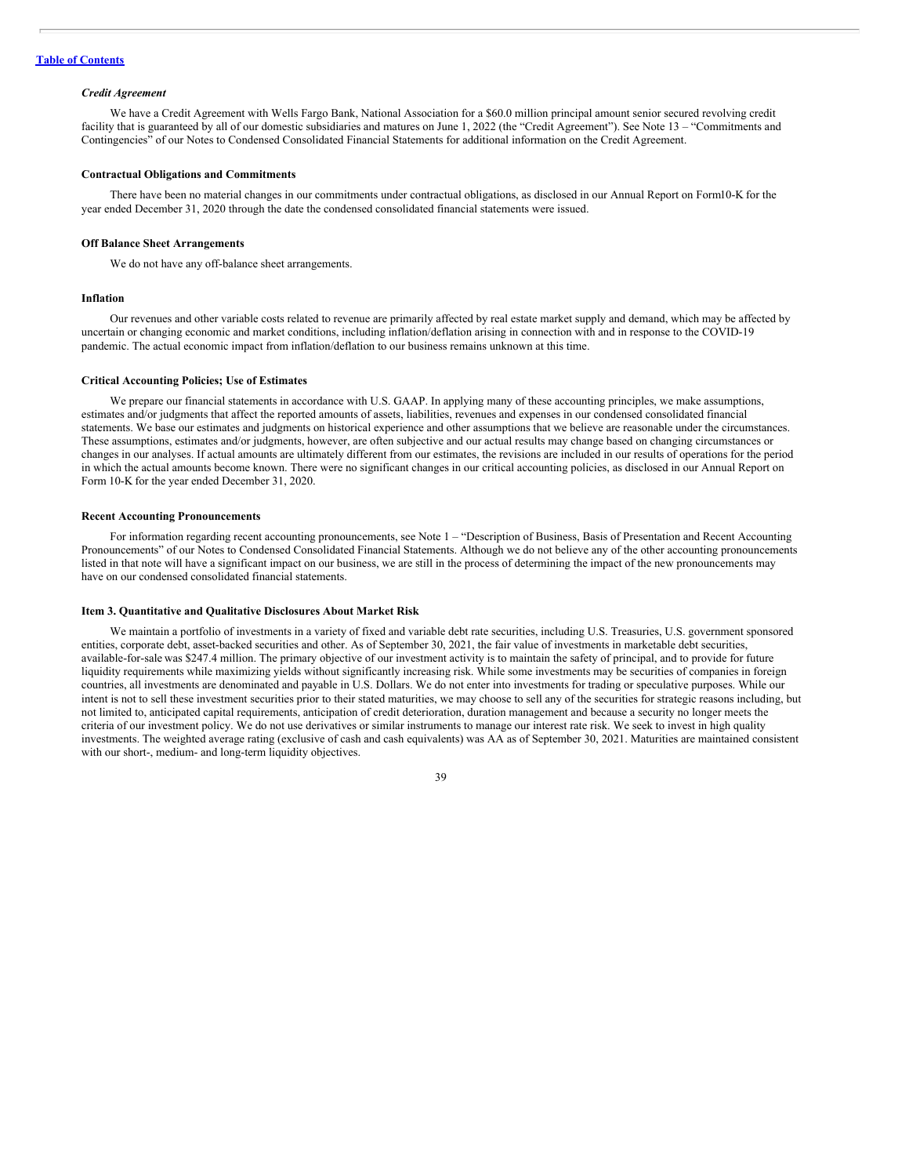#### *Credit Agreement*

We have a Credit Agreement with Wells Fargo Bank, National Association for a \$60.0 million principal amount senior secured revolving credit facility that is guaranteed by all of our domestic subsidiaries and matures on June 1, 2022 (the "Credit Agreement"). See Note 13 – "Commitments and Contingencies" of our Notes to Condensed Consolidated Financial Statements for additional information on the Credit Agreement.

#### **Contractual Obligations and Commitments**

There have been no material changes in our commitments under contractual obligations, as disclosed in our Annual Report on Form10-K for the year ended December 31, 2020 through the date the condensed consolidated financial statements were issued.

#### **Off Balance Sheet Arrangements**

We do not have any off-balance sheet arrangements.

## **Inflation**

Our revenues and other variable costs related to revenue are primarily affected by real estate market supply and demand, which may be affected by uncertain or changing economic and market conditions, including inflation/deflation arising in connection with and in response to the COVID-19 pandemic. The actual economic impact from inflation/deflation to our business remains unknown at this time.

#### **Critical Accounting Policies; Use of Estimates**

We prepare our financial statements in accordance with U.S. GAAP. In applying many of these accounting principles, we make assumptions, estimates and/or judgments that affect the reported amounts of assets, liabilities, revenues and expenses in our condensed consolidated financial statements. We base our estimates and judgments on historical experience and other assumptions that we believe are reasonable under the circumstances. These assumptions, estimates and/or judgments, however, are often subjective and our actual results may change based on changing circumstances or changes in our analyses. If actual amounts are ultimately different from our estimates, the revisions are included in our results of operations for the period in which the actual amounts become known. There were no significant changes in our critical accounting policies, as disclosed in our Annual Report on Form 10-K for the year ended December 31, 2020.

#### **Recent Accounting Pronouncements**

For information regarding recent accounting pronouncements, see Note 1 – "Description of Business, Basis of Presentation and Recent Accounting Pronouncements" of our Notes to Condensed Consolidated Financial Statements. Although we do not believe any of the other accounting pronouncements listed in that note will have a significant impact on our business, we are still in the process of determining the impact of the new pronouncements may have on our condensed consolidated financial statements.

## <span id="page-39-0"></span>**Item 3. Quantitative and Qualitative Disclosures About Market Risk**

We maintain a portfolio of investments in a variety of fixed and variable debt rate securities, including U.S. Treasuries, U.S. government sponsored entities, corporate debt, asset-backed securities and other. As of September 30, 2021, the fair value of investments in marketable debt securities, available-for-sale was \$247.4 million. The primary objective of our investment activity is to maintain the safety of principal, and to provide for future liquidity requirements while maximizing yields without significantly increasing risk. While some investments may be securities of companies in foreign countries, all investments are denominated and payable in U.S. Dollars. We do not enter into investments for trading or speculative purposes. While our intent is not to sell these investment securities prior to their stated maturities, we may choose to sell any of the securities for strategic reasons including, but not limited to, anticipated capital requirements, anticipation of credit deterioration, duration management and because a security no longer meets the criteria of our investment policy. We do not use derivatives or similar instruments to manage our interest rate risk. We seek to invest in high quality investments. The weighted average rating (exclusive of cash and cash equivalents) was AA as of September 30, 2021. Maturities are maintained consistent with our short-, medium- and long-term liquidity objectives.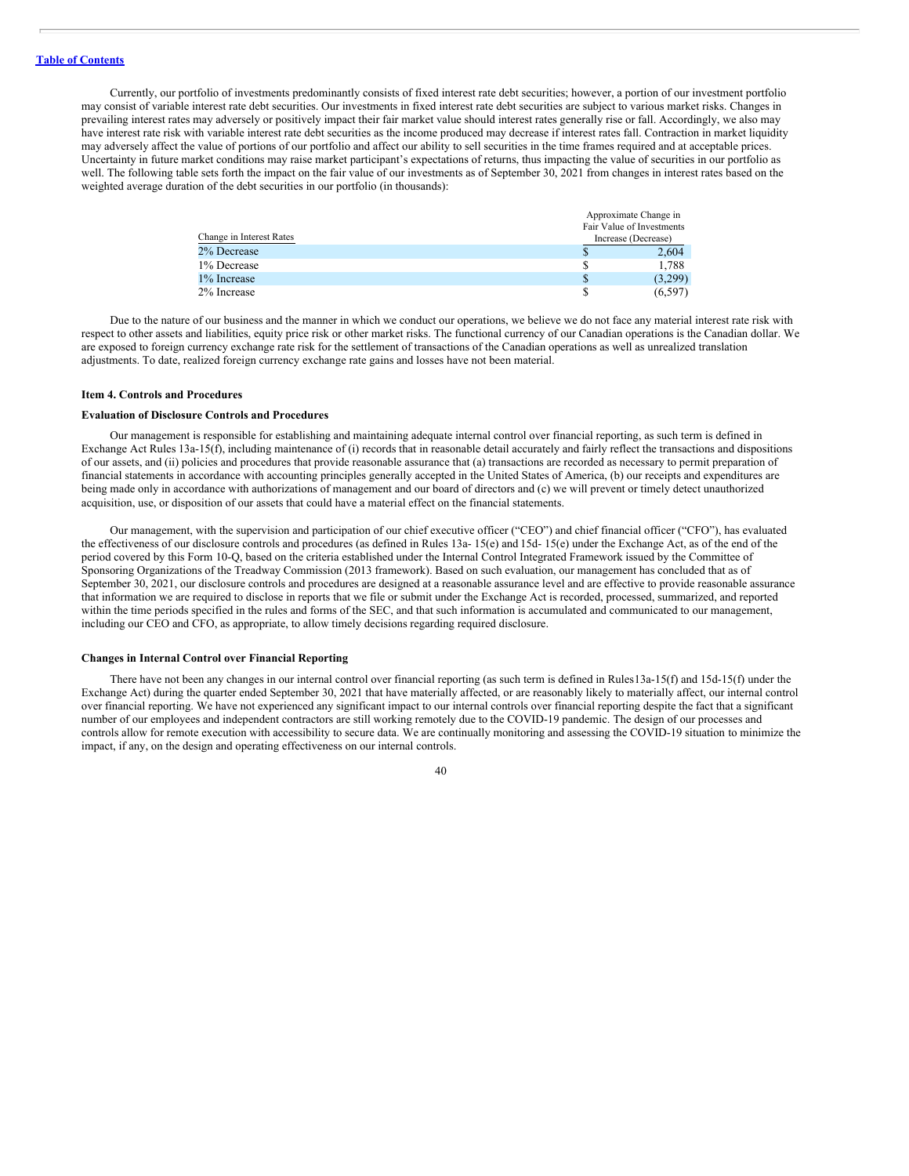Currently, our portfolio of investments predominantly consists of fixed interest rate debt securities; however, a portion of our investment portfolio may consist of variable interest rate debt securities. Our investments in fixed interest rate debt securities are subject to various market risks. Changes in prevailing interest rates may adversely or positively impact their fair market value should interest rates generally rise or fall. Accordingly, we also may have interest rate risk with variable interest rate debt securities as the income produced may decrease if interest rates fall. Contraction in market liquidity may adversely affect the value of portions of our portfolio and affect our ability to sell securities in the time frames required and at acceptable prices. Uncertainty in future market conditions may raise market participant's expectations of returns, thus impacting the value of securities in our portfolio as well. The following table sets forth the impact on the fair value of our investments as of September 30, 2021 from changes in interest rates based on the weighted average duration of the debt securities in our portfolio (in thousands):

|                          | Approximate Change in |                           |  |  |  |  |
|--------------------------|-----------------------|---------------------------|--|--|--|--|
|                          |                       | Fair Value of Investments |  |  |  |  |
| Change in Interest Rates |                       | Increase (Decrease)       |  |  |  |  |
| 2% Decrease              | S                     | 2,604                     |  |  |  |  |
| 1% Decrease              | S                     | 1,788                     |  |  |  |  |
| 1% Increase              | S                     | (3,299)                   |  |  |  |  |
| 2% Increase              |                       | (6, 597)                  |  |  |  |  |

Due to the nature of our business and the manner in which we conduct our operations, we believe we do not face any material interest rate risk with respect to other assets and liabilities, equity price risk or other market risks. The functional currency of our Canadian operations is the Canadian dollar. We are exposed to foreign currency exchange rate risk for the settlement of transactions of the Canadian operations as well as unrealized translation adjustments. To date, realized foreign currency exchange rate gains and losses have not been material.

#### <span id="page-40-0"></span>**Item 4. Controls and Procedures**

## **Evaluation of Disclosure Controls and Procedures**

Our management is responsible for establishing and maintaining adequate internal control over financial reporting, as such term is defined in Exchange Act Rules 13a-15(f), including maintenance of (i) records that in reasonable detail accurately and fairly reflect the transactions and dispositions of our assets, and (ii) policies and procedures that provide reasonable assurance that (a) transactions are recorded as necessary to permit preparation of financial statements in accordance with accounting principles generally accepted in the United States of America, (b) our receipts and expenditures are being made only in accordance with authorizations of management and our board of directors and (c) we will prevent or timely detect unauthorized acquisition, use, or disposition of our assets that could have a material effect on the financial statements.

Our management, with the supervision and participation of our chief executive officer ("CEO") and chief financial officer ("CFO"), has evaluated the effectiveness of our disclosure controls and procedures (as defined in Rules 13a- 15(e) and 15d- 15(e) under the Exchange Act, as of the end of the period covered by this Form 10-Q, based on the criteria established under the Internal Control Integrated Framework issued by the Committee of Sponsoring Organizations of the Treadway Commission (2013 framework). Based on such evaluation, our management has concluded that as of September 30, 2021, our disclosure controls and procedures are designed at a reasonable assurance level and are effective to provide reasonable assurance that information we are required to disclose in reports that we file or submit under the Exchange Act is recorded, processed, summarized, and reported within the time periods specified in the rules and forms of the SEC, and that such information is accumulated and communicated to our management, including our CEO and CFO, as appropriate, to allow timely decisions regarding required disclosure.

## **Changes in Internal Control over Financial Reporting**

There have not been any changes in our internal control over financial reporting (as such term is defined in Rules13a-15(f) and 15d-15(f) under the Exchange Act) during the quarter ended September 30, 2021 that have materially affected, or are reasonably likely to materially affect, our internal control over financial reporting. We have not experienced any significant impact to our internal controls over financial reporting despite the fact that a significant number of our employees and independent contractors are still working remotely due to the COVID-19 pandemic. The design of our processes and controls allow for remote execution with accessibility to secure data. We are continually monitoring and assessing the COVID-19 situation to minimize the impact, if any, on the design and operating effectiveness on our internal controls.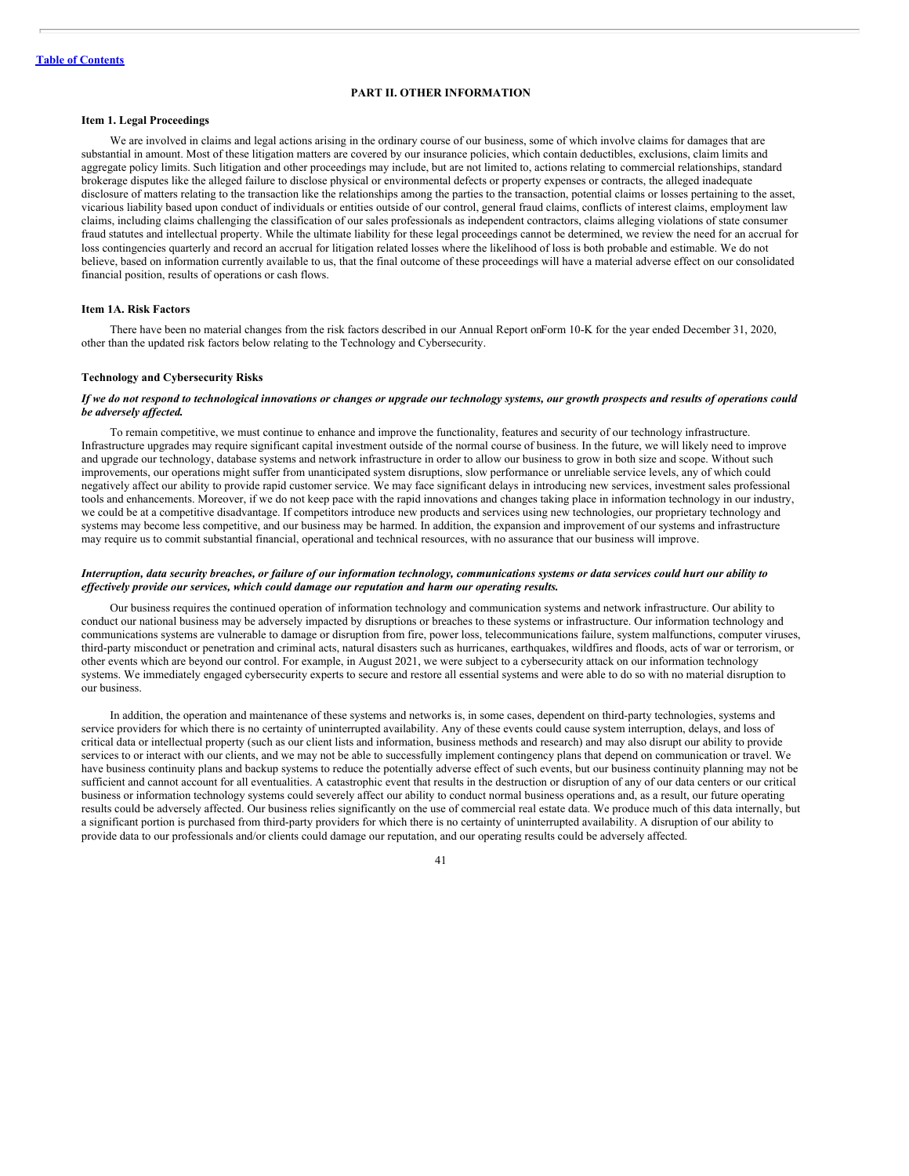## **PART II. OTHER INFORMATION**

## <span id="page-41-1"></span><span id="page-41-0"></span>**Item 1. Legal Proceedings**

We are involved in claims and legal actions arising in the ordinary course of our business, some of which involve claims for damages that are substantial in amount. Most of these litigation matters are covered by our insurance policies, which contain deductibles, exclusions, claim limits and aggregate policy limits. Such litigation and other proceedings may include, but are not limited to, actions relating to commercial relationships, standard brokerage disputes like the alleged failure to disclose physical or environmental defects or property expenses or contracts, the alleged inadequate disclosure of matters relating to the transaction like the relationships among the parties to the transaction, potential claims or losses pertaining to the asset, vicarious liability based upon conduct of individuals or entities outside of our control, general fraud claims, conflicts of interest claims, employment law claims, including claims challenging the classification of our sales professionals as independent contractors, claims alleging violations of state consumer fraud statutes and intellectual property. While the ultimate liability for these legal proceedings cannot be determined, we review the need for an accrual for loss contingencies quarterly and record an accrual for litigation related losses where the likelihood of loss is both probable and estimable. We do not believe, based on information currently available to us, that the final outcome of these proceedings will have a material adverse effect on our consolidated financial position, results of operations or cash flows.

## <span id="page-41-2"></span>**Item 1A. Risk Factors**

There have been no material changes from the risk factors described in our Annual Report onForm 10-K for the year ended December 31, 2020, other than the updated risk factors below relating to the Technology and Cybersecurity.

#### **Technology and Cybersecurity Risks**

## If we do not respond to technological innovations or changes or upgrade our technology systems, our growth prospects and results of operations could *be adversely af ected.*

To remain competitive, we must continue to enhance and improve the functionality, features and security of our technology infrastructure. Infrastructure upgrades may require significant capital investment outside of the normal course of business. In the future, we will likely need to improve and upgrade our technology, database systems and network infrastructure in order to allow our business to grow in both size and scope. Without such improvements, our operations might suffer from unanticipated system disruptions, slow performance or unreliable service levels, any of which could negatively affect our ability to provide rapid customer service. We may face significant delays in introducing new services, investment sales professional tools and enhancements. Moreover, if we do not keep pace with the rapid innovations and changes taking place in information technology in our industry, we could be at a competitive disadvantage. If competitors introduce new products and services using new technologies, our proprietary technology and systems may become less competitive, and our business may be harmed. In addition, the expansion and improvement of our systems and infrastructure may require us to commit substantial financial, operational and technical resources, with no assurance that our business will improve.

#### Interruption, data security breaches, or failure of our information technology, communications systems or data services could hurt our ability to *ef ectively provide our services, which could damage our reputation and harm our operating results.*

Our business requires the continued operation of information technology and communication systems and network infrastructure. Our ability to conduct our national business may be adversely impacted by disruptions or breaches to these systems or infrastructure. Our information technology and communications systems are vulnerable to damage or disruption from fire, power loss, telecommunications failure, system malfunctions, computer viruses, third-party misconduct or penetration and criminal acts, natural disasters such as hurricanes, earthquakes, wildfires and floods, acts of war or terrorism, or other events which are beyond our control. For example, in August 2021, we were subject to a cybersecurity attack on our information technology systems. We immediately engaged cybersecurity experts to secure and restore all essential systems and were able to do so with no material disruption to our business.

In addition, the operation and maintenance of these systems and networks is, in some cases, dependent on third-party technologies, systems and service providers for which there is no certainty of uninterrupted availability. Any of these events could cause system interruption, delays, and loss of critical data or intellectual property (such as our client lists and information, business methods and research) and may also disrupt our ability to provide services to or interact with our clients, and we may not be able to successfully implement contingency plans that depend on communication or travel. We have business continuity plans and backup systems to reduce the potentially adverse effect of such events, but our business continuity planning may not be sufficient and cannot account for all eventualities. A catastrophic event that results in the destruction or disruption of any of our data centers or our critical business or information technology systems could severely affect our ability to conduct normal business operations and, as a result, our future operating results could be adversely affected. Our business relies significantly on the use of commercial real estate data. We produce much of this data internally, but a significant portion is purchased from third-party providers for which there is no certainty of uninterrupted availability. A disruption of our ability to provide data to our professionals and/or clients could damage our reputation, and our operating results could be adversely affected.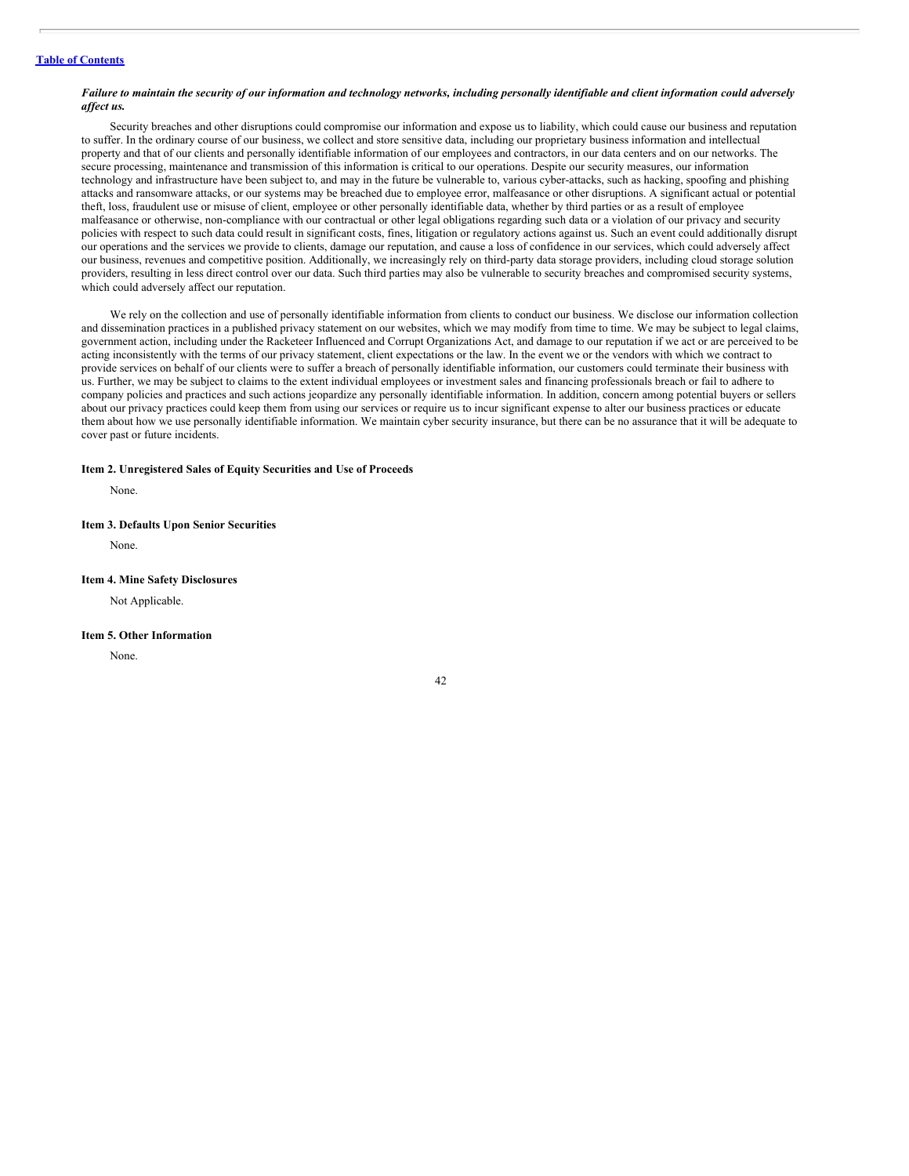#### Failure to maintain the security of our information and technology networks, including personally identifiable and client information could adversely *af ect us.*

Security breaches and other disruptions could compromise our information and expose us to liability, which could cause our business and reputation to suffer. In the ordinary course of our business, we collect and store sensitive data, including our proprietary business information and intellectual property and that of our clients and personally identifiable information of our employees and contractors, in our data centers and on our networks. The secure processing, maintenance and transmission of this information is critical to our operations. Despite our security measures, our information technology and infrastructure have been subject to, and may in the future be vulnerable to, various cyber-attacks, such as hacking, spoofing and phishing attacks and ransomware attacks, or our systems may be breached due to employee error, malfeasance or other disruptions. A significant actual or potential theft, loss, fraudulent use or misuse of client, employee or other personally identifiable data, whether by third parties or as a result of employee malfeasance or otherwise, non-compliance with our contractual or other legal obligations regarding such data or a violation of our privacy and security policies with respect to such data could result in significant costs, fines, litigation or regulatory actions against us. Such an event could additionally disrupt our operations and the services we provide to clients, damage our reputation, and cause a loss of confidence in our services, which could adversely affect our business, revenues and competitive position. Additionally, we increasingly rely on third-party data storage providers, including cloud storage solution providers, resulting in less direct control over our data. Such third parties may also be vulnerable to security breaches and compromised security systems, which could adversely affect our reputation.

We rely on the collection and use of personally identifiable information from clients to conduct our business. We disclose our information collection and dissemination practices in a published privacy statement on our websites, which we may modify from time to time. We may be subject to legal claims, government action, including under the Racketeer Influenced and Corrupt Organizations Act, and damage to our reputation if we act or are perceived to be acting inconsistently with the terms of our privacy statement, client expectations or the law. In the event we or the vendors with which we contract to provide services on behalf of our clients were to suffer a breach of personally identifiable information, our customers could terminate their business with us. Further, we may be subject to claims to the extent individual employees or investment sales and financing professionals breach or fail to adhere to company policies and practices and such actions jeopardize any personally identifiable information. In addition, concern among potential buyers or sellers about our privacy practices could keep them from using our services or require us to incur significant expense to alter our business practices or educate them about how we use personally identifiable information. We maintain cyber security insurance, but there can be no assurance that it will be adequate to cover past or future incidents.

#### <span id="page-42-0"></span>**Item 2. Unregistered Sales of Equity Securities and Use of Proceeds**

None.

## <span id="page-42-1"></span>**Item 3. Defaults Upon Senior Securities**

None.

## <span id="page-42-2"></span>**Item 4. Mine Safety Disclosures**

Not Applicable.

## <span id="page-42-3"></span>**Item 5. Other Information**

None.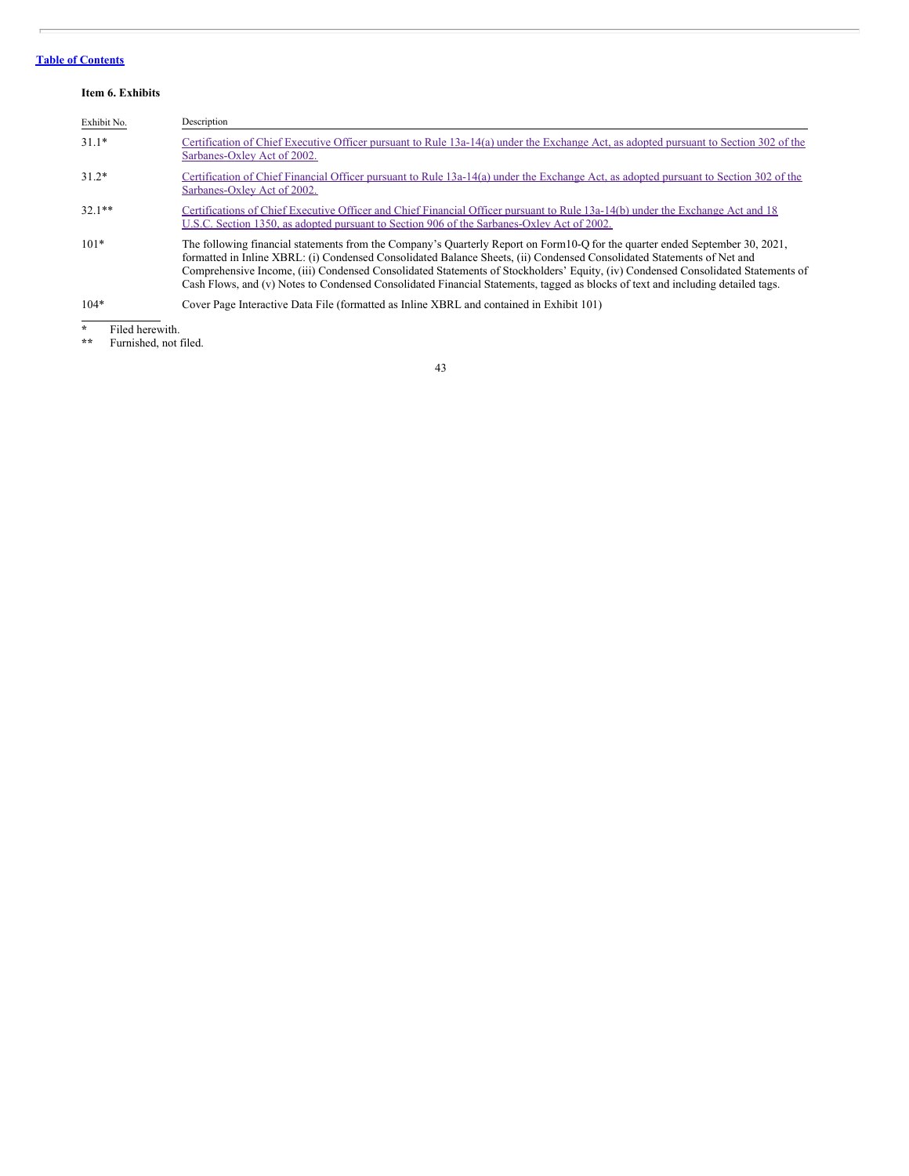## **Table of [Contents](#page-2-0)**

## <span id="page-43-0"></span>**Item 6. Exhibits**

| Exhibit No. | Description                                                                                                                                                                                                                                                                                                                                                                                                                                                                                                                    |
|-------------|--------------------------------------------------------------------------------------------------------------------------------------------------------------------------------------------------------------------------------------------------------------------------------------------------------------------------------------------------------------------------------------------------------------------------------------------------------------------------------------------------------------------------------|
| $31.1*$     | Certification of Chief Executive Officer pursuant to Rule 13a-14(a) under the Exchange Act, as adopted pursuant to Section 302 of the<br>Sarbanes-Oxley Act of 2002.                                                                                                                                                                                                                                                                                                                                                           |
| $31.2*$     | Certification of Chief Financial Officer pursuant to Rule 13a-14(a) under the Exchange Act, as adopted pursuant to Section 302 of the<br>Sarbanes-Oxley Act of 2002.                                                                                                                                                                                                                                                                                                                                                           |
| $32.1**$    | Certifications of Chief Executive Officer and Chief Financial Officer pursuant to Rule 13a-14(b) under the Exchange Act and 18<br>U.S.C. Section 1350, as adopted pursuant to Section 906 of the Sarbanes-Oxley Act of 2002.                                                                                                                                                                                                                                                                                                   |
| $101*$      | The following financial statements from the Company's Quarterly Report on Form 10-Q for the quarter ended September 30, 2021,<br>formatted in Inline XBRL: (i) Condensed Consolidated Balance Sheets, (ii) Condensed Consolidated Statements of Net and<br>Comprehensive Income, (iii) Condensed Consolidated Statements of Stockholders' Equity, (iv) Condensed Consolidated Statements of<br>Cash Flows, and (v) Notes to Condensed Consolidated Financial Statements, tagged as blocks of text and including detailed tags. |
| $104*$      | Cover Page Interactive Data File (formatted as Inline XBRL and contained in Exhibit 101)                                                                                                                                                                                                                                                                                                                                                                                                                                       |

**\*** Filed herewith.

**\*\*** Furnished, not filed.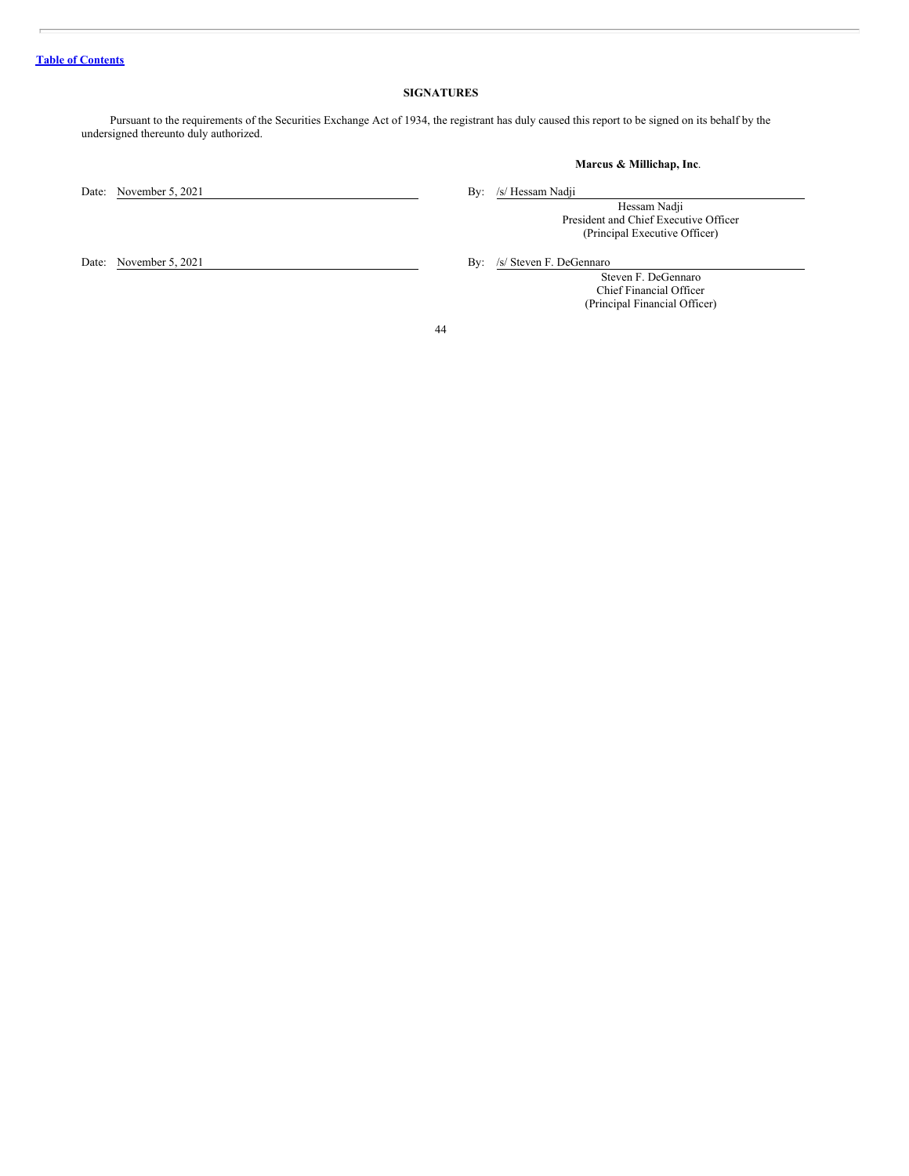## **SIGNATURES**

<span id="page-44-0"></span>Pursuant to the requirements of the Securities Exchange Act of 1934, the registrant has duly caused this report to be signed on its behalf by the undersigned thereunto duly authorized.

## **Marcus & Millichap, Inc**.

Date: November 5, 2021 By: /s/ Hessam Nadji

Hessam Nadji President and Chief Executive Officer (Principal Executive Officer)

Date: November 5, 2021 By: /s/ Steven F. DeGennaro

Steven F. DeGennaro Chief Financial Officer (Principal Financial Officer)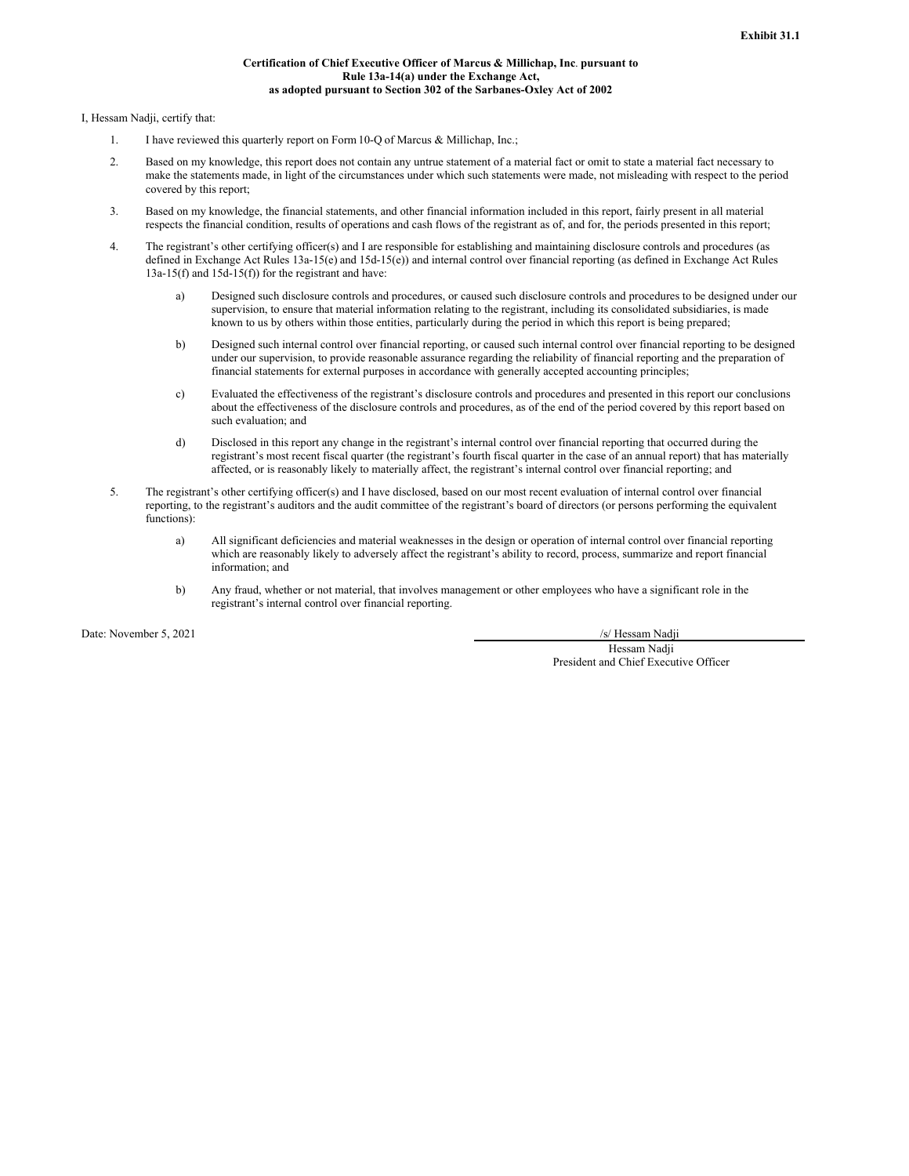## **Certification of Chief Executive Officer of Marcus & Millichap, Inc**. **pursuant to Rule 13a-14(a) under the Exchange Act, as adopted pursuant to Section 302 of the Sarbanes-Oxley Act of 2002**

<span id="page-45-0"></span>I, Hessam Nadji, certify that:

- 1. I have reviewed this quarterly report on Form10-Q of Marcus & Millichap, Inc.;
- 2. Based on my knowledge, this report does not contain any untrue statement of a material fact or omit to state a material fact necessary to make the statements made, in light of the circumstances under which such statements were made, not misleading with respect to the period covered by this report;
- 3. Based on my knowledge, the financial statements, and other financial information included in this report, fairly present in all material respects the financial condition, results of operations and cash flows of the registrant as of, and for, the periods presented in this report;
- 4. The registrant's other certifying officer(s) and I are responsible for establishing and maintaining disclosure controls and procedures (as defined in Exchange Act Rules 13a-15(e) and 15d-15(e)) and internal control over financial reporting (as defined in Exchange Act Rules  $13a-15(f)$  and  $15d-15(f)$  for the registrant and have:
	- a) Designed such disclosure controls and procedures, or caused such disclosure controls and procedures to be designed under our supervision, to ensure that material information relating to the registrant, including its consolidated subsidiaries, is made known to us by others within those entities, particularly during the period in which this report is being prepared;
	- b) Designed such internal control over financial reporting, or caused such internal control over financial reporting to be designed under our supervision, to provide reasonable assurance regarding the reliability of financial reporting and the preparation of financial statements for external purposes in accordance with generally accepted accounting principles;
	- c) Evaluated the effectiveness of the registrant's disclosure controls and procedures and presented in this report our conclusions about the effectiveness of the disclosure controls and procedures, as of the end of the period covered by this report based on such evaluation; and
	- d) Disclosed in this report any change in the registrant's internal control over financial reporting that occurred during the registrant's most recent fiscal quarter (the registrant's fourth fiscal quarter in the case of an annual report) that has materially affected, or is reasonably likely to materially affect, the registrant's internal control over financial reporting; and
- 5. The registrant's other certifying officer(s) and I have disclosed, based on our most recent evaluation of internal control over financial reporting, to the registrant's auditors and the audit committee of the registrant's board of directors (or persons performing the equivalent functions):
	- a) All significant deficiencies and material weaknesses in the design or operation of internal control over financial reporting which are reasonably likely to adversely affect the registrant's ability to record, process, summarize and report financial information; and
	- b) Any fraud, whether or not material, that involves management or other employees who have a significant role in the registrant's internal control over financial reporting.

Date: November 5, 2021 /s/ Hessam Nadji

Hessam Nadii President and Chief Executive Officer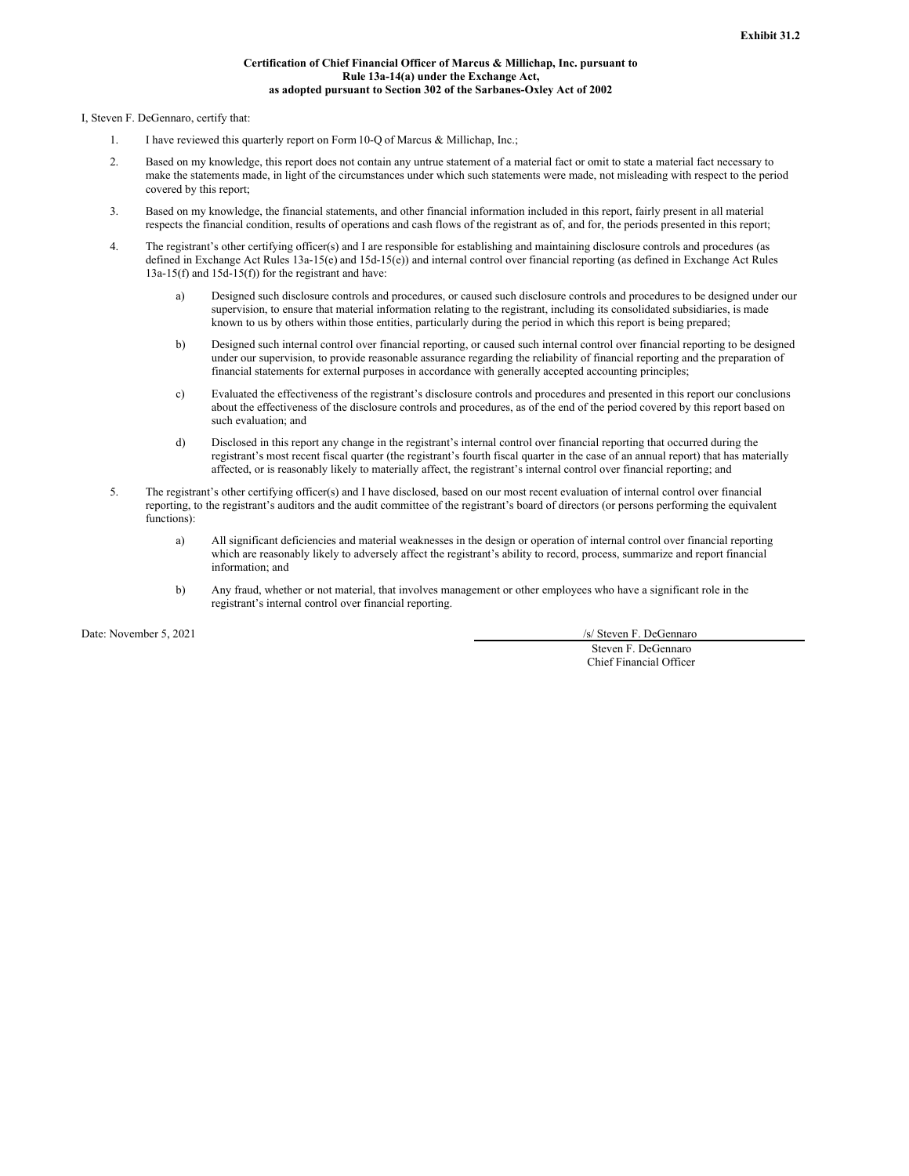## **Certification of Chief Financial Officer of Marcus & Millichap, Inc. pursuant to Rule 13a-14(a) under the Exchange Act, as adopted pursuant to Section 302 of the Sarbanes-Oxley Act of 2002**

<span id="page-46-0"></span>I, Steven F. DeGennaro, certify that:

- 1. I have reviewed this quarterly report on Form10-Q of Marcus & Millichap, Inc.;
- 2. Based on my knowledge, this report does not contain any untrue statement of a material fact or omit to state a material fact necessary to make the statements made, in light of the circumstances under which such statements were made, not misleading with respect to the period covered by this report;
- 3. Based on my knowledge, the financial statements, and other financial information included in this report, fairly present in all material respects the financial condition, results of operations and cash flows of the registrant as of, and for, the periods presented in this report;
- 4. The registrant's other certifying officer(s) and I are responsible for establishing and maintaining disclosure controls and procedures (as defined in Exchange Act Rules 13a-15(e) and 15d-15(e)) and internal control over financial reporting (as defined in Exchange Act Rules  $13a-15(f)$  and  $15d-15(f)$  for the registrant and have:
	- a) Designed such disclosure controls and procedures, or caused such disclosure controls and procedures to be designed under our supervision, to ensure that material information relating to the registrant, including its consolidated subsidiaries, is made known to us by others within those entities, particularly during the period in which this report is being prepared;
	- b) Designed such internal control over financial reporting, or caused such internal control over financial reporting to be designed under our supervision, to provide reasonable assurance regarding the reliability of financial reporting and the preparation of financial statements for external purposes in accordance with generally accepted accounting principles;
	- c) Evaluated the effectiveness of the registrant's disclosure controls and procedures and presented in this report our conclusions about the effectiveness of the disclosure controls and procedures, as of the end of the period covered by this report based on such evaluation; and
	- d) Disclosed in this report any change in the registrant's internal control over financial reporting that occurred during the registrant's most recent fiscal quarter (the registrant's fourth fiscal quarter in the case of an annual report) that has materially affected, or is reasonably likely to materially affect, the registrant's internal control over financial reporting; and
- 5. The registrant's other certifying officer(s) and I have disclosed, based on our most recent evaluation of internal control over financial reporting, to the registrant's auditors and the audit committee of the registrant's board of directors (or persons performing the equivalent functions):
	- a) All significant deficiencies and material weaknesses in the design or operation of internal control over financial reporting which are reasonably likely to adversely affect the registrant's ability to record, process, summarize and report financial information; and
	- b) Any fraud, whether or not material, that involves management or other employees who have a significant role in the registrant's internal control over financial reporting.

Date: November 5, 2021 /s/ Steven F. DeGennaro

Steven F. DeGennaro Chief Financial Officer